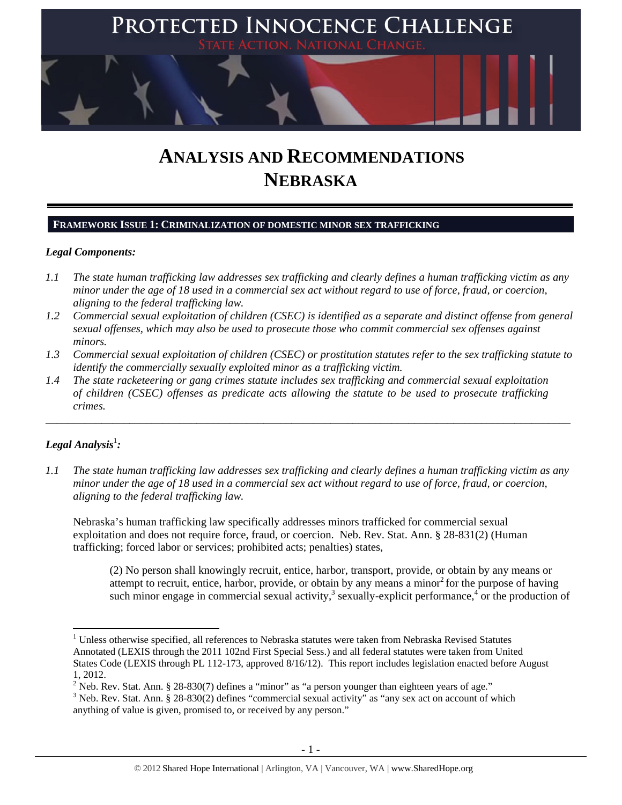

# **ANALYSIS AND RECOMMENDATIONS NEBRASKA**

## **FRAMEWORK ISSUE 1: CRIMINALIZATION OF DOMESTIC MINOR SEX TRAFFICKING**

#### *Legal Components:*

- *1.1 The state human trafficking law addresses sex trafficking and clearly defines a human trafficking victim as any minor under the age of 18 used in a commercial sex act without regard to use of force, fraud, or coercion, aligning to the federal trafficking law.*
- *1.2 Commercial sexual exploitation of children (CSEC) is identified as a separate and distinct offense from general sexual offenses, which may also be used to prosecute those who commit commercial sex offenses against minors.*
- *1.3 Commercial sexual exploitation of children (CSEC) or prostitution statutes refer to the sex trafficking statute to identify the commercially sexually exploited minor as a trafficking victim.*

\_\_\_\_\_\_\_\_\_\_\_\_\_\_\_\_\_\_\_\_\_\_\_\_\_\_\_\_\_\_\_\_\_\_\_\_\_\_\_\_\_\_\_\_\_\_\_\_\_\_\_\_\_\_\_\_\_\_\_\_\_\_\_\_\_\_\_\_\_\_\_\_\_\_\_\_\_\_\_\_\_\_\_\_\_\_\_\_\_\_\_\_\_\_

*1.4 The state racketeering or gang crimes statute includes sex trafficking and commercial sexual exploitation of children (CSEC) offenses as predicate acts allowing the statute to be used to prosecute trafficking crimes.* 

# $\bm{\mathit{Legal\, Analysis^{\text{!}}:}}$

*1.1 The state human trafficking law addresses sex trafficking and clearly defines a human trafficking victim as any minor under the age of 18 used in a commercial sex act without regard to use of force, fraud, or coercion, aligning to the federal trafficking law.* 

Nebraska's human trafficking law specifically addresses minors trafficked for commercial sexual exploitation and does not require force, fraud, or coercion. Neb. Rev. Stat. Ann. § 28-831(2) (Human trafficking; forced labor or services; prohibited acts; penalties) states,

(2) No person shall knowingly recruit, entice, harbor, transport, provide, or obtain by any means or attempt to recruit, entice, harbor, provide, or obtain by any means a minor<sup>2</sup> for the purpose of having such minor engage in commercial sexual activity,<sup>3</sup> sexually-explicit performance,<sup>4</sup> or the production of

<sup>&</sup>lt;sup>1</sup> Unless otherwise specified, all references to Nebraska statutes were taken from Nebraska Revised Statutes Annotated (LEXIS through the 2011 102nd First Special Sess.) and all federal statutes were taken from United States Code (LEXIS through PL 112-173, approved 8/16/12). This report includes legislation enacted before August 1, 2012.

<sup>&</sup>lt;sup>2</sup> Neb. Rev. Stat. Ann. § 28-830(7) defines a "minor" as "a person younger than eighteen years of age."

 $3$  Neb. Rev. Stat. Ann. § 28-830(2) defines "commercial sexual activity" as "any sex act on account of which anything of value is given, promised to, or received by any person."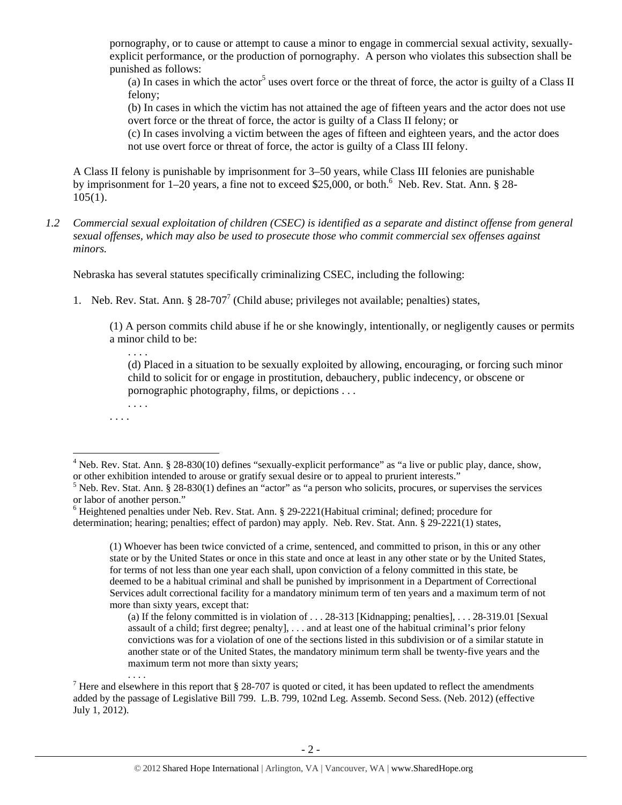pornography, or to cause or attempt to cause a minor to engage in commercial sexual activity, sexuallyexplicit performance, or the production of pornography. A person who violates this subsection shall be punished as follows:

(a) In cases in which the actor<sup>5</sup> uses overt force or the threat of force, the actor is guilty of a Class II felony;

(b) In cases in which the victim has not attained the age of fifteen years and the actor does not use overt force or the threat of force, the actor is guilty of a Class II felony; or

(c) In cases involving a victim between the ages of fifteen and eighteen years, and the actor does not use overt force or threat of force, the actor is guilty of a Class III felony.

A Class II felony is punishable by imprisonment for 3–50 years, while Class III felonies are punishable by imprisonment for 1–20 years, a fine not to exceed \$25,000, or both.<sup>6</sup> Neb. Rev. Stat. Ann. § 28- $105(1)$ .

*1.2 Commercial sexual exploitation of children (CSEC) is identified as a separate and distinct offense from general sexual offenses, which may also be used to prosecute those who commit commercial sex offenses against minors.* 

Nebraska has several statutes specifically criminalizing CSEC, including the following:

1. Neb. Rev. Stat. Ann.  $\S 28-707^7$  (Child abuse; privileges not available; penalties) states,

(1) A person commits child abuse if he or she knowingly, intentionally, or negligently causes or permits a minor child to be:

(d) Placed in a situation to be sexually exploited by allowing, encouraging, or forcing such minor child to solicit for or engage in prostitution, debauchery, public indecency, or obscene or pornographic photography, films, or depictions . . .

. . . .

(1) Whoever has been twice convicted of a crime, sentenced, and committed to prison, in this or any other state or by the United States or once in this state and once at least in any other state or by the United States, for terms of not less than one year each shall, upon conviction of a felony committed in this state, be deemed to be a habitual criminal and shall be punished by imprisonment in a Department of Correctional Services adult correctional facility for a mandatory minimum term of ten years and a maximum term of not more than sixty years, except that:

(a) If the felony committed is in violation of . . . 28-313 [Kidnapping; penalties], . . . 28-319.01 [Sexual assault of a child; first degree; penalty], . . . and at least one of the habitual criminal's prior felony convictions was for a violation of one of the sections listed in this subdivision or of a similar statute in another state or of the United States, the mandatory minimum term shall be twenty-five years and the maximum term not more than sixty years;

<sup>. . . .</sup>  . . . .

 <sup>4</sup> Neb. Rev. Stat. Ann. § 28-830(10) defines "sexually-explicit performance" as "a live or public play, dance, show, or other exhibition intended to arouse or gratify sexual desire or to appeal to prurient interests."

 $<sup>5</sup>$  Neb. Rev. Stat. Ann. § 28-830(1) defines an "actor" as "a person who solicits, procures, or supervises the services</sup> or labor of another person."

<sup>&</sup>lt;sup>6</sup> Heightened penalties under Neb. Rev. Stat. Ann. § 29-2221(Habitual criminal; defined; procedure for determination; hearing; penalties; effect of pardon) may apply. Neb. Rev. Stat. Ann. § 29-2221(1) states,

There and elsewhere in this report that § 28-707 is quoted or cited, it has been updated to reflect the amendments added by the passage of Legislative Bill 799. L.B. 799, 102nd Leg. Assemb. Second Sess. (Neb. 2012) (effective July 1, 2012).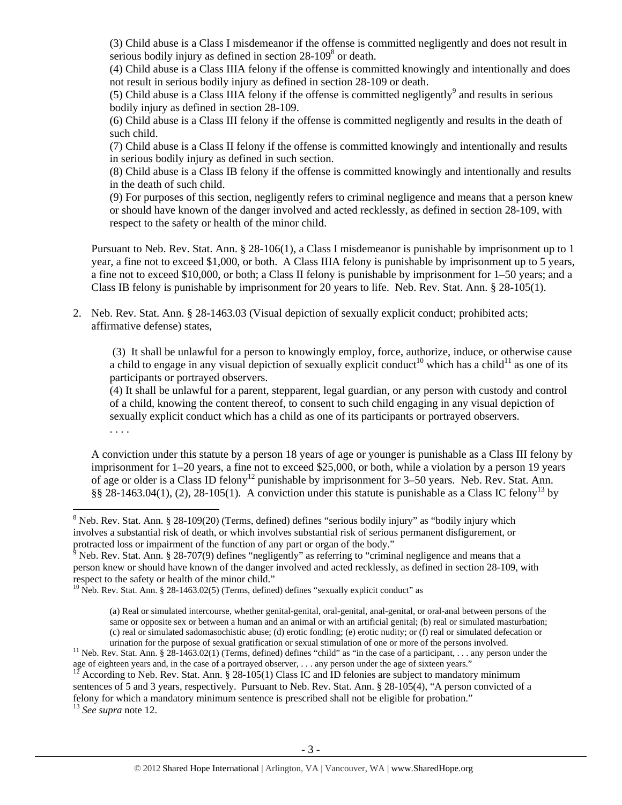(3) Child abuse is a Class I misdemeanor if the offense is committed negligently and does not result in serious bodily injury as defined in section  $28-109<sup>8</sup>$  or death.

(4) Child abuse is a Class IIIA felony if the offense is committed knowingly and intentionally and does not result in serious bodily injury as defined in section 28-109 or death.

(5) Child abuse is a Class IIIA felony if the offense is committed negligently<sup>9</sup> and results in serious bodily injury as defined in section 28-109.

(6) Child abuse is a Class III felony if the offense is committed negligently and results in the death of such child.

(7) Child abuse is a Class II felony if the offense is committed knowingly and intentionally and results in serious bodily injury as defined in such section.

(8) Child abuse is a Class IB felony if the offense is committed knowingly and intentionally and results in the death of such child.

(9) For purposes of this section, negligently refers to criminal negligence and means that a person knew or should have known of the danger involved and acted recklessly, as defined in section 28-109, with respect to the safety or health of the minor child.

Pursuant to Neb. Rev. Stat. Ann. § 28-106(1), a Class I misdemeanor is punishable by imprisonment up to 1 year, a fine not to exceed \$1,000, or both. A Class IIIA felony is punishable by imprisonment up to 5 years, a fine not to exceed \$10,000, or both; a Class II felony is punishable by imprisonment for 1–50 years; and a Class IB felony is punishable by imprisonment for 20 years to life. Neb. Rev. Stat. Ann. § 28-105(1).

2. Neb. Rev. Stat. Ann. § 28-1463.03 (Visual depiction of sexually explicit conduct; prohibited acts; affirmative defense) states,

 (3) It shall be unlawful for a person to knowingly employ, force, authorize, induce, or otherwise cause a child to engage in any visual depiction of sexually explicit conduct<sup>10</sup> which has a child<sup>11</sup> as one of its participants or portrayed observers.

(4) It shall be unlawful for a parent, stepparent, legal guardian, or any person with custody and control of a child, knowing the content thereof, to consent to such child engaging in any visual depiction of sexually explicit conduct which has a child as one of its participants or portrayed observers. . . . .

A conviction under this statute by a person 18 years of age or younger is punishable as a Class III felony by imprisonment for 1–20 years, a fine not to exceed \$25,000, or both, while a violation by a person 19 years of age or older is a Class ID felony<sup>12</sup> punishable by imprisonment for 3–50 years. Neb. Rev. Stat. Ann. §§ 28-1463.04(1), (2), 28-105(1). A conviction under this statute is punishable as a Class IC felony<sup>13</sup> by

According to Neb. Rev. Stat. Ann. § 28-105(1) Class IC and ID felonies are subject to mandatory minimum sentences of 5 and 3 years, respectively. Pursuant to Neb. Rev. Stat. Ann. § 28-105(4), "A person convicted of a felony for which a mandatory minimum sentence is prescribed shall not be eligible for probation." 13 *See supra* note 12.

 $8$  Neb. Rev. Stat. Ann.  $8$  28-109(20) (Terms, defined) defines "serious bodily injury" as "bodily injury which involves a substantial risk of death, or which involves substantial risk of serious permanent disfigurement, or protracted loss or impairment of the function of any part or organ of the body."

 $\frac{1}{9}$  Neb. Rev. Stat. Ann. § 28-707(9) defines "negligently" as referring to "criminal negligence and means that a person knew or should have known of the danger involved and acted recklessly, as defined in section 28-109, with respect to the safety or health of the minor child." 10 Neb. Rev. Stat. Ann. § 28-1463.02(5) (Terms, defined) defines "sexually explicit conduct" as

<sup>(</sup>a) Real or simulated intercourse, whether genital-genital, oral-genital, anal-genital, or oral-anal between persons of the same or opposite sex or between a human and an animal or with an artificial genital; (b) real or simulated masturbation; (c) real or simulated sadomasochistic abuse; (d) erotic fondling; (e) erotic nudity; or (f) real or simulated defecation or

<sup>&</sup>lt;sup>11</sup> Neb. Rev. Stat. Ann. § 28-1463.02(1) (Terms, defined) defines "child" as "in the case of a participant, . . . any person under the age of eighteen years and, in the case of a portrayed observer, . . . any person unde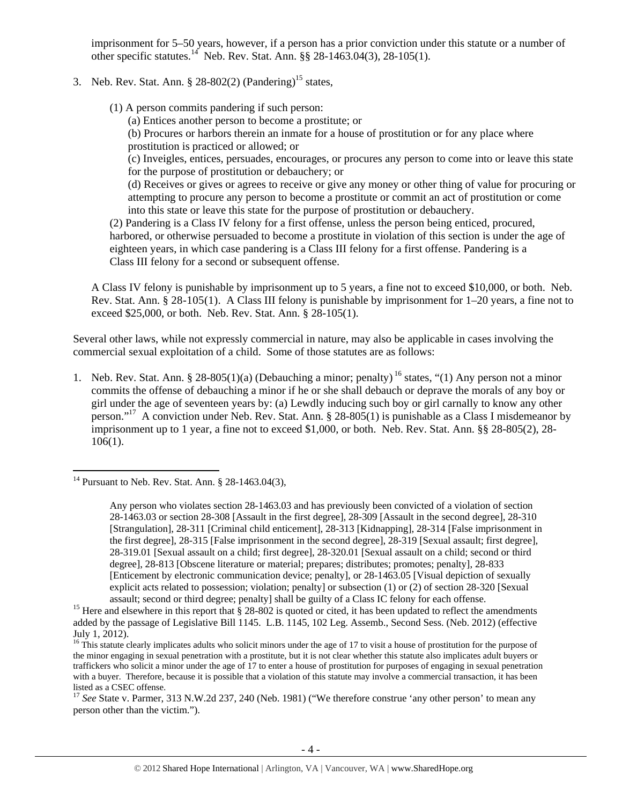imprisonment for 5–50 years, however, if a person has a prior conviction under this statute or a number of other specific statutes.<sup>14</sup> Neb. Rev. Stat. Ann. §§ 28-1463.04(3), 28-105(1).

3. Neb. Rev. Stat. Ann.  $\S 28-802(2)$  (Pandering)<sup>15</sup> states,

(1) A person commits pandering if such person:

(a) Entices another person to become a prostitute; or

(b) Procures or harbors therein an inmate for a house of prostitution or for any place where prostitution is practiced or allowed; or

(c) Inveigles, entices, persuades, encourages, or procures any person to come into or leave this state for the purpose of prostitution or debauchery; or

(d) Receives or gives or agrees to receive or give any money or other thing of value for procuring or attempting to procure any person to become a prostitute or commit an act of prostitution or come into this state or leave this state for the purpose of prostitution or debauchery.

(2) Pandering is a Class IV felony for a first offense, unless the person being enticed, procured, harbored, or otherwise persuaded to become a prostitute in violation of this section is under the age of eighteen years, in which case pandering is a Class III felony for a first offense. Pandering is a Class III felony for a second or subsequent offense.

A Class IV felony is punishable by imprisonment up to 5 years, a fine not to exceed \$10,000, or both. Neb. Rev. Stat. Ann. § 28-105(1). A Class III felony is punishable by imprisonment for 1–20 years, a fine not to exceed \$25,000, or both. Neb. Rev. Stat. Ann. § 28-105(1).

Several other laws, while not expressly commercial in nature, may also be applicable in cases involving the commercial sexual exploitation of a child. Some of those statutes are as follows:

1. Neb. Rev. Stat. Ann. § 28-805(1)(a) (Debauching a minor; penalty) <sup>16</sup> states, "(1) Any person not a minor commits the offense of debauching a minor if he or she shall debauch or deprave the morals of any boy or girl under the age of seventeen years by: (a) Lewdly inducing such boy or girl carnally to know any other person."<sup>17</sup> A conviction under Neb. Rev. Stat. Ann. § 28-805(1) is punishable as a Class I misdemeanor by imprisonment up to 1 year, a fine not to exceed \$1,000, or both. Neb. Rev. Stat. Ann. §§ 28-805(2), 28- 106(1).

<sup>&</sup>lt;sup>14</sup> Pursuant to Neb. Rev. Stat. Ann.  $\S$  28-1463.04(3),

Any person who violates section 28-1463.03 and has previously been convicted of a violation of section 28-1463.03 or section 28-308 [Assault in the first degree], 28-309 [Assault in the second degree], 28-310 [Strangulation], 28-311 [Criminal child enticement], 28-313 [Kidnapping], 28-314 [False imprisonment in the first degree], 28-315 [False imprisonment in the second degree], 28-319 [Sexual assault; first degree], 28-319.01 [Sexual assault on a child; first degree], 28-320.01 [Sexual assault on a child; second or third degree], 28-813 [Obscene literature or material; prepares; distributes; promotes; penalty], 28-833 [Enticement by electronic communication device; penalty], or 28-1463.05 [Visual depiction of sexually explicit acts related to possession; violation; penalty] or subsection (1) or (2) of section 28-320 [Sexual

assault; second or third degree; penalty] shall be guilty of a Class IC felony for each offense.<br><sup>15</sup> Here and elsewhere in this report that § 28-802 is quoted or cited, it has been updated to reflect the amendments added by the passage of Legislative Bill 1145. L.B. 1145, 102 Leg. Assemb., Second Sess. (Neb. 2012) (effective July 1, 2012).

 $16$  This statute clearly implicates adults who solicit minors under the age of 17 to visit a house of prostitution for the purpose of the minor engaging in sexual penetration with a prostitute, but it is not clear whether this statute also implicates adult buyers or traffickers who solicit a minor under the age of 17 to enter a house of prostitution for purposes of engaging in sexual penetration with a buyer. Therefore, because it is possible that a violation of this statute may involve a commercial transaction, it has been listed as a CSEC offense.

<sup>&</sup>lt;sup>17</sup> See State v. Parmer, 313 N.W.2d 237, 240 (Neb. 1981) ("We therefore construe 'any other person' to mean any person other than the victim.").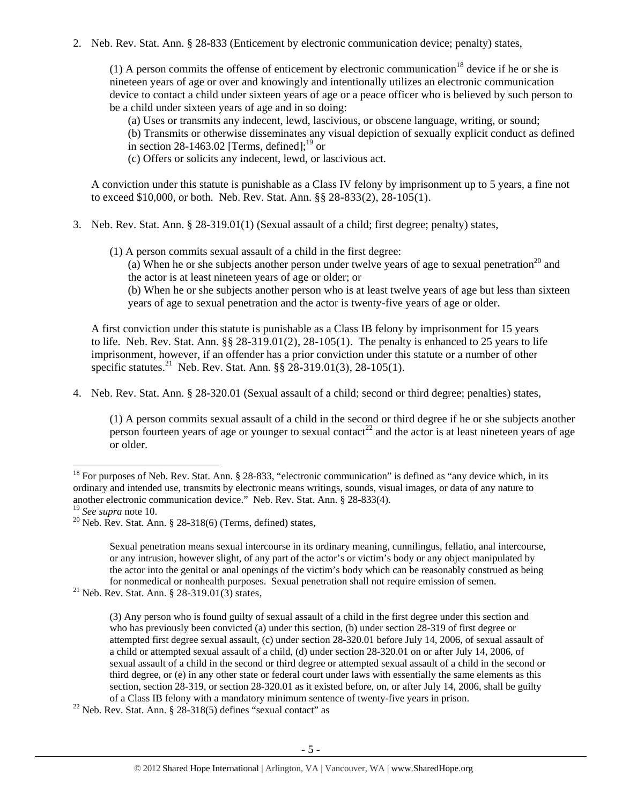2. Neb. Rev. Stat. Ann. § 28-833 (Enticement by electronic communication device; penalty) states,

(1) A person commits the offense of enticement by electronic communication<sup>18</sup> device if he or she is nineteen years of age or over and knowingly and intentionally utilizes an electronic communication device to contact a child under sixteen years of age or a peace officer who is believed by such person to be a child under sixteen years of age and in so doing:

(a) Uses or transmits any indecent, lewd, lascivious, or obscene language, writing, or sound;

(b) Transmits or otherwise disseminates any visual depiction of sexually explicit conduct as defined in section 28-1463.02 [Terms, defined]; $^{19}$  or

(c) Offers or solicits any indecent, lewd, or lascivious act.

A conviction under this statute is punishable as a Class IV felony by imprisonment up to 5 years, a fine not to exceed \$10,000, or both. Neb. Rev. Stat. Ann. §§ 28-833(2), 28-105(1).

- 3. Neb. Rev. Stat. Ann. § 28-319.01(1) (Sexual assault of a child; first degree; penalty) states,
	- (1) A person commits sexual assault of a child in the first degree:

(a) When he or she subjects another person under twelve years of age to sexual penetration<sup>20</sup> and the actor is at least nineteen years of age or older; or

(b) When he or she subjects another person who is at least twelve years of age but less than sixteen years of age to sexual penetration and the actor is twenty-five years of age or older.

A first conviction under this statute is punishable as a Class IB felony by imprisonment for 15 years to life. Neb. Rev. Stat. Ann.  $\S$ § 28-319.01(2), 28-105(1). The penalty is enhanced to 25 years to life imprisonment, however, if an offender has a prior conviction under this statute or a number of other specific statutes.<sup>21</sup> Neb. Rev. Stat. Ann.  $\S$ § 28-319.01(3), 28-105(1).

4. Neb. Rev. Stat. Ann. § 28-320.01 (Sexual assault of a child; second or third degree; penalties) states,

Sexual penetration means sexual intercourse in its ordinary meaning, cunnilingus, fellatio, anal intercourse, or any intrusion, however slight, of any part of the actor's or victim's body or any object manipulated by the actor into the genital or anal openings of the victim's body which can be reasonably construed as being for nonmedical or nonhealth purposes. Sexual penetration shall not require emission of semen. 21 Neb. Rev. Stat. Ann. § 28-319.01(3) states,

<sup>(1)</sup> A person commits sexual assault of a child in the second or third degree if he or she subjects another person fourteen years of age or younger to sexual contact<sup>22</sup> and the actor is at least nineteen years of age or older.

 $18$  For purposes of Neb. Rev. Stat. Ann. § 28-833, "electronic communication" is defined as "any device which, in its ordinary and intended use, transmits by electronic means writings, sounds, visual images, or data of any nature to another electronic communication device." Neb. Rev. Stat. Ann. § 28-833(4). <sup>19</sup> See supra note 10.

<sup>&</sup>lt;sup>20</sup> Neb. Rev. Stat. Ann. § 28-318(6) (Terms, defined) states,

<sup>(3)</sup> Any person who is found guilty of sexual assault of a child in the first degree under this section and who has previously been convicted (a) under this section, (b) under section 28-319 of first degree or attempted first degree sexual assault, (c) under section 28-320.01 before July 14, 2006, of sexual assault of a child or attempted sexual assault of a child, (d) under section 28-320.01 on or after July 14, 2006, of sexual assault of a child in the second or third degree or attempted sexual assault of a child in the second or third degree, or (e) in any other state or federal court under laws with essentially the same elements as this section, section 28-319, or section 28-320.01 as it existed before, on, or after July 14, 2006, shall be guilty of a Class IB felony with a mandatory minimum sentence of twenty-five years in prison. 22 Neb. Rev. Stat. Ann. § 28-318(5) defines "sexual contact" as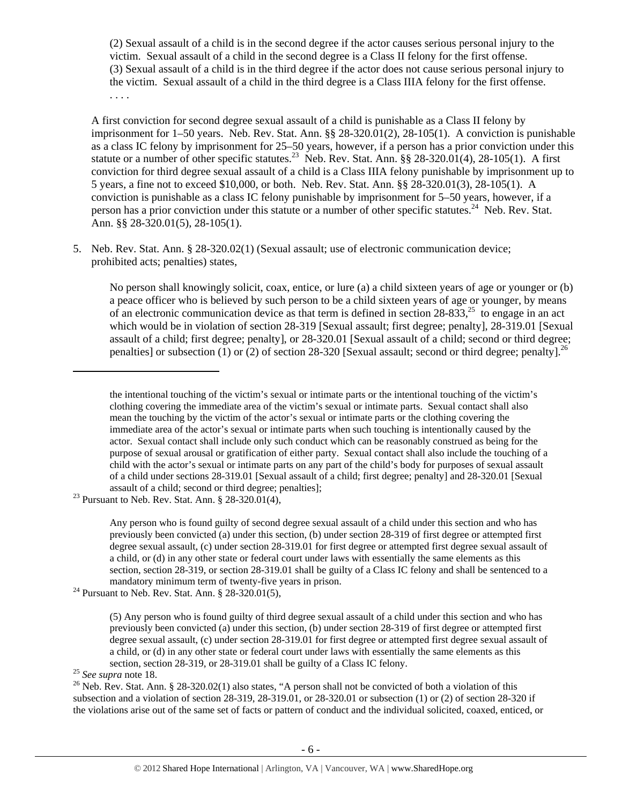(2) Sexual assault of a child is in the second degree if the actor causes serious personal injury to the victim. Sexual assault of a child in the second degree is a Class II felony for the first offense. (3) Sexual assault of a child is in the third degree if the actor does not cause serious personal injury to the victim. Sexual assault of a child in the third degree is a Class IIIA felony for the first offense. . . . .

A first conviction for second degree sexual assault of a child is punishable as a Class II felony by imprisonment for 1–50 years. Neb. Rev. Stat. Ann. §§ 28-320.01(2), 28-105(1). A conviction is punishable as a class IC felony by imprisonment for 25–50 years, however, if a person has a prior conviction under this statute or a number of other specific statutes.<sup>23</sup> Neb. Rev. Stat. Ann. §§ 28-320.01(4), 28-105(1). A first conviction for third degree sexual assault of a child is a Class IIIA felony punishable by imprisonment up to 5 years, a fine not to exceed \$10,000, or both. Neb. Rev. Stat. Ann. §§ 28-320.01(3), 28-105(1). A conviction is punishable as a class IC felony punishable by imprisonment for 5–50 years, however, if a person has a prior conviction under this statute or a number of other specific statutes.<sup>24</sup> Neb. Rev. Stat. Ann. §§ 28-320.01(5), 28-105(1).

5. Neb. Rev. Stat. Ann. § 28-320.02(1) (Sexual assault; use of electronic communication device; prohibited acts; penalties) states,

No person shall knowingly solicit, coax, entice, or lure (a) a child sixteen years of age or younger or (b) a peace officer who is believed by such person to be a child sixteen years of age or younger, by means of an electronic communication device as that term is defined in section  $28-833$ ,<sup>25</sup> to engage in an act which would be in violation of section 28-319 [Sexual assault; first degree; penalty], 28-319.01 [Sexual assault of a child; first degree; penalty], or 28-320.01 [Sexual assault of a child; second or third degree; penalties] or subsection (1) or (2) of section 28-320 [Sexual assault; second or third degree; penalty].<sup>26</sup>

the intentional touching of the victim's sexual or intimate parts or the intentional touching of the victim's clothing covering the immediate area of the victim's sexual or intimate parts. Sexual contact shall also mean the touching by the victim of the actor's sexual or intimate parts or the clothing covering the immediate area of the actor's sexual or intimate parts when such touching is intentionally caused by the actor. Sexual contact shall include only such conduct which can be reasonably construed as being for the purpose of sexual arousal or gratification of either party. Sexual contact shall also include the touching of a child with the actor's sexual or intimate parts on any part of the child's body for purposes of sexual assault of a child under sections 28-319.01 [Sexual assault of a child; first degree; penalty] and 28-320.01 [Sexual

assault of a child; second or third degree; penalties]; 23 Pursuant to Neb. Rev. Stat. Ann. § 28-320.01(4),

Any person who is found guilty of second degree sexual assault of a child under this section and who has previously been convicted (a) under this section, (b) under section 28-319 of first degree or attempted first degree sexual assault, (c) under section 28-319.01 for first degree or attempted first degree sexual assault of a child, or (d) in any other state or federal court under laws with essentially the same elements as this section, section 28-319, or section 28-319.01 shall be guilty of a Class IC felony and shall be sentenced to a mandatory minimum term of twenty-five years in prison.<br><sup>24</sup> Pursuant to Neb. Rev. Stat. Ann. § 28-320.01(5),

<sup>(5)</sup> Any person who is found guilty of third degree sexual assault of a child under this section and who has previously been convicted (a) under this section, (b) under section 28-319 of first degree or attempted first degree sexual assault, (c) under section 28-319.01 for first degree or attempted first degree sexual assault of a child, or (d) in any other state or federal court under laws with essentially the same elements as this

section, section 28-319, or 28-319.01 shall be guilty of a Class IC felony.<br><sup>25</sup> *See supra* note 18.<br><sup>26</sup> Neb. Rev. Stat. Ann. § 28-320.02(1) also states, "A person shall not be convicted of both a violation of this subsection and a violation of section 28-319, 28-319.01, or 28-320.01 or subsection (1) or (2) of section 28-320 if the violations arise out of the same set of facts or pattern of conduct and the individual solicited, coaxed, enticed, or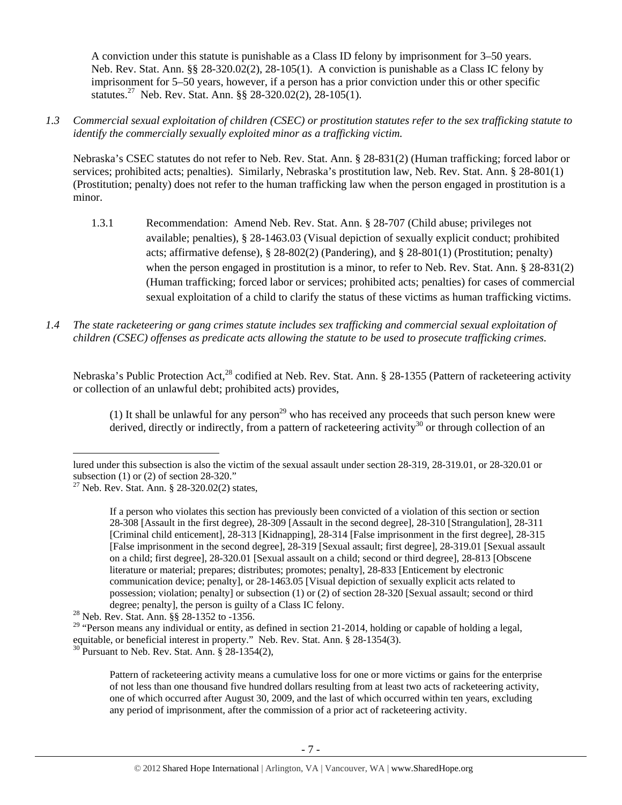A conviction under this statute is punishable as a Class ID felony by imprisonment for 3–50 years. Neb. Rev. Stat. Ann. §§ 28-320.02(2), 28-105(1). A conviction is punishable as a Class IC felony by imprisonment for 5–50 years, however, if a person has a prior conviction under this or other specific statutes.27 Neb. Rev. Stat. Ann. §§ 28-320.02(2), 28-105(1).

*1.3 Commercial sexual exploitation of children (CSEC) or prostitution statutes refer to the sex trafficking statute to identify the commercially sexually exploited minor as a trafficking victim.* 

Nebraska's CSEC statutes do not refer to Neb. Rev. Stat. Ann. § 28-831(2) (Human trafficking; forced labor or services; prohibited acts; penalties). Similarly, Nebraska's prostitution law, Neb. Rev. Stat. Ann. § 28-801(1) (Prostitution; penalty) does not refer to the human trafficking law when the person engaged in prostitution is a minor.

- 1.3.1 Recommendation: Amend Neb. Rev. Stat. Ann. § 28-707 (Child abuse; privileges not available; penalties), § 28-1463.03 (Visual depiction of sexually explicit conduct; prohibited acts; affirmative defense), § 28-802(2) (Pandering), and § 28-801(1) (Prostitution; penalty) when the person engaged in prostitution is a minor, to refer to Neb. Rev. Stat. Ann. § 28-831(2) (Human trafficking; forced labor or services; prohibited acts; penalties) for cases of commercial sexual exploitation of a child to clarify the status of these victims as human trafficking victims.
- *1.4 The state racketeering or gang crimes statute includes sex trafficking and commercial sexual exploitation of children (CSEC) offenses as predicate acts allowing the statute to be used to prosecute trafficking crimes.*

Nebraska's Public Protection Act,<sup>28</sup> codified at Neb. Rev. Stat. Ann. § 28-1355 (Pattern of racketeering activity or collection of an unlawful debt; prohibited acts) provides,

(1) It shall be unlawful for any person<sup>29</sup> who has received any proceeds that such person knew were derived, directly or indirectly, from a pattern of racketeering activity<sup>30</sup> or through collection of an

lured under this subsection is also the victim of the sexual assault under section 28-319, 28-319.01, or 28-320.01 or subsection  $(1)$  or  $(2)$  of section 28-320."

<sup>&</sup>lt;sup>27</sup> Neb. Rev. Stat. Ann. § 28-320.02(2) states,

If a person who violates this section has previously been convicted of a violation of this section or section 28-308 [Assault in the first degree), 28-309 [Assault in the second degree], 28-310 [Strangulation], 28-311 [Criminal child enticement], 28-313 [Kidnapping], 28-314 [False imprisonment in the first degree], 28-315 [False imprisonment in the second degree], 28-319 [Sexual assault; first degree], 28-319.01 [Sexual assault on a child; first degree], 28-320.01 [Sexual assault on a child; second or third degree], 28-813 [Obscene literature or material; prepares; distributes; promotes; penalty], 28-833 [Enticement by electronic communication device; penalty], or 28-1463.05 [Visual depiction of sexually explicit acts related to possession; violation; penalty] or subsection (1) or (2) of section 28-320 [Sexual assault; second or third degree; penalty], the person is guilty of a Class IC felony.<br><sup>28</sup> Neb. Rev. Stat. Ann. §§ 28-1352 to -1356.

<sup>&</sup>lt;sup>29</sup> "Person means any individual or entity, as defined in section 21-2014, holding or capable of holding a legal, equitable, or beneficial interest in property." Neb. Rev. Stat. Ann. § 28-1354(3).

 $30$  Pursuant to Neb. Rev. Stat. Ann. § 28-1354(2),

Pattern of racketeering activity means a cumulative loss for one or more victims or gains for the enterprise of not less than one thousand five hundred dollars resulting from at least two acts of racketeering activity, one of which occurred after August 30, 2009, and the last of which occurred within ten years, excluding any period of imprisonment, after the commission of a prior act of racketeering activity.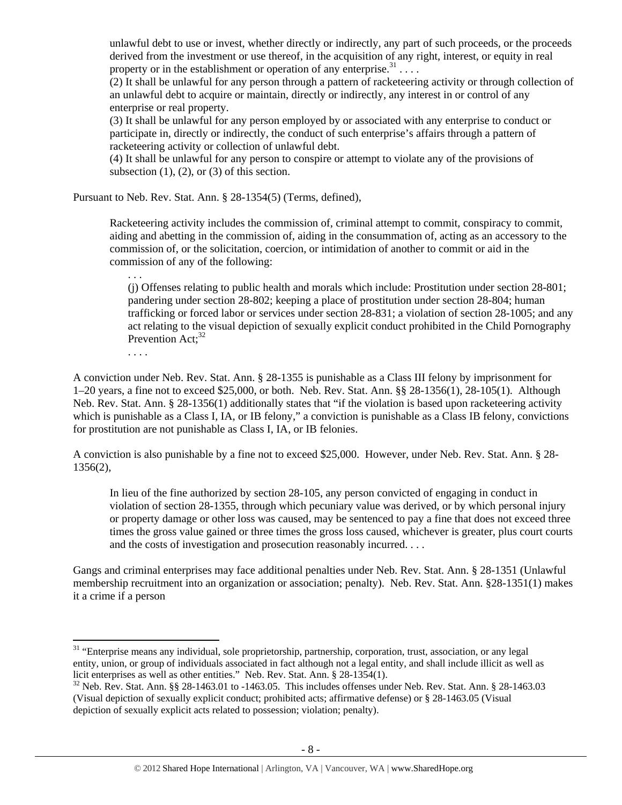unlawful debt to use or invest, whether directly or indirectly, any part of such proceeds, or the proceeds derived from the investment or use thereof, in the acquisition of any right, interest, or equity in real property or in the establishment or operation of any enterprise.<sup>31</sup>...

 $(2)$  It shall be unlawful for any person through a pattern of racketeering activity or through collection of an unlawful debt to acquire or maintain, directly or indirectly, any interest in or control of any enterprise or real property.

(3) It shall be unlawful for any person employed by or associated with any enterprise to conduct or participate in, directly or indirectly, the conduct of such enterprise's affairs through a pattern of racketeering activity or collection of unlawful debt.

(4) It shall be unlawful for any person to conspire or attempt to violate any of the provisions of subsection  $(1)$ ,  $(2)$ , or  $(3)$  of this section.

Pursuant to Neb. Rev. Stat. Ann. § 28-1354(5) (Terms, defined),

Racketeering activity includes the commission of, criminal attempt to commit, conspiracy to commit, aiding and abetting in the commission of, aiding in the consummation of, acting as an accessory to the commission of, or the solicitation, coercion, or intimidation of another to commit or aid in the commission of any of the following:

(j) Offenses relating to public health and morals which include: Prostitution under section 28-801; pandering under section 28-802; keeping a place of prostitution under section 28-804; human trafficking or forced labor or services under section 28-831; a violation of section 28-1005; and any act relating to the visual depiction of sexually explicit conduct prohibited in the Child Pornography Prevention  $Act:^{32}$ 

. . . .

. . .

A conviction under Neb. Rev. Stat. Ann. § 28-1355 is punishable as a Class III felony by imprisonment for 1–20 years, a fine not to exceed \$25,000, or both. Neb. Rev. Stat. Ann. §§ 28-1356(1), 28-105(1). Although Neb. Rev. Stat. Ann. § 28-1356(1) additionally states that "if the violation is based upon racketeering activity which is punishable as a Class I, IA, or IB felony," a conviction is punishable as a Class IB felony, convictions for prostitution are not punishable as Class I, IA, or IB felonies.

A conviction is also punishable by a fine not to exceed \$25,000. However, under Neb. Rev. Stat. Ann. § 28- 1356(2),

In lieu of the fine authorized by section 28-105, any person convicted of engaging in conduct in violation of section 28-1355, through which pecuniary value was derived, or by which personal injury or property damage or other loss was caused, may be sentenced to pay a fine that does not exceed three times the gross value gained or three times the gross loss caused, whichever is greater, plus court courts and the costs of investigation and prosecution reasonably incurred. . . .

Gangs and criminal enterprises may face additional penalties under Neb. Rev. Stat. Ann. § 28-1351 (Unlawful membership recruitment into an organization or association; penalty). Neb. Rev. Stat. Ann. §28-1351(1) makes it a crime if a person

<sup>&</sup>lt;sup>31</sup> "Enterprise means any individual, sole proprietorship, partnership, corporation, trust, association, or any legal entity, union, or group of individuals associated in fact although not a legal entity, and shall include illicit as well as licit enterprises as well as other entities." Neb. Rev. Stat. Ann. § 28-1354(1).

 $32$  Neb. Rev. Stat. Ann. §§ 28-1463.01 to -1463.05. This includes offenses under Neb. Rev. Stat. Ann. § 28-1463.03 (Visual depiction of sexually explicit conduct; prohibited acts; affirmative defense) or § 28-1463.05 (Visual depiction of sexually explicit acts related to possession; violation; penalty).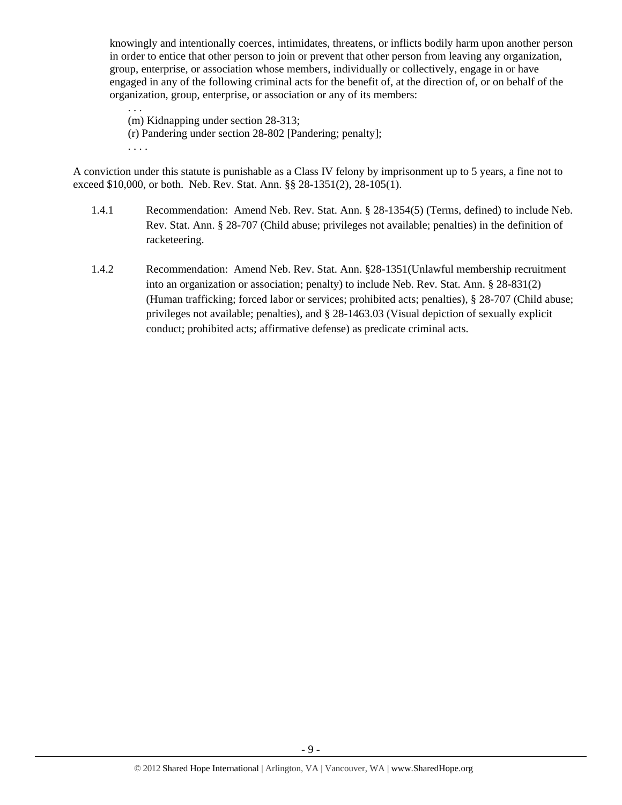knowingly and intentionally coerces, intimidates, threatens, or inflicts bodily harm upon another person in order to entice that other person to join or prevent that other person from leaving any organization, group, enterprise, or association whose members, individually or collectively, engage in or have engaged in any of the following criminal acts for the benefit of, at the direction of, or on behalf of the organization, group, enterprise, or association or any of its members:

. . . (m) Kidnapping under section 28-313; (r) Pandering under section 28-802 [Pandering; penalty]; . . . .

A conviction under this statute is punishable as a Class IV felony by imprisonment up to 5 years, a fine not to exceed \$10,000, or both. Neb. Rev. Stat. Ann. §§ 28-1351(2), 28-105(1).

- 1.4.1 Recommendation: Amend Neb. Rev. Stat. Ann. § 28-1354(5) (Terms, defined) to include Neb. Rev. Stat. Ann. § 28-707 (Child abuse; privileges not available; penalties) in the definition of racketeering.
- 1.4.2 Recommendation: Amend Neb. Rev. Stat. Ann. §28-1351(Unlawful membership recruitment into an organization or association; penalty) to include Neb. Rev. Stat. Ann. § 28-831(2) (Human trafficking; forced labor or services; prohibited acts; penalties), § 28-707 (Child abuse; privileges not available; penalties), and § 28-1463.03 (Visual depiction of sexually explicit conduct; prohibited acts; affirmative defense) as predicate criminal acts.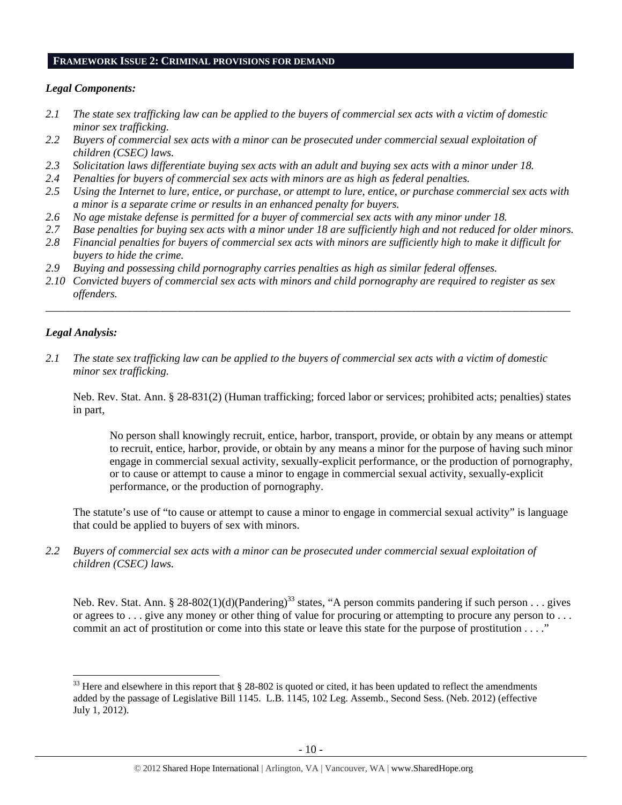#### **FRAMEWORK ISSUE 2: CRIMINAL PROVISIONS FOR DEMAND**

## *Legal Components:*

- *2.1 The state sex trafficking law can be applied to the buyers of commercial sex acts with a victim of domestic minor sex trafficking.*
- *2.2 Buyers of commercial sex acts with a minor can be prosecuted under commercial sexual exploitation of children (CSEC) laws.*
- *2.3 Solicitation laws differentiate buying sex acts with an adult and buying sex acts with a minor under 18.*
- *2.4 Penalties for buyers of commercial sex acts with minors are as high as federal penalties.*
- *2.5 Using the Internet to lure, entice, or purchase, or attempt to lure, entice, or purchase commercial sex acts with a minor is a separate crime or results in an enhanced penalty for buyers.*
- *2.6 No age mistake defense is permitted for a buyer of commercial sex acts with any minor under 18.*
- *2.7 Base penalties for buying sex acts with a minor under 18 are sufficiently high and not reduced for older minors.*
- *2.8 Financial penalties for buyers of commercial sex acts with minors are sufficiently high to make it difficult for buyers to hide the crime.*
- *2.9 Buying and possessing child pornography carries penalties as high as similar federal offenses.*
- *2.10 Convicted buyers of commercial sex acts with minors and child pornography are required to register as sex offenders.*

\_\_\_\_\_\_\_\_\_\_\_\_\_\_\_\_\_\_\_\_\_\_\_\_\_\_\_\_\_\_\_\_\_\_\_\_\_\_\_\_\_\_\_\_\_\_\_\_\_\_\_\_\_\_\_\_\_\_\_\_\_\_\_\_\_\_\_\_\_\_\_\_\_\_\_\_\_\_\_\_\_\_\_\_\_\_\_\_\_\_\_\_\_\_

#### *Legal Analysis:*

*2.1 The state sex trafficking law can be applied to the buyers of commercial sex acts with a victim of domestic minor sex trafficking.* 

Neb. Rev. Stat. Ann. § 28-831(2) (Human trafficking; forced labor or services; prohibited acts; penalties) states in part,

No person shall knowingly recruit, entice, harbor, transport, provide, or obtain by any means or attempt to recruit, entice, harbor, provide, or obtain by any means a minor for the purpose of having such minor engage in commercial sexual activity, sexually-explicit performance, or the production of pornography, or to cause or attempt to cause a minor to engage in commercial sexual activity, sexually-explicit performance, or the production of pornography.

The statute's use of "to cause or attempt to cause a minor to engage in commercial sexual activity" is language that could be applied to buyers of sex with minors.

*2.2 Buyers of commercial sex acts with a minor can be prosecuted under commercial sexual exploitation of children (CSEC) laws.* 

Neb. Rev. Stat. Ann. § 28-802(1)(d)(Pandering)<sup>33</sup> states, "A person commits pandering if such person . . . gives or agrees to . . . give any money or other thing of value for procuring or attempting to procure any person to . . . commit an act of prostitution or come into this state or leave this state for the purpose of prostitution . . . ."

<sup>&</sup>lt;sup>33</sup> Here and elsewhere in this report that § 28-802 is quoted or cited, it has been updated to reflect the amendments added by the passage of Legislative Bill 1145. L.B. 1145, 102 Leg. Assemb., Second Sess. (Neb. 2012) (effective July 1, 2012).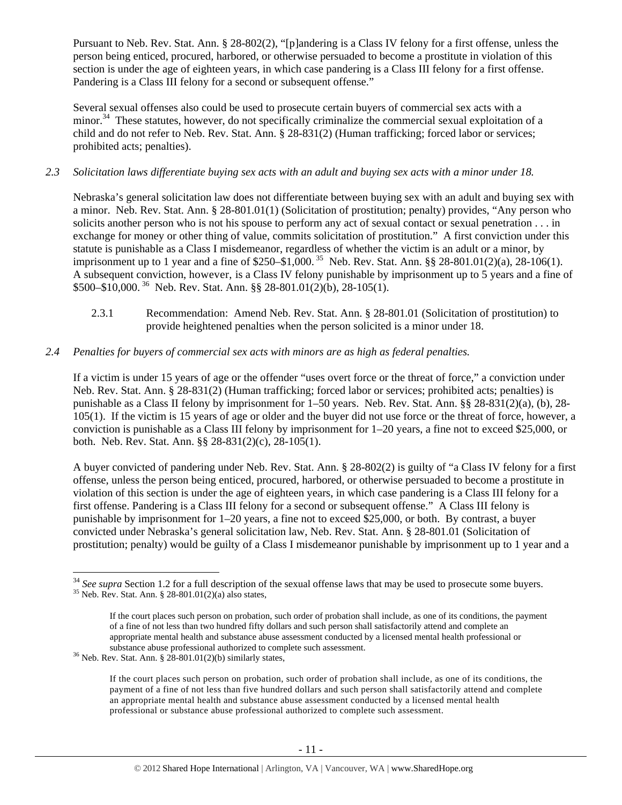Pursuant to Neb. Rev. Stat. Ann. § 28-802(2), "[p]andering is a Class IV felony for a first offense, unless the person being enticed, procured, harbored, or otherwise persuaded to become a prostitute in violation of this section is under the age of eighteen years, in which case pandering is a Class III felony for a first offense. Pandering is a Class III felony for a second or subsequent offense."

Several sexual offenses also could be used to prosecute certain buyers of commercial sex acts with a minor.<sup>34</sup> These statutes, however, do not specifically criminalize the commercial sexual exploitation of a child and do not refer to Neb. Rev. Stat. Ann. § 28-831(2) (Human trafficking; forced labor or services; prohibited acts; penalties).

## *2.3 Solicitation laws differentiate buying sex acts with an adult and buying sex acts with a minor under 18.*

Nebraska's general solicitation law does not differentiate between buying sex with an adult and buying sex with a minor. Neb. Rev. Stat. Ann. § 28-801.01(1) (Solicitation of prostitution; penalty) provides, "Any person who solicits another person who is not his spouse to perform any act of sexual contact or sexual penetration . . . in exchange for money or other thing of value, commits solicitation of prostitution." A first conviction under this statute is punishable as a Class I misdemeanor, regardless of whether the victim is an adult or a minor, by imprisonment up to 1 year and a fine of \$250–\$1,000. 35 Neb. Rev. Stat. Ann. §§ 28-801.01(2)(a), 28-106(1). A subsequent conviction, however, is a Class IV felony punishable by imprisonment up to 5 years and a fine of \$500–\$10,000. 36 Neb. Rev. Stat. Ann. §§ 28-801.01(2)(b), 28-105(1).

2.3.1 Recommendation: Amend Neb. Rev. Stat. Ann. § 28-801.01 (Solicitation of prostitution) to provide heightened penalties when the person solicited is a minor under 18.

## *2.4 Penalties for buyers of commercial sex acts with minors are as high as federal penalties.*

If a victim is under 15 years of age or the offender "uses overt force or the threat of force," a conviction under Neb. Rev. Stat. Ann. § 28-831(2) (Human trafficking; forced labor or services; prohibited acts; penalties) is punishable as a Class II felony by imprisonment for 1–50 years. Neb. Rev. Stat. Ann. §§ 28-831(2)(a), (b), 28- 105(1). If the victim is 15 years of age or older and the buyer did not use force or the threat of force, however, a conviction is punishable as a Class III felony by imprisonment for 1–20 years, a fine not to exceed \$25,000, or both. Neb. Rev. Stat. Ann. §§ 28-831(2)(c), 28-105(1).

A buyer convicted of pandering under Neb. Rev. Stat. Ann. § 28-802(2) is guilty of "a Class IV felony for a first offense, unless the person being enticed, procured, harbored, or otherwise persuaded to become a prostitute in violation of this section is under the age of eighteen years, in which case pandering is a Class III felony for a first offense. Pandering is a Class III felony for a second or subsequent offense." A Class III felony is punishable by imprisonment for 1–20 years, a fine not to exceed \$25,000, or both. By contrast, a buyer convicted under Nebraska's general solicitation law, Neb. Rev. Stat. Ann. § 28-801.01 (Solicitation of prostitution; penalty) would be guilty of a Class I misdemeanor punishable by imprisonment up to 1 year and a

<sup>&</sup>lt;sup>34</sup> *See supra* Section 1.2 for a full description of the sexual offense laws that may be used to prosecute some buyers. Neb. Rev. Stat. Ann. § 28-801.01(2)(a) also states,

If the court places such person on probation, such order of probation shall include, as one of its conditions, the payment of a fine of not less than two hundred fifty dollars and such person shall satisfactorily attend and complete an appropriate mental health and substance abuse assessment conducted by a licensed mental health professional or substance abuse professional authorized to complete such assessment. 36 Neb. Rev. Stat. Ann. § 28-801.01(2)(b) similarly states,

If the court places such person on probation, such order of probation shall include, as one of its conditions, the payment of a fine of not less than five hundred dollars and such person shall satisfactorily attend and complete an appropriate mental health and substance abuse assessment conducted by a licensed mental health professional or substance abuse professional authorized to complete such assessment.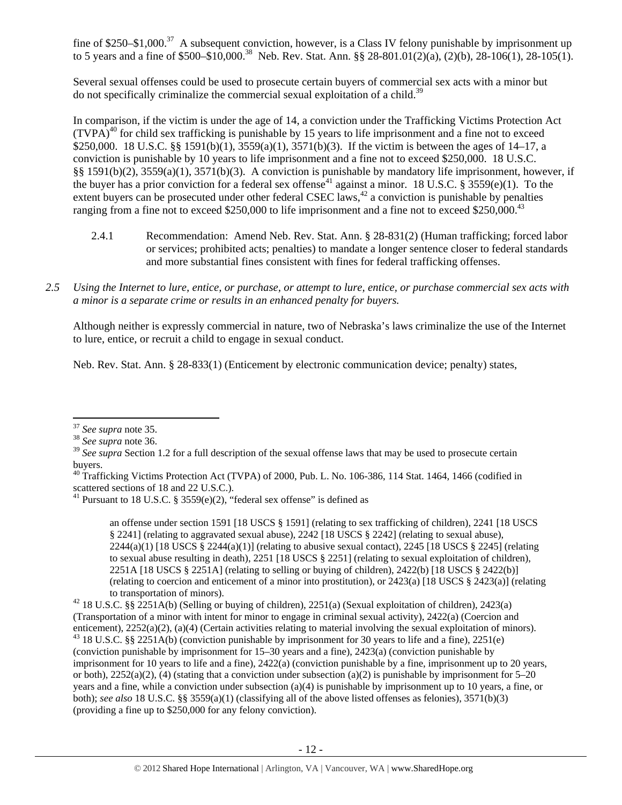fine of \$250–\$1,000.<sup>37</sup> A subsequent conviction, however, is a Class IV felony punishable by imprisonment up to 5 years and a fine of \$500–\$10,000.<sup>38</sup> Neb. Rev. Stat. Ann. §§ 28-801.01(2)(a), (2)(b), 28-106(1), 28-105(1).

Several sexual offenses could be used to prosecute certain buyers of commercial sex acts with a minor but do not specifically criminalize the commercial sexual exploitation of a child.<sup>39</sup>

In comparison, if the victim is under the age of 14, a conviction under the Trafficking Victims Protection Act  $(TVPA)<sup>40</sup>$  for child sex trafficking is punishable by 15 years to life imprisonment and a fine not to exceed \$250,000. 18 U.S.C. §§ 1591(b)(1), 3559(a)(1), 3571(b)(3). If the victim is between the ages of 14–17, a conviction is punishable by 10 years to life imprisonment and a fine not to exceed \$250,000. 18 U.S.C. §§ 1591(b)(2), 3559(a)(1), 3571(b)(3). A conviction is punishable by mandatory life imprisonment, however, if the buyer has a prior conviction for a federal sex offense<sup>41</sup> against a minor. 18 U.S.C. § 3559(e)(1). To the extent buyers can be prosecuted under other federal CSEC laws, $^{42}$  a conviction is punishable by penalties ranging from a fine not to exceed \$250,000 to life imprisonment and a fine not to exceed \$250,000.<sup>43</sup>

- 2.4.1 Recommendation: Amend Neb. Rev. Stat. Ann. § 28-831(2) (Human trafficking; forced labor or services; prohibited acts; penalties) to mandate a longer sentence closer to federal standards and more substantial fines consistent with fines for federal trafficking offenses.
- *2.5 Using the Internet to lure, entice, or purchase, or attempt to lure, entice, or purchase commercial sex acts with a minor is a separate crime or results in an enhanced penalty for buyers.*

Although neither is expressly commercial in nature, two of Nebraska's laws criminalize the use of the Internet to lure, entice, or recruit a child to engage in sexual conduct.

Neb. Rev. Stat. Ann. § 28-833(1) (Enticement by electronic communication device; penalty) states,

an offense under section 1591 [18 USCS § 1591] (relating to sex trafficking of children), 2241 [18 USCS § 2241] (relating to aggravated sexual abuse), 2242 [18 USCS § 2242] (relating to sexual abuse),  $2244(a)(1)$  [18 USCS §  $2244(a)(1)$ ] (relating to abusive sexual contact),  $2245$  [18 USCS § 2245] (relating to sexual abuse resulting in death), 2251 [18 USCS § 2251] (relating to sexual exploitation of children), 2251A [18 USCS § 2251A] (relating to selling or buying of children), 2422(b) [18 USCS § 2422(b)] (relating to coercion and enticement of a minor into prostitution), or 2423(a) [18 USCS § 2423(a)] (relating to transportation of minors). 42 18 U.S.C. §§ 2251A(b) (Selling or buying of children), 2251(a) (Sexual exploitation of children), 2423(a)

(Transportation of a minor with intent for minor to engage in criminal sexual activity), 2422(a) (Coercion and enticement), 2252(a)(2), (a)(4) (Certain activities relating to material involving the sexual exploitation of minors). <sup>43</sup> 18 U.S.C. §§ 2251A(b) (conviction punishable by imprisonment for 30 years to life and a fine), 225 (conviction punishable by imprisonment for 15–30 years and a fine), 2423(a) (conviction punishable by imprisonment for 10 years to life and a fine), 2422(a) (conviction punishable by a fine, imprisonment up to 20 years, or both),  $2252(a)(2)$ , (4) (stating that a conviction under subsection (a)(2) is punishable by imprisonment for 5–20 years and a fine, while a conviction under subsection (a)(4) is punishable by imprisonment up to 10 years, a fine, or both); *see also* 18 U.S.C. §§ 3559(a)(1) (classifying all of the above listed offenses as felonies), 3571(b)(3) (providing a fine up to \$250,000 for any felony conviction).

<sup>37</sup> *See supra* note 35. 38 *See supra* note 36.

<sup>&</sup>lt;sup>39</sup> See supra Section 1.2 for a full description of the sexual offense laws that may be used to prosecute certain buyers.

 $^{40}$  Trafficking Victims Protection Act (TVPA) of 2000, Pub. L. No. 106-386, 114 Stat. 1464, 1466 (codified in scattered sections of 18 and 22 U.S.C.).

<sup>&</sup>lt;sup>41</sup> Pursuant to 18 U.S.C. § 3559 $(e)(2)$ , "federal sex offense" is defined as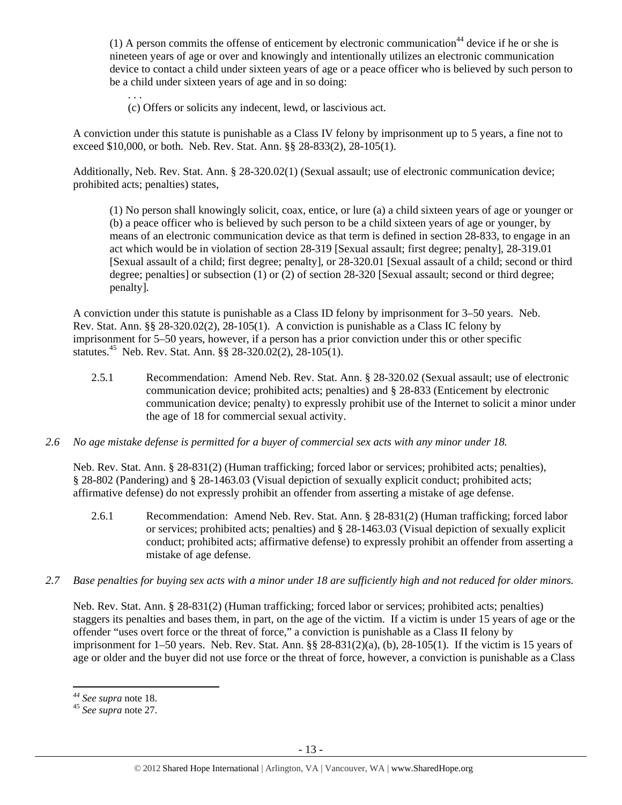(1) A person commits the offense of enticement by electronic communication<sup>44</sup> device if he or she is nineteen years of age or over and knowingly and intentionally utilizes an electronic communication device to contact a child under sixteen years of age or a peace officer who is believed by such person to be a child under sixteen years of age and in so doing:

. . . (c) Offers or solicits any indecent, lewd, or lascivious act.

A conviction under this statute is punishable as a Class IV felony by imprisonment up to 5 years, a fine not to exceed \$10,000, or both. Neb. Rev. Stat. Ann. §§ 28-833(2), 28-105(1).

Additionally, Neb. Rev. Stat. Ann. § 28-320.02(1) (Sexual assault; use of electronic communication device; prohibited acts; penalties) states,

(1) No person shall knowingly solicit, coax, entice, or lure (a) a child sixteen years of age or younger or (b) a peace officer who is believed by such person to be a child sixteen years of age or younger, by means of an electronic communication device as that term is defined in section 28-833, to engage in an act which would be in violation of section 28-319 [Sexual assault; first degree; penalty], 28-319.01 [Sexual assault of a child; first degree; penalty], or 28-320.01 [Sexual assault of a child; second or third degree; penalties] or subsection (1) or (2) of section 28-320 [Sexual assault; second or third degree; penalty].

A conviction under this statute is punishable as a Class ID felony by imprisonment for 3–50 years. Neb. Rev. Stat. Ann. §§ 28-320.02(2), 28-105(1). A conviction is punishable as a Class IC felony by imprisonment for 5–50 years, however, if a person has a prior conviction under this or other specific statutes.45 Neb. Rev. Stat. Ann. §§ 28-320.02(2), 28-105(1).

- 2.5.1 Recommendation: Amend Neb. Rev. Stat. Ann. § 28-320.02 (Sexual assault; use of electronic communication device; prohibited acts; penalties) and § 28-833 (Enticement by electronic communication device; penalty) to expressly prohibit use of the Internet to solicit a minor under the age of 18 for commercial sexual activity.
- *2.6 No age mistake defense is permitted for a buyer of commercial sex acts with any minor under 18.*

Neb. Rev. Stat. Ann. § 28-831(2) (Human trafficking; forced labor or services; prohibited acts; penalties), § 28-802 (Pandering) and § 28-1463.03 (Visual depiction of sexually explicit conduct; prohibited acts; affirmative defense) do not expressly prohibit an offender from asserting a mistake of age defense.

- 2.6.1 Recommendation: Amend Neb. Rev. Stat. Ann. § 28-831(2) (Human trafficking; forced labor or services; prohibited acts; penalties) and § 28-1463.03 (Visual depiction of sexually explicit conduct; prohibited acts; affirmative defense) to expressly prohibit an offender from asserting a mistake of age defense.
- *2.7 Base penalties for buying sex acts with a minor under 18 are sufficiently high and not reduced for older minors.*

Neb. Rev. Stat. Ann. § 28-831(2) (Human trafficking; forced labor or services; prohibited acts; penalties) staggers its penalties and bases them, in part, on the age of the victim. If a victim is under 15 years of age or the offender "uses overt force or the threat of force," a conviction is punishable as a Class II felony by imprisonment for 1–50 years. Neb. Rev. Stat. Ann. §§ 28-831(2)(a), (b), 28-105(1). If the victim is 15 years of age or older and the buyer did not use force or the threat of force, however, a conviction is punishable as a Class

*<sup>44</sup> See supra* note 18. 45 *See supra* note 27.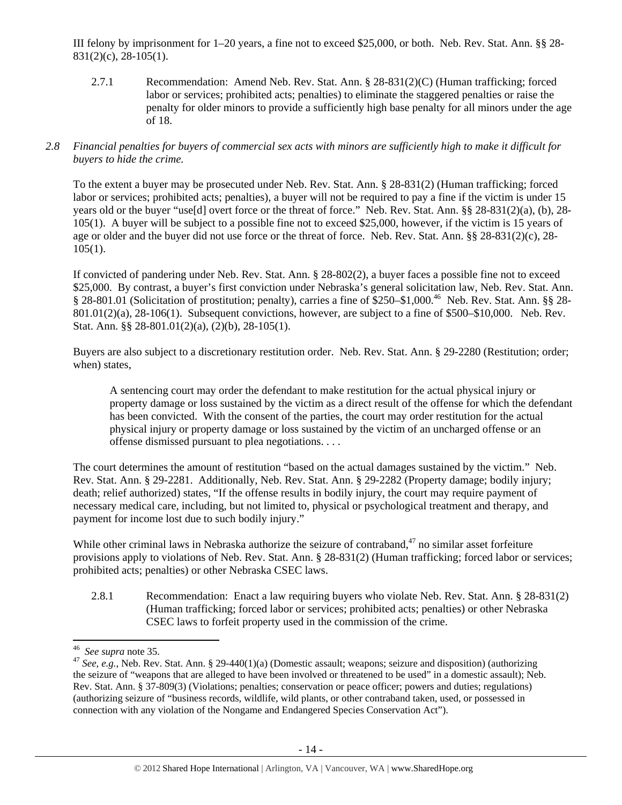III felony by imprisonment for 1–20 years, a fine not to exceed \$25,000, or both. Neb. Rev. Stat. Ann. §§ 28- 831(2)(c), 28-105(1).

2.7.1 Recommendation: Amend Neb. Rev. Stat. Ann. § 28-831(2)(C) (Human trafficking; forced labor or services; prohibited acts; penalties) to eliminate the staggered penalties or raise the penalty for older minors to provide a sufficiently high base penalty for all minors under the age of 18.

## *2.8 Financial penalties for buyers of commercial sex acts with minors are sufficiently high to make it difficult for buyers to hide the crime.*

To the extent a buyer may be prosecuted under Neb. Rev. Stat. Ann. § 28-831(2) (Human trafficking; forced labor or services; prohibited acts; penalties), a buyer will not be required to pay a fine if the victim is under 15 years old or the buyer "use[d] overt force or the threat of force." Neb. Rev. Stat. Ann. §§ 28-831(2)(a), (b), 28- 105(1). A buyer will be subject to a possible fine not to exceed \$25,000, however, if the victim is 15 years of age or older and the buyer did not use force or the threat of force. Neb. Rev. Stat. Ann. §§ 28-831(2)(c), 28-  $105(1)$ .

If convicted of pandering under Neb. Rev. Stat. Ann. § 28-802(2), a buyer faces a possible fine not to exceed \$25,000. By contrast, a buyer's first conviction under Nebraska's general solicitation law, Neb. Rev. Stat. Ann. § 28-801.01 (Solicitation of prostitution; penalty), carries a fine of \$250–\$1,000.<sup>46</sup> Neb. Rev. Stat. Ann. §§ 28-801.01(2)(a), 28-106(1). Subsequent convictions, however, are subject to a fine of \$500–\$10,000. Neb. Rev. Stat. Ann. §§ 28-801.01(2)(a), (2)(b), 28-105(1).

Buyers are also subject to a discretionary restitution order. Neb. Rev. Stat. Ann. § 29-2280 (Restitution; order; when) states,

A sentencing court may order the defendant to make restitution for the actual physical injury or property damage or loss sustained by the victim as a direct result of the offense for which the defendant has been convicted. With the consent of the parties, the court may order restitution for the actual physical injury or property damage or loss sustained by the victim of an uncharged offense or an offense dismissed pursuant to plea negotiations. . . .

The court determines the amount of restitution "based on the actual damages sustained by the victim." Neb. Rev. Stat. Ann. § 29-2281. Additionally, Neb. Rev. Stat. Ann. § 29-2282 (Property damage; bodily injury; death; relief authorized) states, "If the offense results in bodily injury, the court may require payment of necessary medical care, including, but not limited to, physical or psychological treatment and therapy, and payment for income lost due to such bodily injury."

While other criminal laws in Nebraska authorize the seizure of contraband, $47$  no similar asset forfeiture provisions apply to violations of Neb. Rev. Stat. Ann. § 28-831(2) (Human trafficking; forced labor or services; prohibited acts; penalties) or other Nebraska CSEC laws.

2.8.1 Recommendation: Enact a law requiring buyers who violate Neb. Rev. Stat. Ann. § 28-831(2) (Human trafficking; forced labor or services; prohibited acts; penalties) or other Nebraska CSEC laws to forfeit property used in the commission of the crime.

<sup>&</sup>lt;sup>46</sup> See supra note 35.

<sup>&</sup>lt;sup>47</sup> See, e.g., Neb. Rev. Stat. Ann. § 29-440(1)(a) (Domestic assault; weapons; seizure and disposition) (authorizing the seizure of "weapons that are alleged to have been involved or threatened to be used" in a domestic assault); Neb. Rev. Stat. Ann. § 37-809(3) (Violations; penalties; conservation or peace officer; powers and duties; regulations) (authorizing seizure of "business records, wildlife, wild plants, or other contraband taken, used, or possessed in connection with any violation of the Nongame and Endangered Species Conservation Act").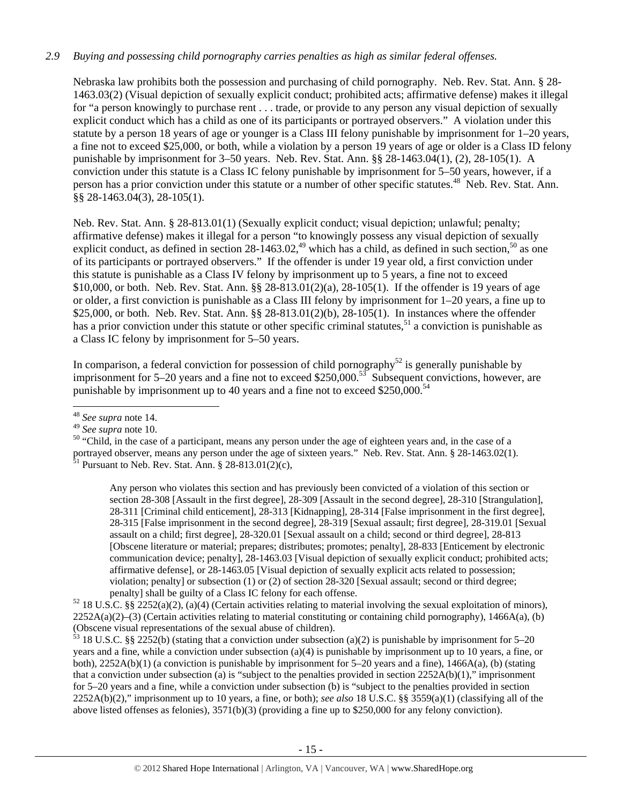## *2.9 Buying and possessing child pornography carries penalties as high as similar federal offenses.*

Nebraska law prohibits both the possession and purchasing of child pornography. Neb. Rev. Stat. Ann. § 28- 1463.03(2) (Visual depiction of sexually explicit conduct; prohibited acts; affirmative defense) makes it illegal for "a person knowingly to purchase rent . . . trade, or provide to any person any visual depiction of sexually explicit conduct which has a child as one of its participants or portrayed observers." A violation under this statute by a person 18 years of age or younger is a Class III felony punishable by imprisonment for 1–20 years, a fine not to exceed \$25,000, or both, while a violation by a person 19 years of age or older is a Class ID felony punishable by imprisonment for 3–50 years. Neb. Rev. Stat. Ann. §§ 28-1463.04(1), (2), 28-105(1). A conviction under this statute is a Class IC felony punishable by imprisonment for 5–50 years, however, if a person has a prior conviction under this statute or a number of other specific statutes.<sup>48</sup> Neb. Rev. Stat. Ann. §§ 28-1463.04(3), 28-105(1).

Neb. Rev. Stat. Ann. § 28-813.01(1) (Sexually explicit conduct; visual depiction; unlawful; penalty; affirmative defense) makes it illegal for a person "to knowingly possess any visual depiction of sexually explicit conduct, as defined in section  $28-1463.02$ ,<sup>49</sup> which has a child, as defined in such section,<sup>50</sup> as one of its participants or portrayed observers." If the offender is under 19 year old, a first conviction under this statute is punishable as a Class IV felony by imprisonment up to 5 years, a fine not to exceed \$10,000, or both. Neb. Rev. Stat. Ann. §§ 28-813.01(2)(a), 28-105(1). If the offender is 19 years of age or older, a first conviction is punishable as a Class III felony by imprisonment for 1–20 years, a fine up to \$25,000, or both. Neb. Rev. Stat. Ann. §§ 28-813.01(2)(b), 28-105(1). In instances where the offender has a prior conviction under this statute or other specific criminal statutes,<sup>51</sup> a conviction is punishable as a Class IC felony by imprisonment for 5–50 years.

In comparison, a federal conviction for possession of child pornography<sup>52</sup> is generally punishable by imprisonment for  $5-20$  years and a fine not to exceed \$250,000.<sup>53</sup> Subsequent convictions, however, are punishable by imprisonment up to 40 years and a fine not to exceed  $$250,000$ .<sup>54</sup>

<sup>50</sup> "Child, in the case of a participant, means any person under the age of eighteen years and, in the case of a portrayed observer, means any person under the age of sixteen years." Neb. Rev. Stat. Ann. § 28-1463.02(1).  $\frac{51}{1}$  Pursuant to Neb. Rev. Stat. Ann. § 28-813.01(2)(c),

Any person who violates this section and has previously been convicted of a violation of this section or section 28-308 [Assault in the first degree], 28-309 [Assault in the second degree], 28-310 [Strangulation], 28-311 [Criminal child enticement], 28-313 [Kidnapping], 28-314 [False imprisonment in the first degree], 28-315 [False imprisonment in the second degree], 28-319 [Sexual assault; first degree], 28-319.01 [Sexual assault on a child; first degree], 28-320.01 [Sexual assault on a child; second or third degree], 28-813 [Obscene literature or material; prepares; distributes; promotes; penalty], 28-833 [Enticement by electronic communication device; penalty], 28-1463.03 [Visual depiction of sexually explicit conduct; prohibited acts; affirmative defense], or 28-1463.05 [Visual depiction of sexually explicit acts related to possession; violation; penalty] or subsection (1) or (2) of section 28-320 [Sexual assault; second or third degree;

 $\frac{53}{18}$  18 U.S.C. §§ 2252(b) (stating that a conviction under subsection (a)(2) is punishable by imprisonment for 5–20 years and a fine, while a conviction under subsection (a)(4) is punishable by imprisonment up to 10 years, a fine, or both), 2252A(b)(1) (a conviction is punishable by imprisonment for 5–20 years and a fine), 1466A(a), (b) (stating that a conviction under subsection (a) is "subject to the penalties provided in section  $2252A(b)(1)$ ," imprisonment for 5–20 years and a fine, while a conviction under subsection (b) is "subject to the penalties provided in section 2252A(b)(2)," imprisonment up to 10 years, a fine, or both); *see also* 18 U.S.C. §§ 3559(a)(1) (classifying all of the above listed offenses as felonies), 3571(b)(3) (providing a fine up to \$250,000 for any felony conviction).

<sup>48</sup> *See supra* note 14.

penalty] shall be guilty of a Class IC felony for each offense.<br>52 18 U.S.C. §§ 2252(a)(2), (a)(4) (Certain activities relating to material involving the sexual exploitation of minors),  $2252A(a)(2)$ –(3) (Certain activities relating to material constituting or containing child pornography), 1466A(a), (b) (Obscene visual representations of the sexual abuse of children).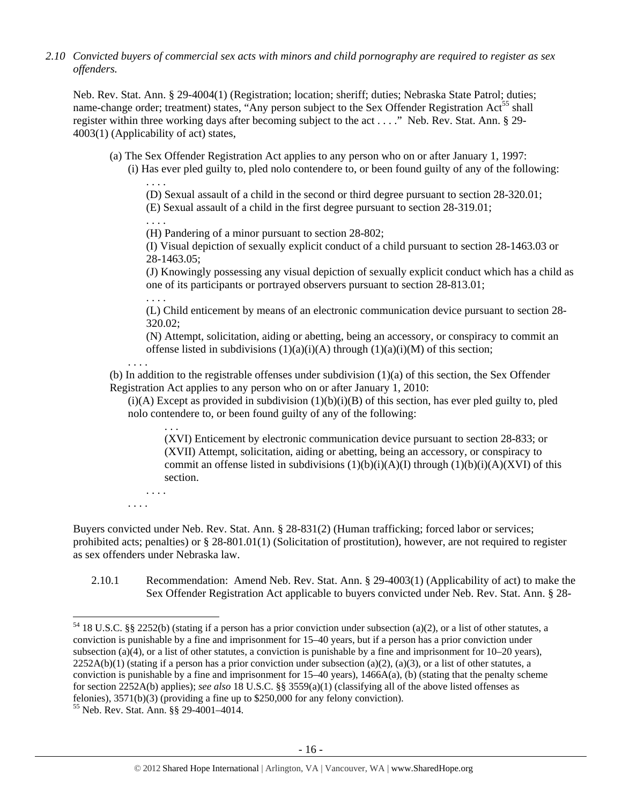*2.10 Convicted buyers of commercial sex acts with minors and child pornography are required to register as sex offenders.* 

Neb. Rev. Stat. Ann. § 29-4004(1) (Registration; location; sheriff; duties; Nebraska State Patrol; duties; name-change order; treatment) states, "Any person subject to the Sex Offender Registration Act<sup>55</sup> shall register within three working days after becoming subject to the act . . . ." Neb. Rev. Stat. Ann. § 29- 4003(1) (Applicability of act) states,

- (a) The Sex Offender Registration Act applies to any person who on or after January 1, 1997:
	- (i) Has ever pled guilty to, pled nolo contendere to, or been found guilty of any of the following: . . . .

(D) Sexual assault of a child in the second or third degree pursuant to section 28-320.01; (E) Sexual assault of a child in the first degree pursuant to section 28-319.01;

. . . .

(H) Pandering of a minor pursuant to section 28-802;

(I) Visual depiction of sexually explicit conduct of a child pursuant to section 28-1463.03 or 28-1463.05;

(J) Knowingly possessing any visual depiction of sexually explicit conduct which has a child as one of its participants or portrayed observers pursuant to section 28-813.01;

. . . . (L) Child enticement by means of an electronic communication device pursuant to section 28- 320.02;

(N) Attempt, solicitation, aiding or abetting, being an accessory, or conspiracy to commit an offense listed in subdivisions  $(1)(a)(i)(A)$  through  $(1)(a)(i)(M)$  of this section;

. . . .

(b) In addition to the registrable offenses under subdivision (1)(a) of this section, the Sex Offender Registration Act applies to any person who on or after January 1, 2010:

 $(i)(A)$  Except as provided in subdivision  $(1)(b)(i)(B)$  of this section, has ever pled guilty to, pled nolo contendere to, or been found guilty of any of the following:

. . . (XVI) Enticement by electronic communication device pursuant to section 28-833; or (XVII) Attempt, solicitation, aiding or abetting, being an accessory, or conspiracy to commit an offense listed in subdivisions  $(1)(b)(i)(A)(I)$  through  $(1)(b)(i)(A)(XVI)$  of this section.

. . . . . . . .

Buyers convicted under Neb. Rev. Stat. Ann. § 28-831(2) (Human trafficking; forced labor or services; prohibited acts; penalties) or § 28-801.01(1) (Solicitation of prostitution), however, are not required to register as sex offenders under Nebraska law.

2.10.1 Recommendation: Amend Neb. Rev. Stat. Ann. § 29-4003(1) (Applicability of act) to make the Sex Offender Registration Act applicable to buyers convicted under Neb. Rev. Stat. Ann. § 28-

  $54$  18 U.S.C. §§ 2252(b) (stating if a person has a prior conviction under subsection (a)(2), or a list of other statutes, a conviction is punishable by a fine and imprisonment for 15–40 years, but if a person has a prior conviction under subsection (a)(4), or a list of other statutes, a conviction is punishable by a fine and imprisonment for  $10-20$  years),  $2252A(b)(1)$  (stating if a person has a prior conviction under subsection (a)(2), (a)(3), or a list of other statutes, a conviction is punishable by a fine and imprisonment for 15–40 years), 1466A(a), (b) (stating that the penalty scheme for section 2252A(b) applies); *see also* 18 U.S.C. §§ 3559(a)(1) (classifying all of the above listed offenses as felonies), 3571(b)(3) (providing a fine up to \$250,000 for any felony conviction).

<sup>55</sup> Neb. Rev. Stat. Ann. §§ 29-4001–4014.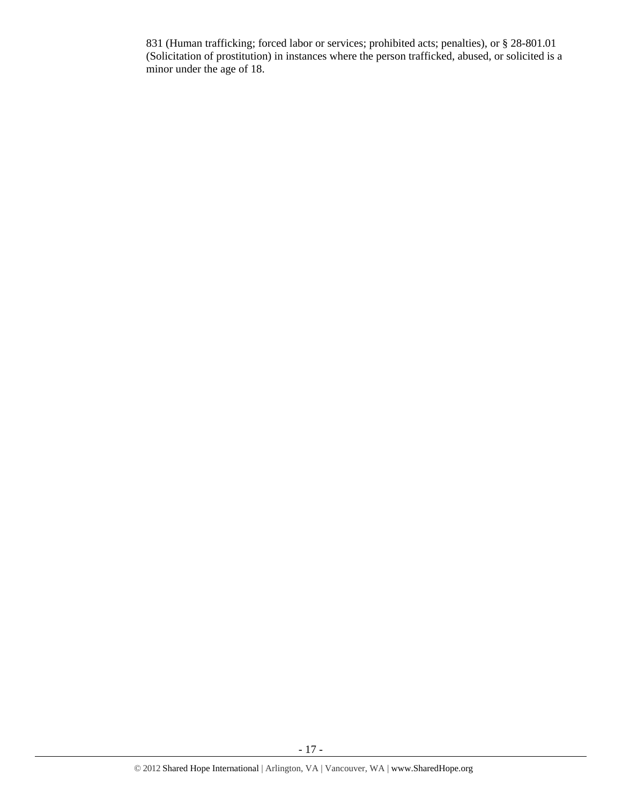831 (Human trafficking; forced labor or services; prohibited acts; penalties), or § 28-801.01 (Solicitation of prostitution) in instances where the person trafficked, abused, or solicited is a minor under the age of 18.

- 17 -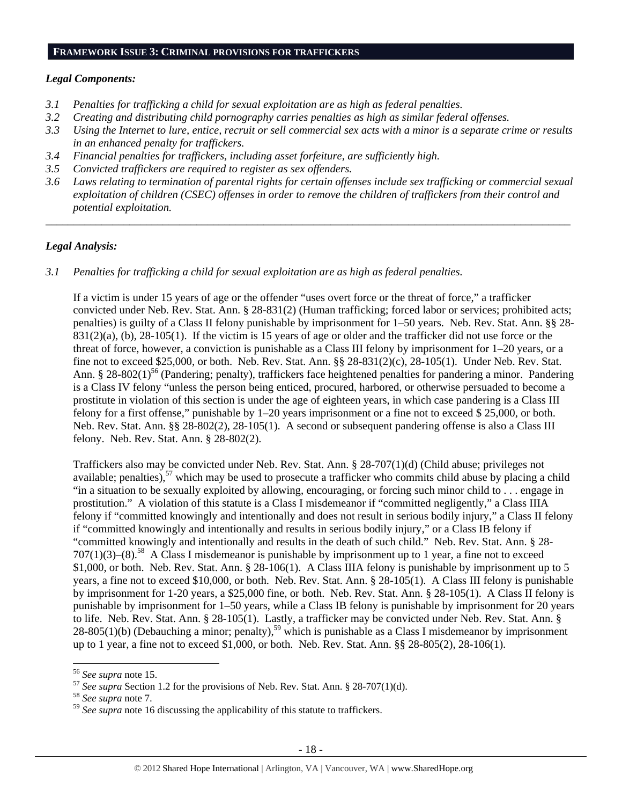#### **FRAMEWORK ISSUE 3: CRIMINAL PROVISIONS FOR TRAFFICKERS**

#### *Legal Components:*

- *3.1 Penalties for trafficking a child for sexual exploitation are as high as federal penalties.*
- *3.2 Creating and distributing child pornography carries penalties as high as similar federal offenses.*
- *3.3 Using the Internet to lure, entice, recruit or sell commercial sex acts with a minor is a separate crime or results in an enhanced penalty for traffickers.*
- *3.4 Financial penalties for traffickers, including asset forfeiture, are sufficiently high.*
- *3.5 Convicted traffickers are required to register as sex offenders.*
- *3.6 Laws relating to termination of parental rights for certain offenses include sex trafficking or commercial sexual exploitation of children (CSEC) offenses in order to remove the children of traffickers from their control and potential exploitation.*

*\_\_\_\_\_\_\_\_\_\_\_\_\_\_\_\_\_\_\_\_\_\_\_\_\_\_\_\_\_\_\_\_\_\_\_\_\_\_\_\_\_\_\_\_\_\_\_\_\_\_\_\_\_\_\_\_\_\_\_\_\_\_\_\_\_\_\_\_\_\_\_\_\_\_\_\_\_\_\_\_\_\_\_\_\_\_\_\_\_\_\_\_\_\_* 

## *Legal Analysis:*

*3.1 Penalties for trafficking a child for sexual exploitation are as high as federal penalties.* 

If a victim is under 15 years of age or the offender "uses overt force or the threat of force," a trafficker convicted under Neb. Rev. Stat. Ann. § 28-831(2) (Human trafficking; forced labor or services; prohibited acts; penalties) is guilty of a Class II felony punishable by imprisonment for 1–50 years. Neb. Rev. Stat. Ann. §§ 28-  $831(2)(a)$ , (b),  $28-105(1)$ . If the victim is 15 years of age or older and the trafficker did not use force or the threat of force, however, a conviction is punishable as a Class III felony by imprisonment for 1–20 years, or a fine not to exceed \$25,000, or both. Neb. Rev. Stat. Ann. §§ 28-831(2)(c), 28-105(1). Under Neb. Rev. Stat. Ann. § 28-802(1)<sup>56</sup> (Pandering; penalty), traffickers face heightened penalties for pandering a minor. Pandering is a Class IV felony "unless the person being enticed, procured, harbored, or otherwise persuaded to become a prostitute in violation of this section is under the age of eighteen years, in which case pandering is a Class III felony for a first offense," punishable by 1–20 years imprisonment or a fine not to exceed \$ 25,000, or both. Neb. Rev. Stat. Ann. §§ 28-802(2), 28-105(1). A second or subsequent pandering offense is also a Class III felony. Neb. Rev. Stat. Ann. § 28-802(2).

Traffickers also may be convicted under Neb. Rev. Stat. Ann. § 28-707(1)(d) (Child abuse; privileges not available; penalties),  $57$  which may be used to prosecute a trafficker who commits child abuse by placing a child "in a situation to be sexually exploited by allowing, encouraging, or forcing such minor child to . . . engage in prostitution." A violation of this statute is a Class I misdemeanor if "committed negligently," a Class IIIA felony if "committed knowingly and intentionally and does not result in serious bodily injury," a Class II felony if "committed knowingly and intentionally and results in serious bodily injury," or a Class IB felony if "committed knowingly and intentionally and results in the death of such child." Neb. Rev. Stat. Ann. § 28-  $707(1)(3)$ –(8).<sup>58</sup> A Class I misdemeanor is punishable by imprisonment up to 1 year, a fine not to exceed \$1,000, or both. Neb. Rev. Stat. Ann. § 28-106(1). A Class IIIA felony is punishable by imprisonment up to 5 years, a fine not to exceed \$10,000, or both. Neb. Rev. Stat. Ann. § 28-105(1). A Class III felony is punishable by imprisonment for 1-20 years, a \$25,000 fine, or both. Neb. Rev. Stat. Ann. § 28-105(1). A Class II felony is punishable by imprisonment for 1–50 years, while a Class IB felony is punishable by imprisonment for 20 years to life. Neb. Rev. Stat. Ann. § 28-105(1). Lastly, a trafficker may be convicted under Neb. Rev. Stat. Ann. § 28-805(1)(b) (Debauching a minor; penalty),<sup>59</sup> which is punishable as a Class I misdemeanor by imprisonment up to 1 year, a fine not to exceed \$1,000, or both. Neb. Rev. Stat. Ann. §§ 28-805(2), 28-106(1).

<sup>56</sup> *See supra* note 15. 57 *See supra* Section 1.2 for the provisions of Neb. Rev. Stat. Ann. § 28-707(1)(d). 58 *See supra* note 7.

<sup>59</sup> *See supra* note 16 discussing the applicability of this statute to traffickers.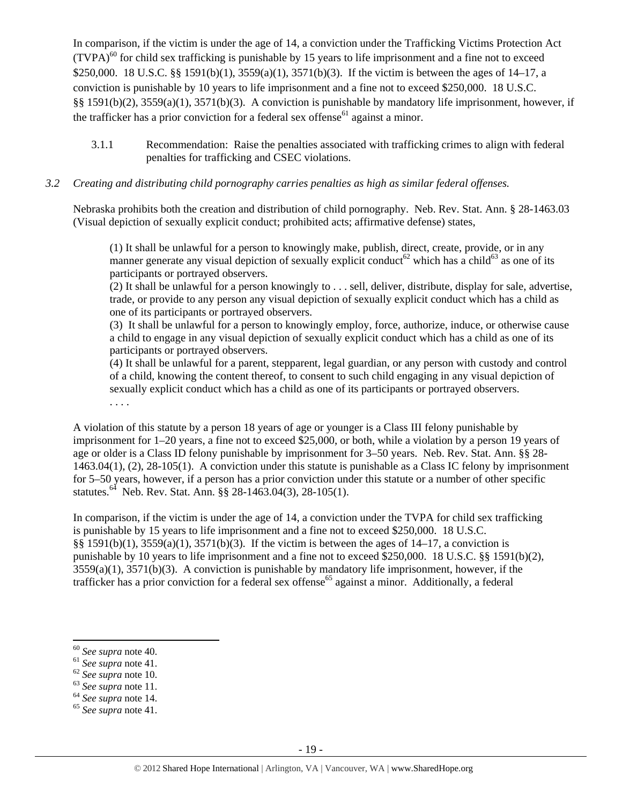In comparison, if the victim is under the age of 14, a conviction under the Trafficking Victims Protection Act  $(TVPA)<sup>60</sup>$  for child sex trafficking is punishable by 15 years to life imprisonment and a fine not to exceed \$250,000. 18 U.S.C. §§ 1591(b)(1), 3559(a)(1), 3571(b)(3). If the victim is between the ages of 14–17, a conviction is punishable by 10 years to life imprisonment and a fine not to exceed \$250,000. 18 U.S.C. §§ 1591(b)(2), 3559(a)(1), 3571(b)(3). A conviction is punishable by mandatory life imprisonment, however, if the trafficker has a prior conviction for a federal sex offense<sup>61</sup> against a minor.

3.1.1 Recommendation: Raise the penalties associated with trafficking crimes to align with federal penalties for trafficking and CSEC violations.

## *3.2 Creating and distributing child pornography carries penalties as high as similar federal offenses.*

Nebraska prohibits both the creation and distribution of child pornography. Neb. Rev. Stat. Ann. § 28-1463.03 (Visual depiction of sexually explicit conduct; prohibited acts; affirmative defense) states,

(1) It shall be unlawful for a person to knowingly make, publish, direct, create, provide, or in any manner generate any visual depiction of sexually explicit conduct<sup>62</sup> which has a child<sup>63</sup> as one of its participants or portrayed observers.

 $(2)$  It shall be unlawful for a person knowingly to ... sell, deliver, distribute, display for sale, advertise, trade, or provide to any person any visual depiction of sexually explicit conduct which has a child as one of its participants or portrayed observers.

(3) It shall be unlawful for a person to knowingly employ, force, authorize, induce, or otherwise cause a child to engage in any visual depiction of sexually explicit conduct which has a child as one of its participants or portrayed observers.

(4) It shall be unlawful for a parent, stepparent, legal guardian, or any person with custody and control of a child, knowing the content thereof, to consent to such child engaging in any visual depiction of sexually explicit conduct which has a child as one of its participants or portrayed observers.

. . . .

A violation of this statute by a person 18 years of age or younger is a Class III felony punishable by imprisonment for 1–20 years, a fine not to exceed \$25,000, or both, while a violation by a person 19 years of age or older is a Class ID felony punishable by imprisonment for 3–50 years. Neb. Rev. Stat. Ann. §§ 28- 1463.04(1), (2), 28-105(1). A conviction under this statute is punishable as a Class IC felony by imprisonment for 5–50 years, however, if a person has a prior conviction under this statute or a number of other specific statutes.<sup>64</sup> Neb. Rev. Stat. Ann. §§ 28-1463.04(3), 28-105(1).

In comparison, if the victim is under the age of 14, a conviction under the TVPA for child sex trafficking is punishable by 15 years to life imprisonment and a fine not to exceed \$250,000. 18 U.S.C. §§ 1591(b)(1), 3559(a)(1), 3571(b)(3). If the victim is between the ages of 14–17, a conviction is punishable by 10 years to life imprisonment and a fine not to exceed \$250,000. 18 U.S.C. §§ 1591(b)(2),  $3559(a)(1)$ ,  $3571(b)(3)$ . A conviction is punishable by mandatory life imprisonment, however, if the trafficker has a prior conviction for a federal sex offense<sup>65</sup> against a minor. Additionally, a federal

<sup>60</sup> *See supra* note 40. 61 *See supra* note 41. 62 *See supra* note 10. 63 *See supra* note 11. 64 *See supra* note 14. 65 *See supra* note 41.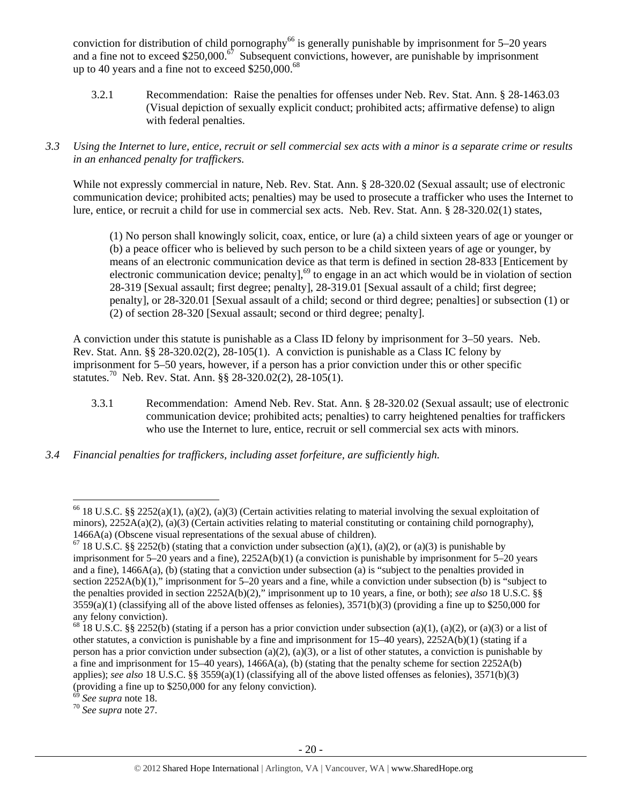conviction for distribution of child pornography<sup>66</sup> is generally punishable by imprisonment for  $5-20$  years and a fine not to exceed \$250,000.<sup> $67$ </sup> Subsequent convictions, however, are punishable by imprisonment up to 40 years and a fine not to exceed  $$250,000.<sup>68</sup>$ 

- 3.2.1 Recommendation: Raise the penalties for offenses under Neb. Rev. Stat. Ann. § 28-1463.03 (Visual depiction of sexually explicit conduct; prohibited acts; affirmative defense) to align with federal penalties.
- *3.3 Using the Internet to lure, entice, recruit or sell commercial sex acts with a minor is a separate crime or results in an enhanced penalty for traffickers.*

While not expressly commercial in nature, Neb. Rev. Stat. Ann. § 28-320.02 (Sexual assault; use of electronic communication device; prohibited acts; penalties) may be used to prosecute a trafficker who uses the Internet to lure, entice, or recruit a child for use in commercial sex acts. Neb. Rev. Stat. Ann. § 28-320.02(1) states,

(1) No person shall knowingly solicit, coax, entice, or lure (a) a child sixteen years of age or younger or (b) a peace officer who is believed by such person to be a child sixteen years of age or younger, by means of an electronic communication device as that term is defined in section 28-833 [Enticement by electronic communication device; penalty],<sup>69</sup> to engage in an act which would be in violation of section 28-319 [Sexual assault; first degree; penalty], 28-319.01 [Sexual assault of a child; first degree; penalty], or 28-320.01 [Sexual assault of a child; second or third degree; penalties] or subsection (1) or (2) of section 28-320 [Sexual assault; second or third degree; penalty].

A conviction under this statute is punishable as a Class ID felony by imprisonment for 3–50 years. Neb. Rev. Stat. Ann. §§ 28-320.02(2), 28-105(1). A conviction is punishable as a Class IC felony by imprisonment for 5–50 years, however, if a person has a prior conviction under this or other specific statutes.70 Neb. Rev. Stat. Ann. §§ 28-320.02(2), 28-105(1).

- 3.3.1 Recommendation: Amend Neb. Rev. Stat. Ann. § 28-320.02 (Sexual assault; use of electronic communication device; prohibited acts; penalties) to carry heightened penalties for traffickers who use the Internet to lure, entice, recruit or sell commercial sex acts with minors.
- *3.4 Financial penalties for traffickers, including asset forfeiture, are sufficiently high.*

 $66$  18 U.S.C. §§ 2252(a)(1), (a)(2), (a)(3) (Certain activities relating to material involving the sexual exploitation of minors),  $2252A(a)(2)$ , (a)(3) (Certain activities relating to material constituting or containing child pornography), 1466A(a) (Obscene visual representations of the sexual abuse of children).<br><sup>67</sup> 18 U.S.C. §§ 2252(b) (stating that a conviction under subsection (a)(1), (a)(2), or (a)(3) is punishable by

imprisonment for 5–20 years and a fine), 2252A(b)(1) (a conviction is punishable by imprisonment for 5–20 years and a fine), 1466A(a), (b) (stating that a conviction under subsection (a) is "subject to the penalties provided in section 2252A(b)(1)," imprisonment for 5–20 years and a fine, while a conviction under subsection (b) is "subject to the penalties provided in section 2252A(b)(2)," imprisonment up to 10 years, a fine, or both); *see also* 18 U.S.C. §§  $3559(a)(1)$  (classifying all of the above listed offenses as felonies),  $3571(b)(3)$  (providing a fine up to \$250,000 for any felony conviction).

<sup>&</sup>lt;sup>68</sup> 18 U.S.C. §§ 2252(b) (stating if a person has a prior conviction under subsection (a)(1), (a)(2), or (a)(3) or a list of other statutes, a conviction is punishable by a fine and imprisonment for  $15-40$  years),  $2252A(b)(1)$  (stating if a person has a prior conviction under subsection (a)(2), (a)(3), or a list of other statutes, a conviction is punishable by a fine and imprisonment for  $15-40$  years),  $1466A(a)$ , (b) (stating that the penalty scheme for section  $2252A(b)$ applies); *see also* 18 U.S.C. §§ 3559(a)(1) (classifying all of the above listed offenses as felonies), 3571(b)(3) (providing a fine up to \$250,000 for any felony conviction).

<sup>69</sup> *See supra* note 18. 70 *See supra* note 27.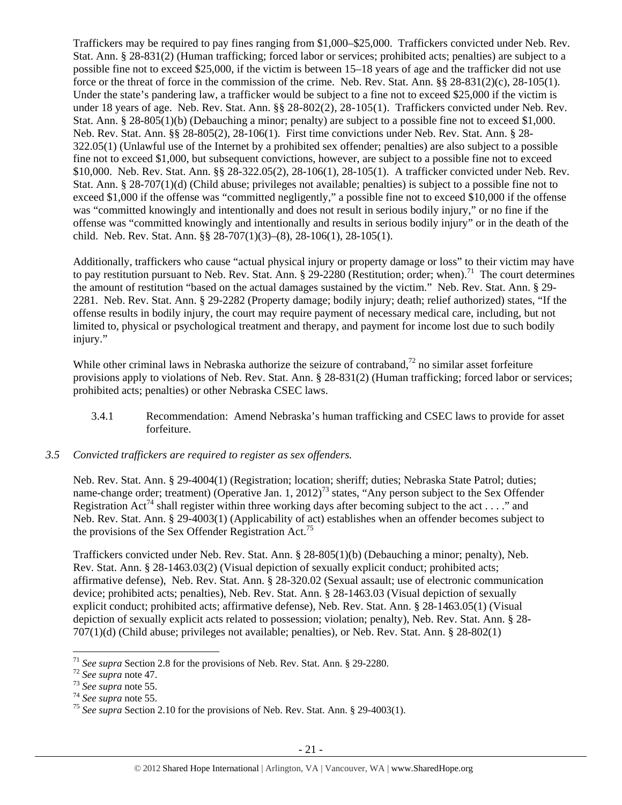Traffickers may be required to pay fines ranging from \$1,000–\$25,000. Traffickers convicted under Neb. Rev. Stat. Ann. § 28-831(2) (Human trafficking; forced labor or services; prohibited acts; penalties) are subject to a possible fine not to exceed \$25,000, if the victim is between 15–18 years of age and the trafficker did not use force or the threat of force in the commission of the crime. Neb. Rev. Stat. Ann. §§ 28-831(2)(c), 28-105(1). Under the state's pandering law, a trafficker would be subject to a fine not to exceed \$25,000 if the victim is under 18 years of age. Neb. Rev. Stat. Ann. §§ 28-802(2), 28-105(1). Traffickers convicted under Neb. Rev. Stat. Ann. § 28-805(1)(b) (Debauching a minor; penalty) are subject to a possible fine not to exceed \$1,000. Neb. Rev. Stat. Ann. §§ 28-805(2), 28-106(1). First time convictions under Neb. Rev. Stat. Ann. § 28- 322.05(1) (Unlawful use of the Internet by a prohibited sex offender; penalties) are also subject to a possible fine not to exceed \$1,000, but subsequent convictions, however, are subject to a possible fine not to exceed \$10,000. Neb. Rev. Stat. Ann. §§ 28-322.05(2), 28-106(1), 28-105(1). A trafficker convicted under Neb. Rev. Stat. Ann. § 28-707(1)(d) (Child abuse; privileges not available; penalties) is subject to a possible fine not to exceed \$1,000 if the offense was "committed negligently," a possible fine not to exceed \$10,000 if the offense was "committed knowingly and intentionally and does not result in serious bodily injury," or no fine if the offense was "committed knowingly and intentionally and results in serious bodily injury" or in the death of the child. Neb. Rev. Stat. Ann. §§ 28-707(1)(3)–(8), 28-106(1), 28-105(1).

Additionally, traffickers who cause "actual physical injury or property damage or loss" to their victim may have to pay restitution pursuant to Neb. Rev. Stat. Ann.  $\S 29-2280$  (Restitution; order; when).<sup>71</sup> The court determines the amount of restitution "based on the actual damages sustained by the victim." Neb. Rev. Stat. Ann. § 29- 2281. Neb. Rev. Stat. Ann. § 29-2282 (Property damage; bodily injury; death; relief authorized) states, "If the offense results in bodily injury, the court may require payment of necessary medical care, including, but not limited to, physical or psychological treatment and therapy, and payment for income lost due to such bodily injury."

While other criminal laws in Nebraska authorize the seizure of contraband, $^{72}$  no similar asset forfeiture provisions apply to violations of Neb. Rev. Stat. Ann. § 28-831(2) (Human trafficking; forced labor or services; prohibited acts; penalties) or other Nebraska CSEC laws.

- 3.4.1 Recommendation: Amend Nebraska's human trafficking and CSEC laws to provide for asset forfeiture.
- *3.5 Convicted traffickers are required to register as sex offenders.*

Neb. Rev. Stat. Ann. § 29-4004(1) (Registration; location; sheriff; duties; Nebraska State Patrol; duties; name-change order; treatment) (Operative Jan. 1,  $2012$ )<sup>73</sup> states, "Any person subject to the Sex Offender Registration Act<sup>74</sup> shall register within three working days after becoming subject to the act . . . ." and Neb. Rev. Stat. Ann. § 29-4003(1) (Applicability of act) establishes when an offender becomes subject to the provisions of the Sex Offender Registration Act.<sup>75</sup>

Traffickers convicted under Neb. Rev. Stat. Ann. § 28-805(1)(b) (Debauching a minor; penalty), Neb. Rev. Stat. Ann. § 28-1463.03(2) (Visual depiction of sexually explicit conduct; prohibited acts; affirmative defense), Neb. Rev. Stat. Ann. § 28-320.02 (Sexual assault; use of electronic communication device; prohibited acts; penalties), Neb. Rev. Stat. Ann. § 28-1463.03 (Visual depiction of sexually explicit conduct; prohibited acts; affirmative defense), Neb. Rev. Stat. Ann. § 28-1463.05(1) (Visual depiction of sexually explicit acts related to possession; violation; penalty), Neb. Rev. Stat. Ann. § 28- 707(1)(d) (Child abuse; privileges not available; penalties), or Neb. Rev. Stat. Ann. § 28-802(1)

<sup>&</sup>lt;sup>71</sup> See supra Section 2.8 for the provisions of Neb. Rev. Stat. Ann. § 29-2280.<br><sup>72</sup> See supra note 47.<br><sup>73</sup> See supra note 55.<br><sup>74</sup> See supra note 55.<br><sup>75</sup> See supra Section 2.10 for the provisions of Neb. Rev. Stat. An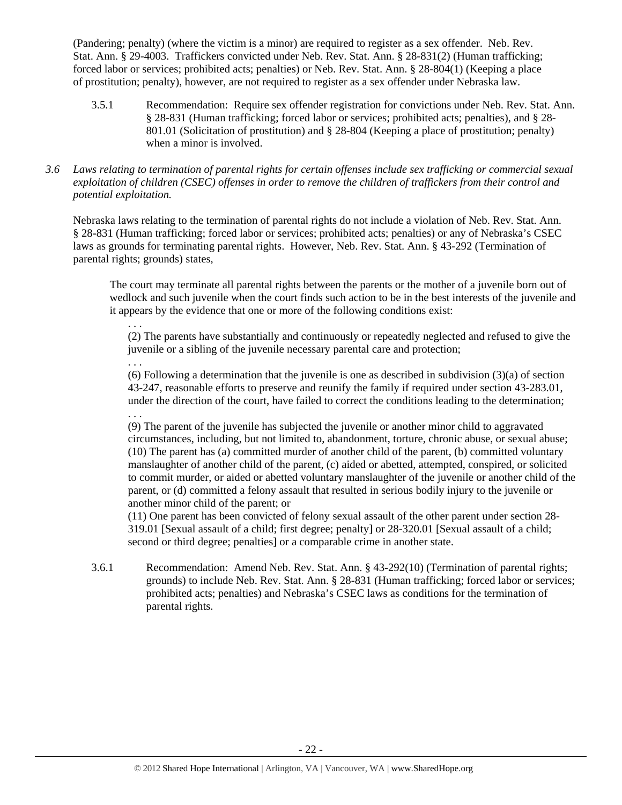(Pandering; penalty) (where the victim is a minor) are required to register as a sex offender. Neb. Rev. Stat. Ann. § 29-4003. Traffickers convicted under Neb. Rev. Stat. Ann. § 28-831(2) (Human trafficking; forced labor or services; prohibited acts; penalties) or Neb. Rev. Stat. Ann. § 28-804(1) (Keeping a place of prostitution; penalty), however, are not required to register as a sex offender under Nebraska law.

- 3.5.1 Recommendation: Require sex offender registration for convictions under Neb. Rev. Stat. Ann. § 28-831 (Human trafficking; forced labor or services; prohibited acts; penalties), and § 28- 801.01 (Solicitation of prostitution) and § 28-804 (Keeping a place of prostitution; penalty) when a minor is involved.
- *3.6 Laws relating to termination of parental rights for certain offenses include sex trafficking or commercial sexual exploitation of children (CSEC) offenses in order to remove the children of traffickers from their control and potential exploitation.*

Nebraska laws relating to the termination of parental rights do not include a violation of Neb. Rev. Stat. Ann. § 28-831 (Human trafficking; forced labor or services; prohibited acts; penalties) or any of Nebraska's CSEC laws as grounds for terminating parental rights. However, Neb. Rev. Stat. Ann. § 43-292 (Termination of parental rights; grounds) states,

. . .

The court may terminate all parental rights between the parents or the mother of a juvenile born out of wedlock and such juvenile when the court finds such action to be in the best interests of the juvenile and it appears by the evidence that one or more of the following conditions exist:

(2) The parents have substantially and continuously or repeatedly neglected and refused to give the juvenile or a sibling of the juvenile necessary parental care and protection;

. . . (6) Following a determination that the juvenile is one as described in subdivision (3)(a) of section 43-247, reasonable efforts to preserve and reunify the family if required under section 43-283.01, under the direction of the court, have failed to correct the conditions leading to the determination; . . .

(9) The parent of the juvenile has subjected the juvenile or another minor child to aggravated circumstances, including, but not limited to, abandonment, torture, chronic abuse, or sexual abuse; (10) The parent has (a) committed murder of another child of the parent, (b) committed voluntary manslaughter of another child of the parent, (c) aided or abetted, attempted, conspired, or solicited to commit murder, or aided or abetted voluntary manslaughter of the juvenile or another child of the parent, or (d) committed a felony assault that resulted in serious bodily injury to the juvenile or another minor child of the parent; or

(11) One parent has been convicted of felony sexual assault of the other parent under section 28- 319.01 [Sexual assault of a child; first degree; penalty] or 28-320.01 [Sexual assault of a child; second or third degree; penalties] or a comparable crime in another state.

3.6.1 Recommendation: Amend Neb. Rev. Stat. Ann. § 43-292(10) (Termination of parental rights; grounds) to include Neb. Rev. Stat. Ann. § 28-831 (Human trafficking; forced labor or services; prohibited acts; penalties) and Nebraska's CSEC laws as conditions for the termination of parental rights.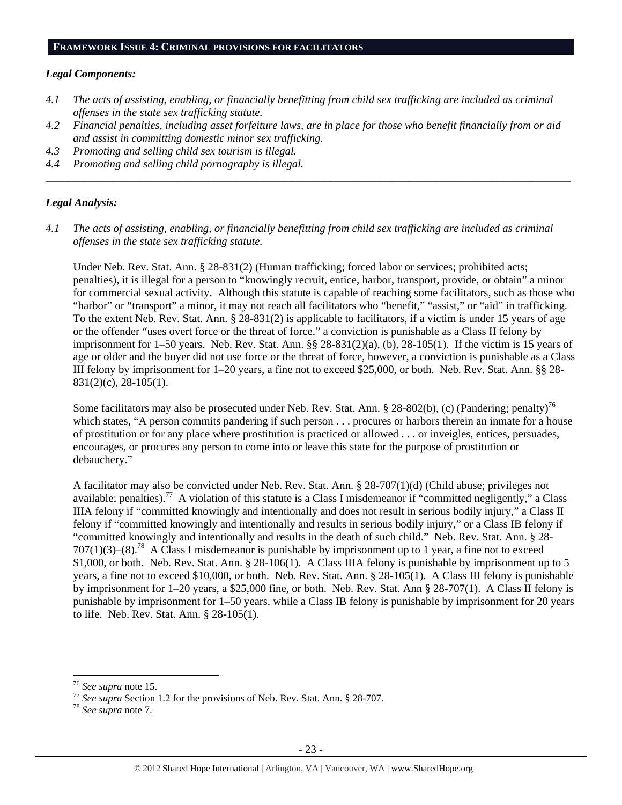#### *Legal Components:*

- *4.1 The acts of assisting, enabling, or financially benefitting from child sex trafficking are included as criminal offenses in the state sex trafficking statute.*
- *4.2 Financial penalties, including asset forfeiture laws, are in place for those who benefit financially from or aid and assist in committing domestic minor sex trafficking.*

*\_\_\_\_\_\_\_\_\_\_\_\_\_\_\_\_\_\_\_\_\_\_\_\_\_\_\_\_\_\_\_\_\_\_\_\_\_\_\_\_\_\_\_\_\_\_\_\_\_\_\_\_\_\_\_\_\_\_\_\_\_\_\_\_\_\_\_\_\_\_\_\_\_\_\_\_\_\_\_\_\_\_\_\_\_\_\_\_\_\_\_\_\_\_* 

- *4.3 Promoting and selling child sex tourism is illegal.*
- *4.4 Promoting and selling child pornography is illegal.*

## *Legal Analysis:*

*4.1 The acts of assisting, enabling, or financially benefitting from child sex trafficking are included as criminal offenses in the state sex trafficking statute.* 

Under Neb. Rev. Stat. Ann. § 28-831(2) (Human trafficking; forced labor or services; prohibited acts; penalties), it is illegal for a person to "knowingly recruit, entice, harbor, transport, provide, or obtain" a minor for commercial sexual activity. Although this statute is capable of reaching some facilitators, such as those who "harbor" or "transport" a minor, it may not reach all facilitators who "benefit," "assist," or "aid" in trafficking. To the extent Neb. Rev. Stat. Ann. § 28-831(2) is applicable to facilitators, if a victim is under 15 years of age or the offender "uses overt force or the threat of force," a conviction is punishable as a Class II felony by imprisonment for 1–50 years. Neb. Rev. Stat. Ann. §§ 28-831(2)(a), (b), 28-105(1). If the victim is 15 years of age or older and the buyer did not use force or the threat of force, however, a conviction is punishable as a Class III felony by imprisonment for 1–20 years, a fine not to exceed \$25,000, or both. Neb. Rev. Stat. Ann. §§ 28- 831(2)(c), 28-105(1).

Some facilitators may also be prosecuted under Neb. Rev. Stat. Ann. § 28-802(b), (c) (Pandering; penalty)<sup>76</sup> which states, "A person commits pandering if such person . . . procures or harbors therein an inmate for a house of prostitution or for any place where prostitution is practiced or allowed . . . or inveigles, entices, persuades, encourages, or procures any person to come into or leave this state for the purpose of prostitution or debauchery."

A facilitator may also be convicted under Neb. Rev. Stat. Ann. § 28-707(1)(d) (Child abuse; privileges not available; penalties).<sup>77</sup> A violation of this statute is a Class I misdemeanor if "committed negligently," a Class IIIA felony if "committed knowingly and intentionally and does not result in serious bodily injury," a Class II felony if "committed knowingly and intentionally and results in serious bodily injury," or a Class IB felony if "committed knowingly and intentionally and results in the death of such child." Neb. Rev. Stat. Ann. § 28-  $707(1)(3)$ –(8).<sup>78</sup> A Class I misdemeanor is punishable by imprisonment up to 1 year, a fine not to exceed \$1,000, or both. Neb. Rev. Stat. Ann. § 28-106(1). A Class IIIA felony is punishable by imprisonment up to 5 years, a fine not to exceed \$10,000, or both. Neb. Rev. Stat. Ann. § 28-105(1). A Class III felony is punishable by imprisonment for 1–20 years, a \$25,000 fine, or both. Neb. Rev. Stat. Ann § 28-707(1). A Class II felony is punishable by imprisonment for 1–50 years, while a Class IB felony is punishable by imprisonment for 20 years to life. Neb. Rev. Stat. Ann. § 28-105(1).

<sup>76</sup> *See supra* note 15. 77 *See supra* Section 1.2 for the provisions of Neb. Rev. Stat. Ann. § 28-707. 78 *See supra* note 7.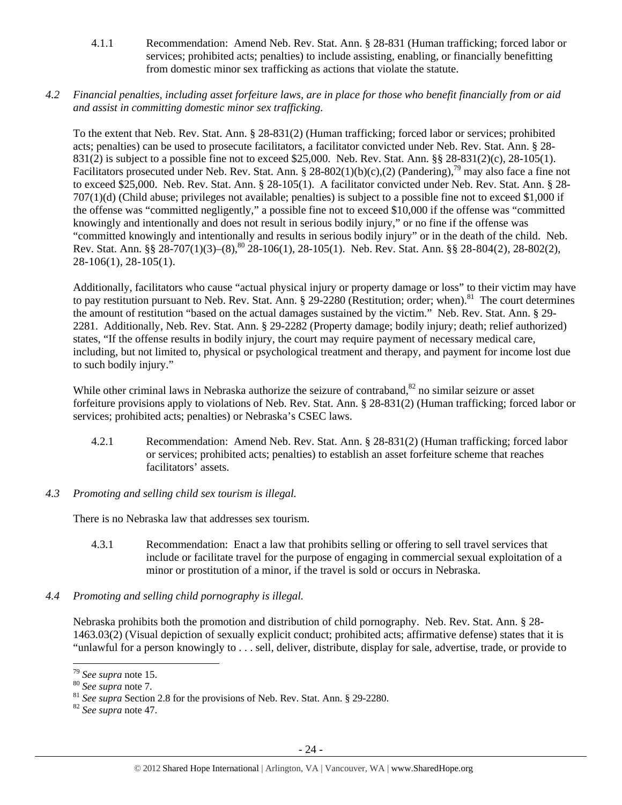- 4.1.1 Recommendation: Amend Neb. Rev. Stat. Ann. § 28-831 (Human trafficking; forced labor or services; prohibited acts; penalties) to include assisting, enabling, or financially benefitting from domestic minor sex trafficking as actions that violate the statute.
- *4.2 Financial penalties, including asset forfeiture laws, are in place for those who benefit financially from or aid and assist in committing domestic minor sex trafficking.*

To the extent that Neb. Rev. Stat. Ann. § 28-831(2) (Human trafficking; forced labor or services; prohibited acts; penalties) can be used to prosecute facilitators, a facilitator convicted under Neb. Rev. Stat. Ann. § 28- 831(2) is subject to a possible fine not to exceed \$25,000. Neb. Rev. Stat. Ann. §§ 28-831(2)(c), 28-105(1). Facilitators prosecuted under Neb. Rev. Stat. Ann. § 28-802(1)(b)(c),(2) (Pandering),<sup>79</sup> may also face a fine not to exceed \$25,000. Neb. Rev. Stat. Ann. § 28-105(1). A facilitator convicted under Neb. Rev. Stat. Ann. § 28- 707(1)(d) (Child abuse; privileges not available; penalties) is subject to a possible fine not to exceed \$1,000 if the offense was "committed negligently," a possible fine not to exceed \$10,000 if the offense was "committed knowingly and intentionally and does not result in serious bodily injury," or no fine if the offense was "committed knowingly and intentionally and results in serious bodily injury" or in the death of the child. Neb. Rev. Stat. Ann. §§ 28-707(1)(3)–(8),<sup>80</sup> 28-106(1), 28-105(1). Neb. Rev. Stat. Ann. §§ 28-804(2), 28-802(2), 28-106(1), 28-105(1).

Additionally, facilitators who cause "actual physical injury or property damage or loss" to their victim may have to pay restitution pursuant to Neb. Rev. Stat. Ann.  $\S 29-2280$  (Restitution; order; when).<sup>81</sup> The court determines the amount of restitution "based on the actual damages sustained by the victim." Neb. Rev. Stat. Ann. § 29- 2281. Additionally, Neb. Rev. Stat. Ann. § 29-2282 (Property damage; bodily injury; death; relief authorized) states, "If the offense results in bodily injury, the court may require payment of necessary medical care, including, but not limited to, physical or psychological treatment and therapy, and payment for income lost due to such bodily injury."

While other criminal laws in Nebraska authorize the seizure of contraband, $82$  no similar seizure or asset forfeiture provisions apply to violations of Neb. Rev. Stat. Ann. § 28-831(2) (Human trafficking; forced labor or services; prohibited acts; penalties) or Nebraska's CSEC laws.

- 4.2.1 Recommendation: Amend Neb. Rev. Stat. Ann. § 28-831(2) (Human trafficking; forced labor or services; prohibited acts; penalties) to establish an asset forfeiture scheme that reaches facilitators' assets.
- *4.3 Promoting and selling child sex tourism is illegal.*

There is no Nebraska law that addresses sex tourism.

- 4.3.1 Recommendation: Enact a law that prohibits selling or offering to sell travel services that include or facilitate travel for the purpose of engaging in commercial sexual exploitation of a minor or prostitution of a minor, if the travel is sold or occurs in Nebraska.
- *4.4 Promoting and selling child pornography is illegal.*

Nebraska prohibits both the promotion and distribution of child pornography. Neb. Rev. Stat. Ann. § 28- 1463.03(2) (Visual depiction of sexually explicit conduct; prohibited acts; affirmative defense) states that it is "unlawful for a person knowingly to . . . sell, deliver, distribute, display for sale, advertise, trade, or provide to

<sup>79</sup> *See supra* note 15. 80 *See supra* note 7. 81 *See supra* Section 2.8 for the provisions of Neb. Rev. Stat. Ann. § 29-2280. 82 *See supra* note 47.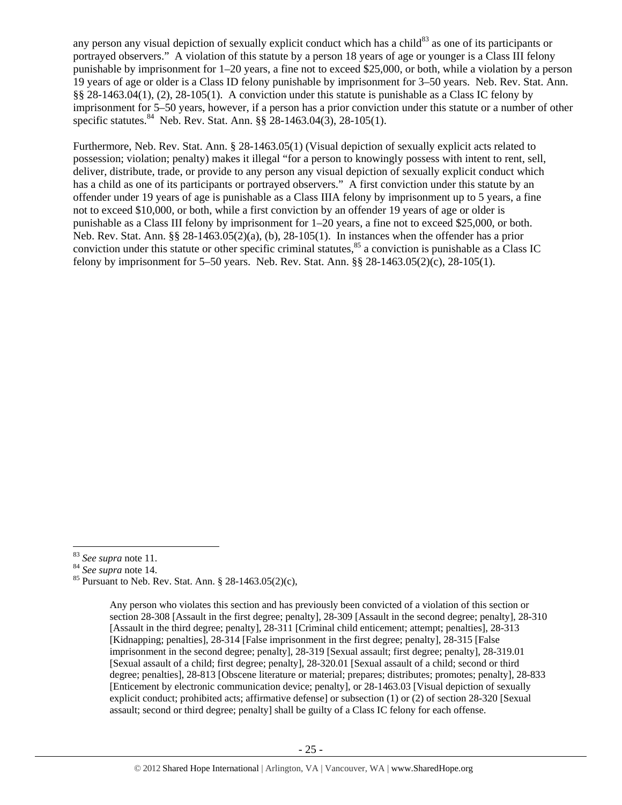any person any visual depiction of sexually explicit conduct which has a child<sup>83</sup> as one of its participants or portrayed observers." A violation of this statute by a person 18 years of age or younger is a Class III felony punishable by imprisonment for 1–20 years, a fine not to exceed \$25,000, or both, while a violation by a person 19 years of age or older is a Class ID felony punishable by imprisonment for 3–50 years. Neb. Rev. Stat. Ann. §§ 28-1463.04(1), (2), 28-105(1). A conviction under this statute is punishable as a Class IC felony by imprisonment for 5–50 years, however, if a person has a prior conviction under this statute or a number of other specific statutes.<sup>84</sup> Neb. Rev. Stat. Ann.  $\S$ § 28-1463.04(3), 28-105(1).

Furthermore, Neb. Rev. Stat. Ann. § 28-1463.05(1) (Visual depiction of sexually explicit acts related to possession; violation; penalty) makes it illegal "for a person to knowingly possess with intent to rent, sell, deliver, distribute, trade, or provide to any person any visual depiction of sexually explicit conduct which has a child as one of its participants or portrayed observers." A first conviction under this statute by an offender under 19 years of age is punishable as a Class IIIA felony by imprisonment up to 5 years, a fine not to exceed \$10,000, or both, while a first conviction by an offender 19 years of age or older is punishable as a Class III felony by imprisonment for 1–20 years, a fine not to exceed \$25,000, or both. Neb. Rev. Stat. Ann. §§ 28-1463.05(2)(a), (b), 28-105(1). In instances when the offender has a prior conviction under this statute or other specific criminal statutes,  $85$  a conviction is punishable as a Class IC felony by imprisonment for 5–50 years. Neb. Rev. Stat. Ann. §§ 28-1463.05(2)(c), 28-105(1).

<sup>&</sup>lt;sup>83</sup> *See supra* note 11.<br><sup>84</sup> *See supra* note 14.<br><sup>85</sup> Pursuant to Neb. Rev. Stat. Ann. § 28-1463.05(2)(c),

Any person who violates this section and has previously been convicted of a violation of this section or section 28-308 [Assault in the first degree; penalty], 28-309 [Assault in the second degree; penalty], 28-310 [Assault in the third degree; penalty], 28-311 [Criminal child enticement; attempt; penalties], 28-313 [Kidnapping; penalties], 28-314 [False imprisonment in the first degree; penalty], 28-315 [False imprisonment in the second degree; penalty], 28-319 [Sexual assault; first degree; penalty], 28-319.01 [Sexual assault of a child; first degree; penalty], 28-320.01 [Sexual assault of a child; second or third degree; penalties], 28-813 [Obscene literature or material; prepares; distributes; promotes; penalty], 28-833 [Enticement by electronic communication device; penalty], or 28-1463.03 [Visual depiction of sexually explicit conduct; prohibited acts; affirmative defense] or subsection (1) or (2) of section 28-320 [Sexual assault; second or third degree; penalty] shall be guilty of a Class IC felony for each offense.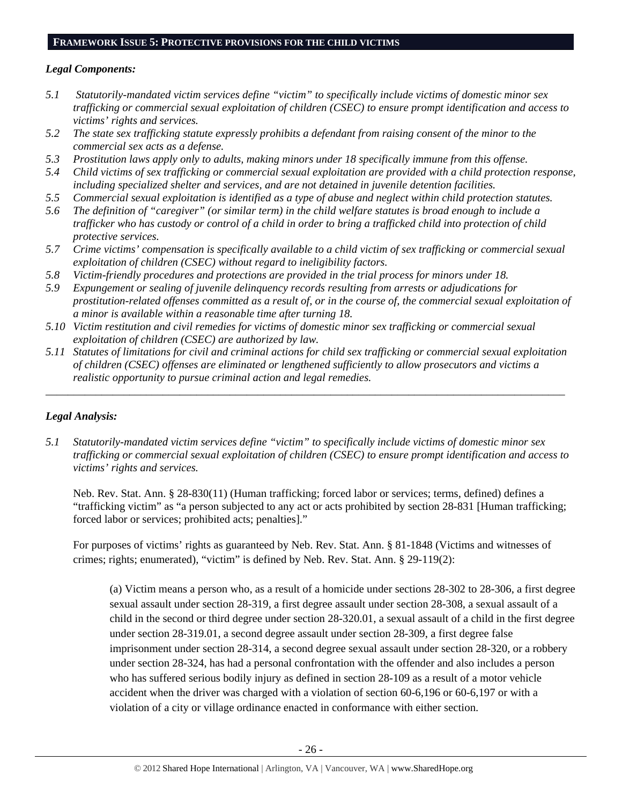## **FRAMEWORK ISSUE 5: PROTECTIVE PROVISIONS FOR THE CHILD VICTIMS**

## *Legal Components:*

- *5.1 Statutorily-mandated victim services define "victim" to specifically include victims of domestic minor sex trafficking or commercial sexual exploitation of children (CSEC) to ensure prompt identification and access to victims' rights and services.*
- *5.2 The state sex trafficking statute expressly prohibits a defendant from raising consent of the minor to the commercial sex acts as a defense.*
- *5.3 Prostitution laws apply only to adults, making minors under 18 specifically immune from this offense.*
- *5.4 Child victims of sex trafficking or commercial sexual exploitation are provided with a child protection response, including specialized shelter and services, and are not detained in juvenile detention facilities.*
- *5.5 Commercial sexual exploitation is identified as a type of abuse and neglect within child protection statutes.*
- *5.6 The definition of "caregiver" (or similar term) in the child welfare statutes is broad enough to include a trafficker who has custody or control of a child in order to bring a trafficked child into protection of child protective services.*
- *5.7 Crime victims' compensation is specifically available to a child victim of sex trafficking or commercial sexual exploitation of children (CSEC) without regard to ineligibility factors.*
- *5.8 Victim-friendly procedures and protections are provided in the trial process for minors under 18.*
- *5.9 Expungement or sealing of juvenile delinquency records resulting from arrests or adjudications for prostitution-related offenses committed as a result of, or in the course of, the commercial sexual exploitation of a minor is available within a reasonable time after turning 18.*
- *5.10 Victim restitution and civil remedies for victims of domestic minor sex trafficking or commercial sexual exploitation of children (CSEC) are authorized by law.*
- *5.11 Statutes of limitations for civil and criminal actions for child sex trafficking or commercial sexual exploitation of children (CSEC) offenses are eliminated or lengthened sufficiently to allow prosecutors and victims a realistic opportunity to pursue criminal action and legal remedies.*

*\_\_\_\_\_\_\_\_\_\_\_\_\_\_\_\_\_\_\_\_\_\_\_\_\_\_\_\_\_\_\_\_\_\_\_\_\_\_\_\_\_\_\_\_\_\_\_\_\_\_\_\_\_\_\_\_\_\_\_\_\_\_\_\_\_\_\_\_\_\_\_\_\_\_\_\_\_\_\_\_\_\_\_\_\_\_\_\_\_\_\_\_\_* 

# *Legal Analysis:*

*5.1 Statutorily-mandated victim services define "victim" to specifically include victims of domestic minor sex trafficking or commercial sexual exploitation of children (CSEC) to ensure prompt identification and access to victims' rights and services.* 

Neb. Rev. Stat. Ann. § 28-830(11) (Human trafficking; forced labor or services; terms, defined) defines a "trafficking victim" as "a person subjected to any act or acts prohibited by section 28-831 [Human trafficking; forced labor or services; prohibited acts; penalties]."

For purposes of victims' rights as guaranteed by Neb. Rev. Stat. Ann. § 81-1848 (Victims and witnesses of crimes; rights; enumerated), "victim" is defined by Neb. Rev. Stat. Ann. § 29-119(2):

(a) Victim means a person who, as a result of a homicide under sections 28-302 to 28-306, a first degree sexual assault under section 28-319, a first degree assault under section 28-308, a sexual assault of a child in the second or third degree under section 28-320.01, a sexual assault of a child in the first degree under section 28-319.01, a second degree assault under section 28-309, a first degree false imprisonment under section 28-314, a second degree sexual assault under section 28-320, or a robbery under section 28-324, has had a personal confrontation with the offender and also includes a person who has suffered serious bodily injury as defined in section 28-109 as a result of a motor vehicle accident when the driver was charged with a violation of section 60-6,196 or 60-6,197 or with a violation of a city or village ordinance enacted in conformance with either section.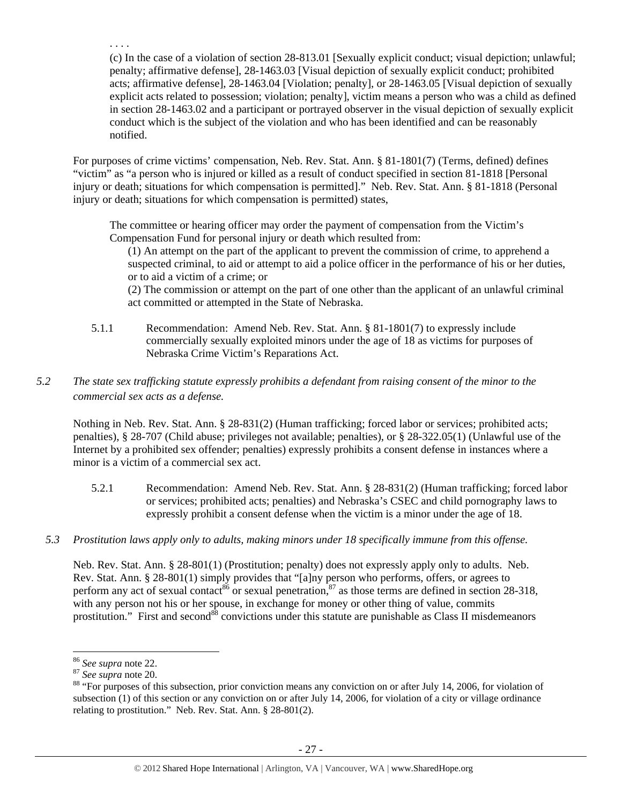(c) In the case of a violation of section 28-813.01 [Sexually explicit conduct; visual depiction; unlawful; penalty; affirmative defense], 28-1463.03 [Visual depiction of sexually explicit conduct; prohibited acts; affirmative defense], 28-1463.04 [Violation; penalty], or 28-1463.05 [Visual depiction of sexually explicit acts related to possession; violation; penalty], victim means a person who was a child as defined in section 28-1463.02 and a participant or portrayed observer in the visual depiction of sexually explicit conduct which is the subject of the violation and who has been identified and can be reasonably notified.

For purposes of crime victims' compensation, Neb. Rev. Stat. Ann. § 81-1801(7) (Terms, defined) defines "victim" as "a person who is injured or killed as a result of conduct specified in section 81-1818 [Personal injury or death; situations for which compensation is permitted]." Neb. Rev. Stat. Ann. § 81-1818 (Personal injury or death; situations for which compensation is permitted) states,

The committee or hearing officer may order the payment of compensation from the Victim's Compensation Fund for personal injury or death which resulted from:

(1) An attempt on the part of the applicant to prevent the commission of crime, to apprehend a suspected criminal, to aid or attempt to aid a police officer in the performance of his or her duties, or to aid a victim of a crime; or

(2) The commission or attempt on the part of one other than the applicant of an unlawful criminal act committed or attempted in the State of Nebraska.

5.1.1 Recommendation: Amend Neb. Rev. Stat. Ann. § 81-1801(7) to expressly include commercially sexually exploited minors under the age of 18 as victims for purposes of Nebraska Crime Victim's Reparations Act.

# *5.2 The state sex trafficking statute expressly prohibits a defendant from raising consent of the minor to the commercial sex acts as a defense.*

Nothing in Neb. Rev. Stat. Ann. § 28-831(2) (Human trafficking; forced labor or services; prohibited acts; penalties), § 28-707 (Child abuse; privileges not available; penalties), or § 28-322.05(1) (Unlawful use of the Internet by a prohibited sex offender; penalties) expressly prohibits a consent defense in instances where a minor is a victim of a commercial sex act.

- 5.2.1 Recommendation: Amend Neb. Rev. Stat. Ann. § 28-831(2) (Human trafficking; forced labor or services; prohibited acts; penalties) and Nebraska's CSEC and child pornography laws to expressly prohibit a consent defense when the victim is a minor under the age of 18.
- *5.3 Prostitution laws apply only to adults, making minors under 18 specifically immune from this offense.*

Neb. Rev. Stat. Ann. § 28-801(1) (Prostitution; penalty) does not expressly apply only to adults. Neb. Rev. Stat. Ann. § 28-801(1) simply provides that "[a]ny person who performs, offers, or agrees to perform any act of sexual contact<sup>86</sup> or sexual penetration, $8^7$  as those terms are defined in section 28-318, with any person not his or her spouse, in exchange for money or other thing of value, commits prostitution." First and second<sup>88</sup> convictions under this statute are punishable as Class II misdemeanors

. . . .

<sup>&</sup>lt;sup>86</sup> *See supra* note 22.<br><sup>87</sup> *See supra* note 20.<br><sup>88</sup> "For purposes of this subsection, prior conviction means any conviction on or after July 14, 2006, for violation of subsection (1) of this section or any conviction on or after July 14, 2006, for violation of a city or village ordinance relating to prostitution." Neb. Rev. Stat. Ann. § 28-801(2).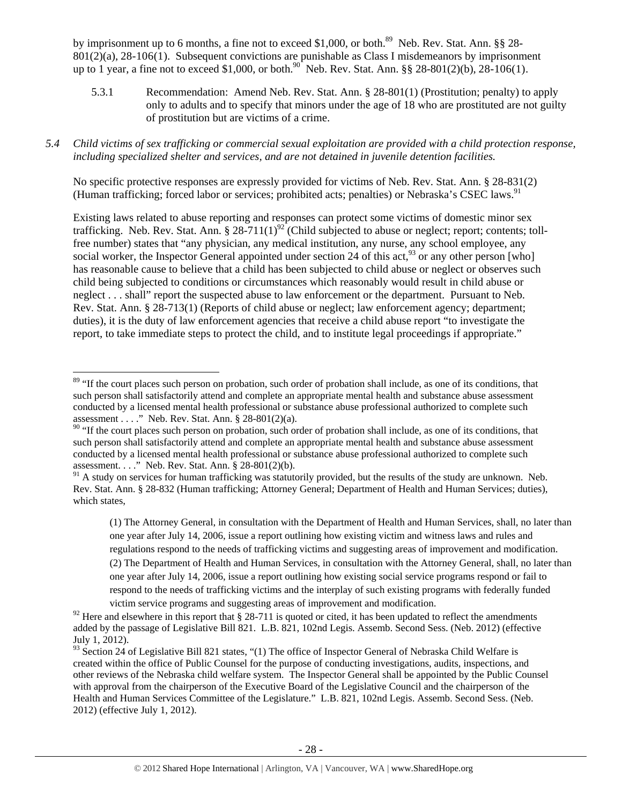by imprisonment up to 6 months, a fine not to exceed \$1,000, or both.<sup>89</sup> Neb. Rev. Stat. Ann. §§ 28-801(2)(a), 28-106(1). Subsequent convictions are punishable as Class I misdemeanors by imprisonment up to 1 year, a fine not to exceed \$1,000, or both.<sup>90</sup> Neb. Rev. Stat. Ann. §§ 28-801(2)(b), 28-106(1).

- 5.3.1 Recommendation: Amend Neb. Rev. Stat. Ann. § 28-801(1) (Prostitution; penalty) to apply only to adults and to specify that minors under the age of 18 who are prostituted are not guilty of prostitution but are victims of a crime.
- *5.4 Child victims of sex trafficking or commercial sexual exploitation are provided with a child protection response, including specialized shelter and services, and are not detained in juvenile detention facilities.*

No specific protective responses are expressly provided for victims of Neb. Rev. Stat. Ann. § 28-831(2) (Human trafficking; forced labor or services; prohibited acts; penalties) or Nebraska's CSEC laws.<sup>91</sup>

Existing laws related to abuse reporting and responses can protect some victims of domestic minor sex trafficking. Neb. Rev. Stat. Ann. § 28-711(1)<sup>92</sup> (Child subjected to abuse or neglect; report; contents; tollfree number) states that "any physician, any medical institution, any nurse, any school employee, any social worker, the Inspector General appointed under section 24 of this act,  $^{93}$  or any other person [who] has reasonable cause to believe that a child has been subjected to child abuse or neglect or observes such child being subjected to conditions or circumstances which reasonably would result in child abuse or neglect . . . shall" report the suspected abuse to law enforcement or the department. Pursuant to Neb. Rev. Stat. Ann. § 28-713(1) (Reports of child abuse or neglect; law enforcement agency; department; duties), it is the duty of law enforcement agencies that receive a child abuse report "to investigate the report, to take immediate steps to protect the child, and to institute legal proceedings if appropriate."

<sup>&</sup>lt;sup>89</sup> "If the court places such person on probation, such order of probation shall include, as one of its conditions, that such person shall satisfactorily attend and complete an appropriate mental health and substance abuse assessment conducted by a licensed mental health professional or substance abuse professional authorized to complete such assessment . . . ." Neb. Rev. Stat. Ann. § 28-801(2)(a).

 $90$  "If the court places such person on probation, such order of probation shall include, as one of its conditions, that such person shall satisfactorily attend and complete an appropriate mental health and substance abuse assessment conducted by a licensed mental health professional or substance abuse professional authorized to complete such assessment. . . ." Neb. Rev. Stat. Ann. § 28-801(2)(b).

 $91$  A study on services for human trafficking was statutorily provided, but the results of the study are unknown. Neb. Rev. Stat. Ann. § 28-832 (Human trafficking; Attorney General; Department of Health and Human Services; duties), which states,

<sup>(1)</sup> The Attorney General, in consultation with the Department of Health and Human Services, shall, no later than one year after July 14, 2006, issue a report outlining how existing victim and witness laws and rules and regulations respond to the needs of trafficking victims and suggesting areas of improvement and modification. (2) The Department of Health and Human Services, in consultation with the Attorney General, shall, no later than one year after July 14, 2006, issue a report outlining how existing social service programs respond or fail to respond to the needs of trafficking victims and the interplay of such existing programs with federally funded victim service programs and suggesting areas of improvement and modification.

<sup>&</sup>lt;sup>92</sup> Here and elsewhere in this report that § 28-711 is quoted or cited, it has been updated to reflect the amendments added by the passage of Legislative Bill 821. L.B. 821, 102nd Legis. Assemb. Second Sess. (Neb. 2012) (effective July 1, 2012).

 $93$  Section 24 of Legislative Bill 821 states, "(1) The office of Inspector General of Nebraska Child Welfare is created within the office of Public Counsel for the purpose of conducting investigations, audits, inspections, and other reviews of the Nebraska child welfare system. The Inspector General shall be appointed by the Public Counsel with approval from the chairperson of the Executive Board of the Legislative Council and the chairperson of the Health and Human Services Committee of the Legislature." L.B. 821, 102nd Legis. Assemb. Second Sess. (Neb. 2012) (effective July 1, 2012).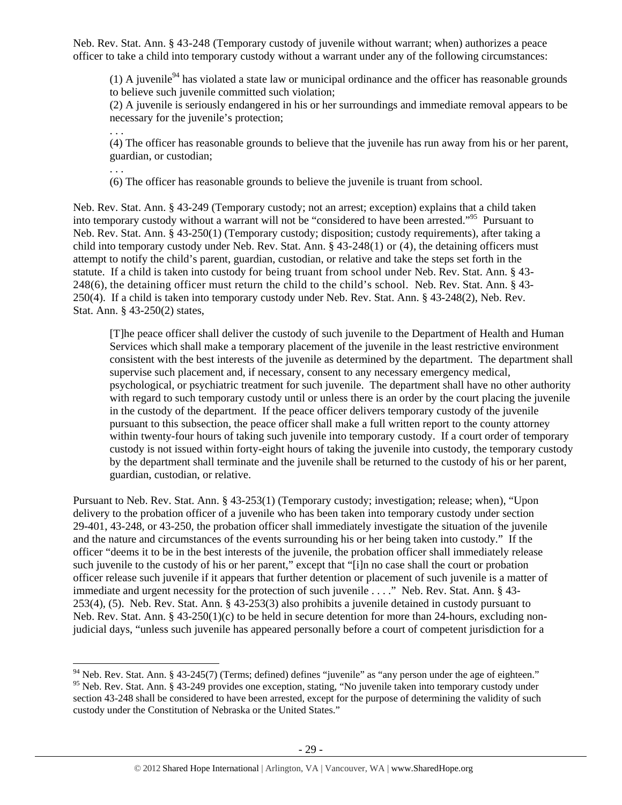Neb. Rev. Stat. Ann. § 43-248 (Temporary custody of juvenile without warrant; when) authorizes a peace officer to take a child into temporary custody without a warrant under any of the following circumstances:

(1) A juvenile<sup>94</sup> has violated a state law or municipal ordinance and the officer has reasonable grounds to believe such juvenile committed such violation;

(2) A juvenile is seriously endangered in his or her surroundings and immediate removal appears to be necessary for the juvenile's protection;

(4) The officer has reasonable grounds to believe that the juvenile has run away from his or her parent, guardian, or custodian;

. . .

. . .

(6) The officer has reasonable grounds to believe the juvenile is truant from school.

Neb. Rev. Stat. Ann. § 43-249 (Temporary custody; not an arrest; exception) explains that a child taken into temporary custody without a warrant will not be "considered to have been arrested."95 Pursuant to Neb. Rev. Stat. Ann. § 43-250(1) (Temporary custody; disposition; custody requirements), after taking a child into temporary custody under Neb. Rev. Stat. Ann. § 43-248(1) or (4), the detaining officers must attempt to notify the child's parent, guardian, custodian, or relative and take the steps set forth in the statute. If a child is taken into custody for being truant from school under Neb. Rev. Stat. Ann. § 43- 248(6), the detaining officer must return the child to the child's school. Neb. Rev. Stat. Ann. § 43- 250(4). If a child is taken into temporary custody under Neb. Rev. Stat. Ann. § 43-248(2), Neb. Rev. Stat. Ann. § 43-250(2) states,

[T]he peace officer shall deliver the custody of such juvenile to the Department of Health and Human Services which shall make a temporary placement of the juvenile in the least restrictive environment consistent with the best interests of the juvenile as determined by the department. The department shall supervise such placement and, if necessary, consent to any necessary emergency medical, psychological, or psychiatric treatment for such juvenile. The department shall have no other authority with regard to such temporary custody until or unless there is an order by the court placing the juvenile in the custody of the department. If the peace officer delivers temporary custody of the juvenile pursuant to this subsection, the peace officer shall make a full written report to the county attorney within twenty-four hours of taking such juvenile into temporary custody. If a court order of temporary custody is not issued within forty-eight hours of taking the juvenile into custody, the temporary custody by the department shall terminate and the juvenile shall be returned to the custody of his or her parent, guardian, custodian, or relative.

Pursuant to Neb. Rev. Stat. Ann. § 43-253(1) (Temporary custody; investigation; release; when), "Upon delivery to the probation officer of a juvenile who has been taken into temporary custody under section 29-401, 43-248, or 43-250, the probation officer shall immediately investigate the situation of the juvenile and the nature and circumstances of the events surrounding his or her being taken into custody." If the officer "deems it to be in the best interests of the juvenile, the probation officer shall immediately release such juvenile to the custody of his or her parent," except that "[i]n no case shall the court or probation officer release such juvenile if it appears that further detention or placement of such juvenile is a matter of immediate and urgent necessity for the protection of such juvenile . . . ." Neb. Rev. Stat. Ann. § 43-253(4), (5). Neb. Rev. Stat. Ann. § 43-253(3) also prohibits a juvenile detained in custody pursuant to Neb. Rev. Stat. Ann. § 43-250(1)(c) to be held in secure detention for more than 24-hours, excluding nonjudicial days, "unless such juvenile has appeared personally before a court of competent jurisdiction for a

 $94$  Neb. Rev. Stat. Ann. § 43-245(7) (Terms; defined) defines "juvenile" as "any person under the age of eighteen." <sup>95</sup> Neb. Rev. Stat. Ann. § 43-249 provides one exception, stating, "No juvenile taken into temporary custody under section 43-248 shall be considered to have been arrested, except for the purpose of determining the validity of such custody under the Constitution of Nebraska or the United States."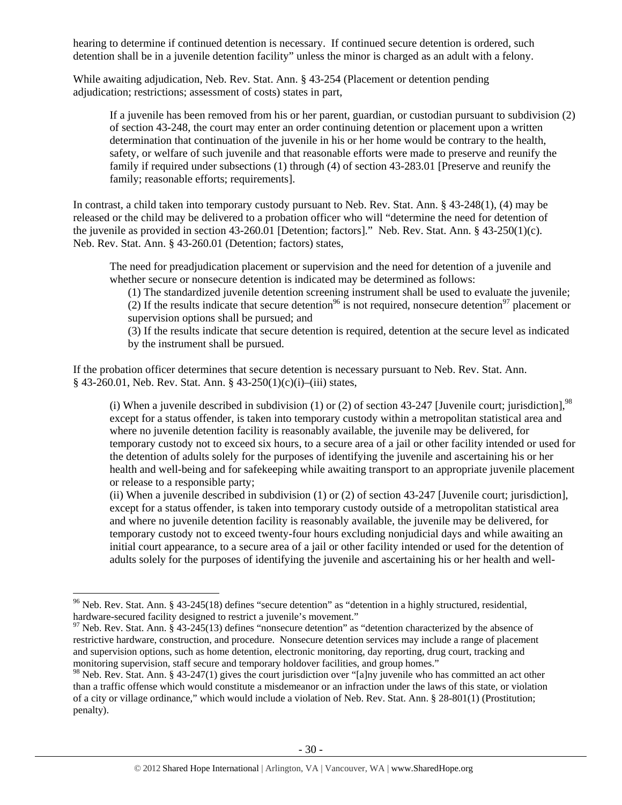hearing to determine if continued detention is necessary. If continued secure detention is ordered, such detention shall be in a juvenile detention facility" unless the minor is charged as an adult with a felony.

While awaiting adjudication, Neb. Rev. Stat. Ann. § 43-254 (Placement or detention pending adjudication; restrictions; assessment of costs) states in part,

If a juvenile has been removed from his or her parent, guardian, or custodian pursuant to subdivision (2) of section 43-248, the court may enter an order continuing detention or placement upon a written determination that continuation of the juvenile in his or her home would be contrary to the health, safety, or welfare of such juvenile and that reasonable efforts were made to preserve and reunify the family if required under subsections (1) through (4) of section 43-283.01 [Preserve and reunify the family; reasonable efforts; requirements].

In contrast, a child taken into temporary custody pursuant to Neb. Rev. Stat. Ann. § 43-248(1), (4) may be released or the child may be delivered to a probation officer who will "determine the need for detention of the juvenile as provided in section 43-260.01 [Detention; factors]." Neb. Rev. Stat. Ann. § 43-250(1)(c). Neb. Rev. Stat. Ann. § 43-260.01 (Detention; factors) states,

The need for preadjudication placement or supervision and the need for detention of a juvenile and whether secure or nonsecure detention is indicated may be determined as follows:

(1) The standardized juvenile detention screening instrument shall be used to evaluate the juvenile; (2) If the results indicate that secure detention<sup>96</sup> is not required, nonsecure detention<sup>97</sup> placement or supervision options shall be pursued; and

(3) If the results indicate that secure detention is required, detention at the secure level as indicated by the instrument shall be pursued.

If the probation officer determines that secure detention is necessary pursuant to Neb. Rev. Stat. Ann. § 43-260.01, Neb. Rev. Stat. Ann. § 43-250(1)(c)(i)–(iii) states,

(i) When a juvenile described in subdivision (1) or (2) of section 43-247 [Juvenile court; jurisdiction],  $98$ except for a status offender, is taken into temporary custody within a metropolitan statistical area and where no juvenile detention facility is reasonably available, the juvenile may be delivered, for temporary custody not to exceed six hours, to a secure area of a jail or other facility intended or used for the detention of adults solely for the purposes of identifying the juvenile and ascertaining his or her health and well-being and for safekeeping while awaiting transport to an appropriate juvenile placement or release to a responsible party;

(ii) When a juvenile described in subdivision (1) or (2) of section 43-247 [Juvenile court; jurisdiction], except for a status offender, is taken into temporary custody outside of a metropolitan statistical area and where no juvenile detention facility is reasonably available, the juvenile may be delivered, for temporary custody not to exceed twenty-four hours excluding nonjudicial days and while awaiting an initial court appearance, to a secure area of a jail or other facility intended or used for the detention of adults solely for the purposes of identifying the juvenile and ascertaining his or her health and well-

<sup>&</sup>lt;sup>96</sup> Neb. Rev. Stat. Ann. § 43-245(18) defines "secure detention" as "detention in a highly structured, residential, hardware-secured facility designed to restrict a juvenile's movement."

 $97$  Neb. Rev. Stat. Ann. § 43-245(13) defines "nonsecure detention" as "detention characterized by the absence of restrictive hardware, construction, and procedure. Nonsecure detention services may include a range of placement and supervision options, such as home detention, electronic monitoring, day reporting, drug court, tracking and monitoring supervision, staff secure and temporary holdover facilities, and group homes."

<sup>&</sup>lt;sup>98</sup> Neb. Rev. Stat. Ann. § 43-247(1) gives the court jurisdiction over "[a]ny juvenile who has committed an act other than a traffic offense which would constitute a misdemeanor or an infraction under the laws of this state, or violation of a city or village ordinance," which would include a violation of Neb. Rev. Stat. Ann. § 28-801(1) (Prostitution; penalty).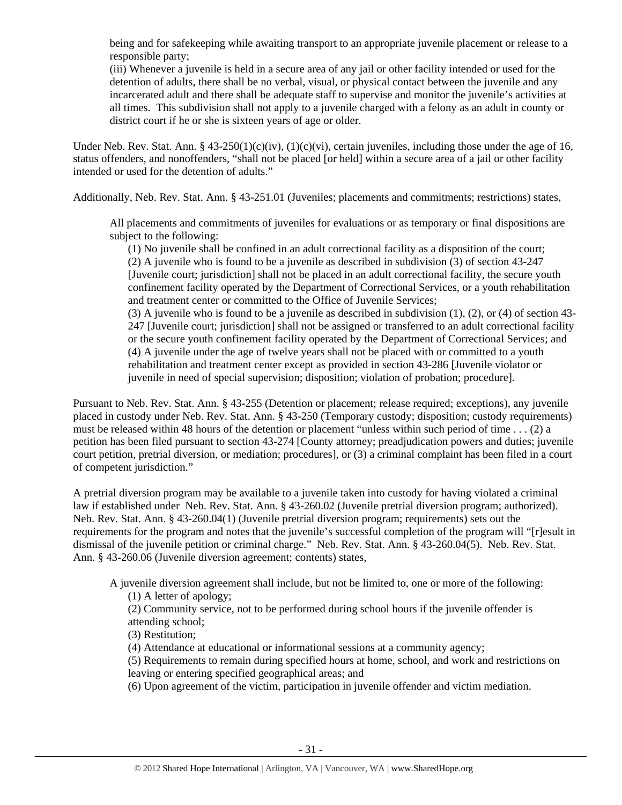being and for safekeeping while awaiting transport to an appropriate juvenile placement or release to a responsible party;

(iii) Whenever a juvenile is held in a secure area of any jail or other facility intended or used for the detention of adults, there shall be no verbal, visual, or physical contact between the juvenile and any incarcerated adult and there shall be adequate staff to supervise and monitor the juvenile's activities at all times. This subdivision shall not apply to a juvenile charged with a felony as an adult in county or district court if he or she is sixteen years of age or older.

Under Neb. Rev. Stat. Ann. § 43-250(1)(c)(iv), (1)(c)(vi), certain juveniles, including those under the age of 16, status offenders, and nonoffenders, "shall not be placed [or held] within a secure area of a jail or other facility intended or used for the detention of adults."

Additionally, Neb. Rev. Stat. Ann. § 43-251.01 (Juveniles; placements and commitments; restrictions) states,

All placements and commitments of juveniles for evaluations or as temporary or final dispositions are subject to the following:

(1) No juvenile shall be confined in an adult correctional facility as a disposition of the court; (2) A juvenile who is found to be a juvenile as described in subdivision (3) of section 43-247 [Juvenile court; jurisdiction] shall not be placed in an adult correctional facility, the secure youth confinement facility operated by the Department of Correctional Services, or a youth rehabilitation and treatment center or committed to the Office of Juvenile Services;

(3) A juvenile who is found to be a juvenile as described in subdivision (1), (2), or (4) of section 43- 247 [Juvenile court; jurisdiction] shall not be assigned or transferred to an adult correctional facility or the secure youth confinement facility operated by the Department of Correctional Services; and (4) A juvenile under the age of twelve years shall not be placed with or committed to a youth rehabilitation and treatment center except as provided in section 43-286 [Juvenile violator or juvenile in need of special supervision; disposition; violation of probation; procedure].

Pursuant to Neb. Rev. Stat. Ann. § 43-255 (Detention or placement; release required; exceptions), any juvenile placed in custody under Neb. Rev. Stat. Ann. § 43-250 (Temporary custody; disposition; custody requirements) must be released within 48 hours of the detention or placement "unless within such period of time . . . (2) a petition has been filed pursuant to section 43-274 [County attorney; preadjudication powers and duties; juvenile court petition, pretrial diversion, or mediation; procedures], or (3) a criminal complaint has been filed in a court of competent jurisdiction."

A pretrial diversion program may be available to a juvenile taken into custody for having violated a criminal law if established under Neb. Rev. Stat. Ann. § 43-260.02 (Juvenile pretrial diversion program; authorized). Neb. Rev. Stat. Ann. § 43-260.04(1) (Juvenile pretrial diversion program; requirements) sets out the requirements for the program and notes that the juvenile's successful completion of the program will "[r]esult in dismissal of the juvenile petition or criminal charge." Neb. Rev. Stat. Ann. § 43-260.04(5). Neb. Rev. Stat. Ann. § 43-260.06 (Juvenile diversion agreement; contents) states,

A juvenile diversion agreement shall include, but not be limited to, one or more of the following:

(1) A letter of apology;

(2) Community service, not to be performed during school hours if the juvenile offender is attending school;

(3) Restitution;

(4) Attendance at educational or informational sessions at a community agency;

(5) Requirements to remain during specified hours at home, school, and work and restrictions on leaving or entering specified geographical areas; and

(6) Upon agreement of the victim, participation in juvenile offender and victim mediation.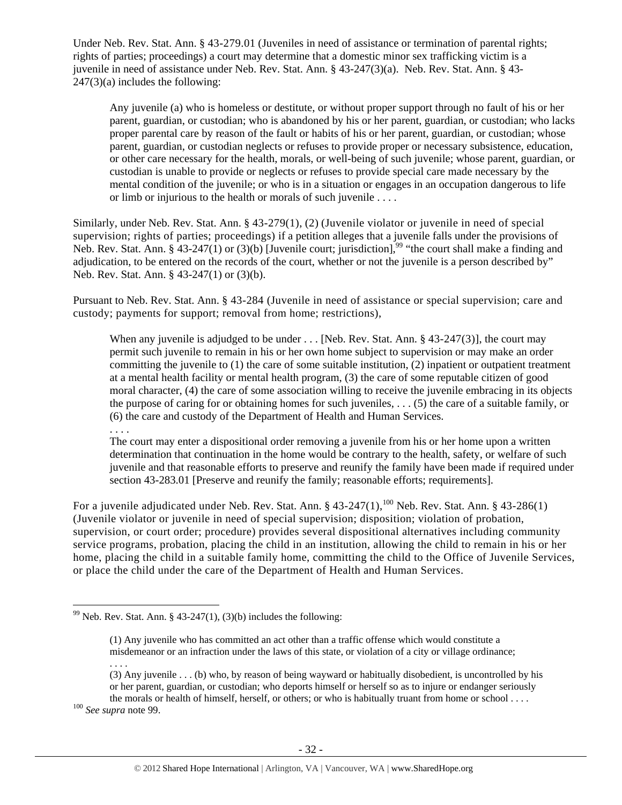Under Neb. Rev. Stat. Ann. § 43-279.01 (Juveniles in need of assistance or termination of parental rights; rights of parties; proceedings) a court may determine that a domestic minor sex trafficking victim is a juvenile in need of assistance under Neb. Rev. Stat. Ann. § 43-247(3)(a). Neb. Rev. Stat. Ann. § 43-  $247(3)(a)$  includes the following:

Any juvenile (a) who is homeless or destitute, or without proper support through no fault of his or her parent, guardian, or custodian; who is abandoned by his or her parent, guardian, or custodian; who lacks proper parental care by reason of the fault or habits of his or her parent, guardian, or custodian; whose parent, guardian, or custodian neglects or refuses to provide proper or necessary subsistence, education, or other care necessary for the health, morals, or well-being of such juvenile; whose parent, guardian, or custodian is unable to provide or neglects or refuses to provide special care made necessary by the mental condition of the juvenile; or who is in a situation or engages in an occupation dangerous to life or limb or injurious to the health or morals of such juvenile . . . .

Similarly, under Neb. Rev. Stat. Ann. § 43-279(1), (2) (Juvenile violator or juvenile in need of special supervision; rights of parties; proceedings) if a petition alleges that a juvenile falls under the provisions of Neb. Rev. Stat. Ann. § 43-247(1) or (3)(b) [Juvenile court; jurisdiction],<sup>99</sup> "the court shall make a finding and adjudication, to be entered on the records of the court, whether or not the juvenile is a person described by" Neb. Rev. Stat. Ann. § 43-247(1) or (3)(b).

Pursuant to Neb. Rev. Stat. Ann. § 43-284 (Juvenile in need of assistance or special supervision; care and custody; payments for support; removal from home; restrictions),

When any juvenile is adjudged to be under . . . [Neb. Rev. Stat. Ann. § 43-247(3)], the court may permit such juvenile to remain in his or her own home subject to supervision or may make an order committing the juvenile to  $(1)$  the care of some suitable institution,  $(2)$  inpatient or outpatient treatment at a mental health facility or mental health program, (3) the care of some reputable citizen of good moral character, (4) the care of some association willing to receive the juvenile embracing in its objects the purpose of caring for or obtaining homes for such juveniles, . . . (5) the care of a suitable family, or (6) the care and custody of the Department of Health and Human Services.

. . . .

The court may enter a dispositional order removing a juvenile from his or her home upon a written determination that continuation in the home would be contrary to the health, safety, or welfare of such juvenile and that reasonable efforts to preserve and reunify the family have been made if required under section 43-283.01 [Preserve and reunify the family; reasonable efforts; requirements].

For a juvenile adjudicated under Neb. Rev. Stat. Ann. § 43-247(1),<sup>100</sup> Neb. Rev. Stat. Ann. § 43-286(1) (Juvenile violator or juvenile in need of special supervision; disposition; violation of probation, supervision, or court order; procedure) provides several dispositional alternatives including community service programs, probation, placing the child in an institution, allowing the child to remain in his or her home, placing the child in a suitable family home, committing the child to the Office of Juvenile Services, or place the child under the care of the Department of Health and Human Services.

 <sup>99</sup> Neb. Rev. Stat. Ann. § 43-247(1), (3)(b) includes the following:

<sup>(1)</sup> Any juvenile who has committed an act other than a traffic offense which would constitute a misdemeanor or an infraction under the laws of this state, or violation of a city or village ordinance; . . . .

<sup>(3)</sup> Any juvenile . . . (b) who, by reason of being wayward or habitually disobedient, is uncontrolled by his or her parent, guardian, or custodian; who deports himself or herself so as to injure or endanger seriously the morals or health of himself, herself, or others; or who is habitually truant from home or school . . . . 100 *See supra* note 99.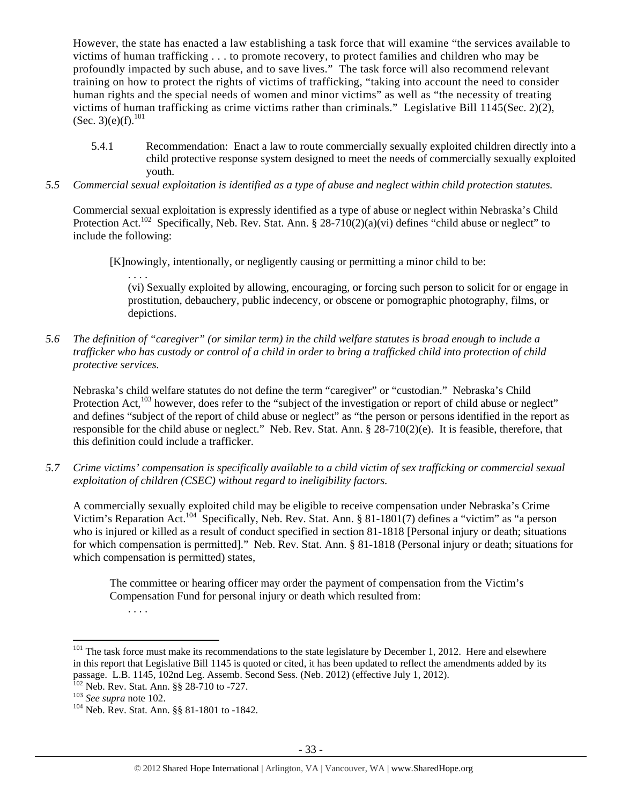However, the state has enacted a law establishing a task force that will examine "the services available to victims of human trafficking . . . to promote recovery, to protect families and children who may be profoundly impacted by such abuse, and to save lives." The task force will also recommend relevant training on how to protect the rights of victims of trafficking, "taking into account the need to consider human rights and the special needs of women and minor victims" as well as "the necessity of treating victims of human trafficking as crime victims rather than criminals." Legislative Bill 1145(Sec. 2)(2), (Sec. 3)(e)(f).<sup>101</sup>

- 5.4.1 Recommendation: Enact a law to route commercially sexually exploited children directly into a child protective response system designed to meet the needs of commercially sexually exploited youth.
- *5.5 Commercial sexual exploitation is identified as a type of abuse and neglect within child protection statutes.*

Commercial sexual exploitation is expressly identified as a type of abuse or neglect within Nebraska's Child Protection Act.<sup>102</sup> Specifically, Neb. Rev. Stat. Ann. § 28-710(2)(a)(vi) defines "child abuse or neglect" to include the following:

[K]nowingly, intentionally, or negligently causing or permitting a minor child to be:

. . . . (vi) Sexually exploited by allowing, encouraging, or forcing such person to solicit for or engage in prostitution, debauchery, public indecency, or obscene or pornographic photography, films, or depictions.

*5.6 The definition of "caregiver" (or similar term) in the child welfare statutes is broad enough to include a trafficker who has custody or control of a child in order to bring a trafficked child into protection of child protective services.* 

Nebraska's child welfare statutes do not define the term "caregiver" or "custodian." Nebraska's Child Protection Act,<sup>103</sup> however, does refer to the "subject of the investigation or report of child abuse or neglect" and defines "subject of the report of child abuse or neglect" as "the person or persons identified in the report as responsible for the child abuse or neglect." Neb. Rev. Stat. Ann. § 28-710(2)(e). It is feasible, therefore, that this definition could include a trafficker.

*5.7 Crime victims' compensation is specifically available to a child victim of sex trafficking or commercial sexual exploitation of children (CSEC) without regard to ineligibility factors.* 

A commercially sexually exploited child may be eligible to receive compensation under Nebraska's Crime Victim's Reparation Act.104 Specifically, Neb. Rev. Stat. Ann. § 81-1801(7) defines a "victim" as "a person who is injured or killed as a result of conduct specified in section 81-1818 [Personal injury or death; situations for which compensation is permitted]." Neb. Rev. Stat. Ann. § 81-1818 (Personal injury or death; situations for which compensation is permitted) states,

The committee or hearing officer may order the payment of compensation from the Victim's Compensation Fund for personal injury or death which resulted from:

. . . .

 $101$  The task force must make its recommendations to the state legislature by December 1, 2012. Here and elsewhere in this report that Legislative Bill 1145 is quoted or cited, it has been updated to reflect the amendments added by its passage. L.B. 1145, 102nd Leg. Assemb. Second Sess. (Neb. 2012) (effective July 1, 2012). <sup>102</sup> Neb. Rev. Stat. Ann. §§ 28-710 to -727.

<sup>&</sup>lt;sup>103</sup> See supra note 102.<br><sup>104</sup> Neb. Rev. Stat. Ann. §§ 81-1801 to -1842.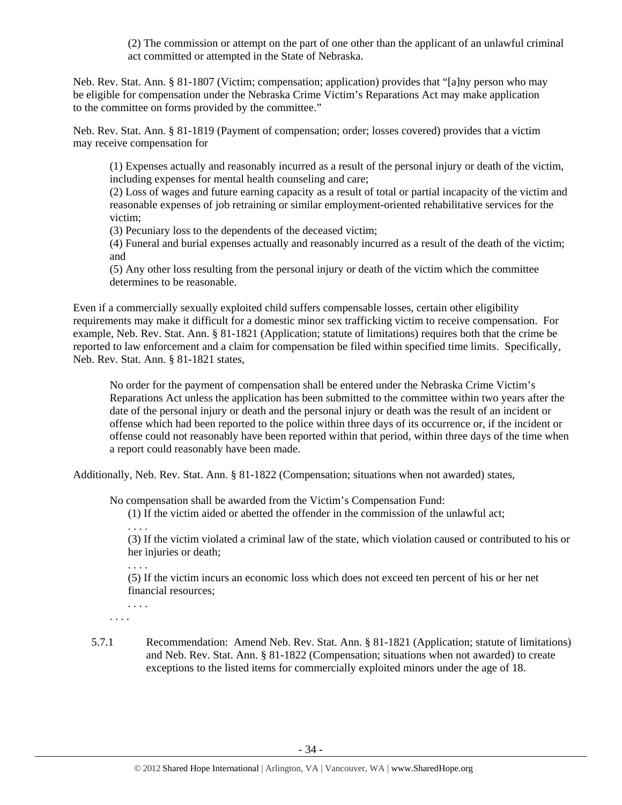(2) The commission or attempt on the part of one other than the applicant of an unlawful criminal act committed or attempted in the State of Nebraska.

Neb. Rev. Stat. Ann. § 81-1807 (Victim; compensation; application) provides that "[a]ny person who may be eligible for compensation under the Nebraska Crime Victim's Reparations Act may make application to the committee on forms provided by the committee."

Neb. Rev. Stat. Ann. § 81-1819 (Payment of compensation; order; losses covered) provides that a victim may receive compensation for

(1) Expenses actually and reasonably incurred as a result of the personal injury or death of the victim, including expenses for mental health counseling and care;

(2) Loss of wages and future earning capacity as a result of total or partial incapacity of the victim and reasonable expenses of job retraining or similar employment-oriented rehabilitative services for the victim;

(3) Pecuniary loss to the dependents of the deceased victim;

(4) Funeral and burial expenses actually and reasonably incurred as a result of the death of the victim; and

(5) Any other loss resulting from the personal injury or death of the victim which the committee determines to be reasonable.

Even if a commercially sexually exploited child suffers compensable losses, certain other eligibility requirements may make it difficult for a domestic minor sex trafficking victim to receive compensation. For example, Neb. Rev. Stat. Ann. § 81-1821 (Application; statute of limitations) requires both that the crime be reported to law enforcement and a claim for compensation be filed within specified time limits. Specifically, Neb. Rev. Stat. Ann. § 81-1821 states,

No order for the payment of compensation shall be entered under the Nebraska Crime Victim's Reparations Act unless the application has been submitted to the committee within two years after the date of the personal injury or death and the personal injury or death was the result of an incident or offense which had been reported to the police within three days of its occurrence or, if the incident or offense could not reasonably have been reported within that period, within three days of the time when a report could reasonably have been made.

Additionally, Neb. Rev. Stat. Ann. § 81-1822 (Compensation; situations when not awarded) states,

No compensation shall be awarded from the Victim's Compensation Fund:

(1) If the victim aided or abetted the offender in the commission of the unlawful act; . . . .

(3) If the victim violated a criminal law of the state, which violation caused or contributed to his or her injuries or death;

. . . .

(5) If the victim incurs an economic loss which does not exceed ten percent of his or her net financial resources;

. . . . . . . .

5.7.1 Recommendation: Amend Neb. Rev. Stat. Ann. § 81-1821 (Application; statute of limitations) and Neb. Rev. Stat. Ann. § 81-1822 (Compensation; situations when not awarded) to create exceptions to the listed items for commercially exploited minors under the age of 18.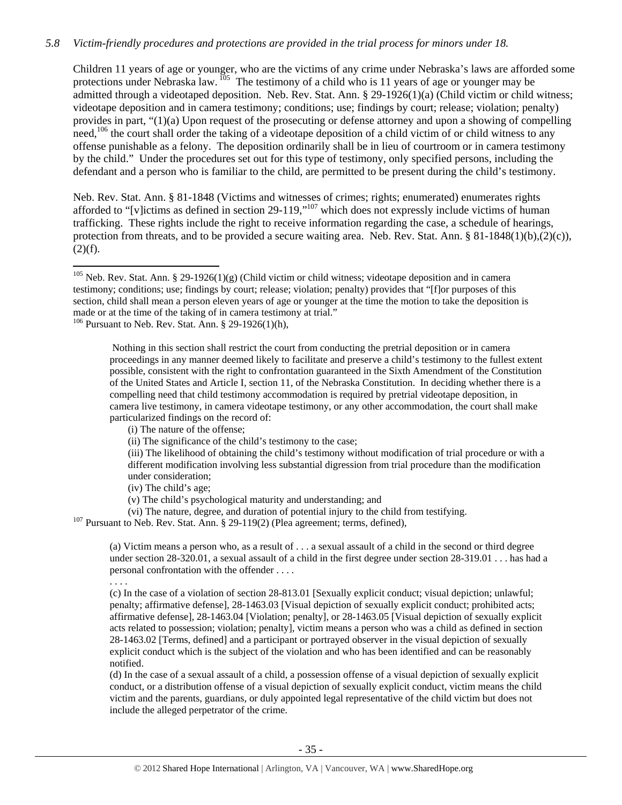## *5.8 Victim-friendly procedures and protections are provided in the trial process for minors under 18.*

Children 11 years of age or younger, who are the victims of any crime under Nebraska's laws are afforded some protections under Nebraska law. <sup>105</sup> The testimony of a child who is 11 years of age or younger may be admitted through a videotaped deposition. Neb. Rev. Stat. Ann. § 29-1926(1)(a) (Child victim or child witness; videotape deposition and in camera testimony; conditions; use; findings by court; release; violation; penalty) provides in part, "(1)(a) Upon request of the prosecuting or defense attorney and upon a showing of compelling need,<sup>106</sup> the court shall order the taking of a videotape deposition of a child victim of or child witness to any offense punishable as a felony. The deposition ordinarily shall be in lieu of courtroom or in camera testimony by the child." Under the procedures set out for this type of testimony, only specified persons, including the defendant and a person who is familiar to the child, are permitted to be present during the child's testimony.

Neb. Rev. Stat. Ann. § 81-1848 (Victims and witnesses of crimes; rights; enumerated) enumerates rights afforded to "[v]ictims as defined in section  $29-119$ ,"<sup>107</sup> which does not expressly include victims of human trafficking. These rights include the right to receive information regarding the case, a schedule of hearings, protection from threats, and to be provided a secure waiting area. Neb. Rev. Stat. Ann.  $\S 81-1848(1)(b),(2)(c)$ ,  $(2)(f)$ .

 $106$  Pursuant to Neb. Rev. Stat. Ann. § 29-1926(1)(h),

 Nothing in this section shall restrict the court from conducting the pretrial deposition or in camera proceedings in any manner deemed likely to facilitate and preserve a child's testimony to the fullest extent possible, consistent with the right to confrontation guaranteed in the Sixth Amendment of the Constitution of the United States and Article I, section 11, of the Nebraska Constitution. In deciding whether there is a compelling need that child testimony accommodation is required by pretrial videotape deposition, in camera live testimony, in camera videotape testimony, or any other accommodation, the court shall make particularized findings on the record of:

(i) The nature of the offense;

(ii) The significance of the child's testimony to the case;

(iii) The likelihood of obtaining the child's testimony without modification of trial procedure or with a different modification involving less substantial digression from trial procedure than the modification under consideration;

(iv) The child's age;

(v) The child's psychological maturity and understanding; and

(vi) The nature, degree, and duration of potential injury to the child from testifying. 107 Pursuant to Neb. Rev. Stat. Ann. § 29-119(2) (Plea agreement; terms, defined),

(a) Victim means a person who, as a result of . . . a sexual assault of a child in the second or third degree under section 28-320.01, a sexual assault of a child in the first degree under section 28-319.01 . . . has had a personal confrontation with the offender . . . .

. . . .

(c) In the case of a violation of section 28-813.01 [Sexually explicit conduct; visual depiction; unlawful; penalty; affirmative defense], 28-1463.03 [Visual depiction of sexually explicit conduct; prohibited acts; affirmative defense], 28-1463.04 [Violation; penalty], or 28-1463.05 [Visual depiction of sexually explicit acts related to possession; violation; penalty], victim means a person who was a child as defined in section 28-1463.02 [Terms, defined] and a participant or portrayed observer in the visual depiction of sexually explicit conduct which is the subject of the violation and who has been identified and can be reasonably notified.

(d) In the case of a sexual assault of a child, a possession offense of a visual depiction of sexually explicit conduct, or a distribution offense of a visual depiction of sexually explicit conduct, victim means the child victim and the parents, guardians, or duly appointed legal representative of the child victim but does not include the alleged perpetrator of the crime.

<sup>&</sup>lt;sup>105</sup> Neb. Rev. Stat. Ann. § 29-1926(1)(g) (Child victim or child witness; videotape deposition and in camera testimony; conditions; use; findings by court; release; violation; penalty) provides that "[f]or purposes of this section, child shall mean a person eleven years of age or younger at the time the motion to take the deposition is made or at the time of the taking of in camera testimony at trial."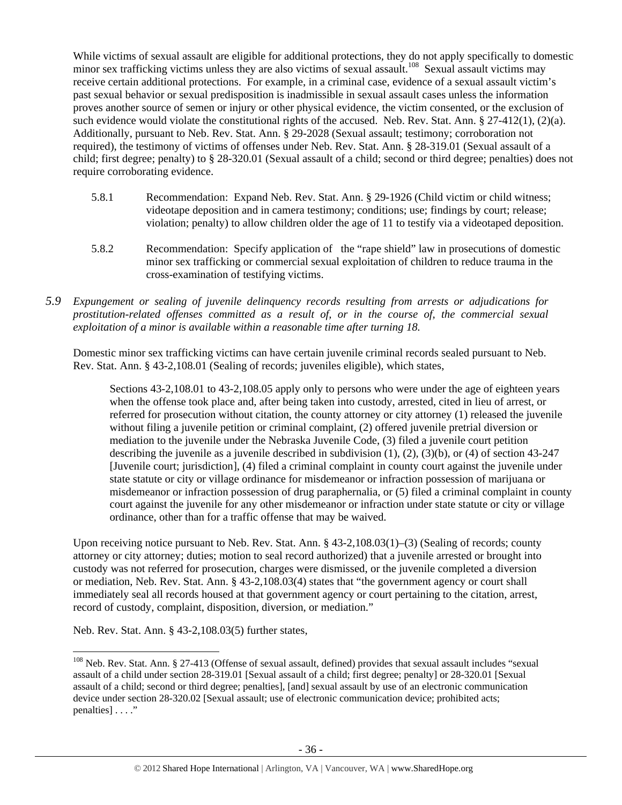While victims of sexual assault are eligible for additional protections, they do not apply specifically to domestic minor sex trafficking victims unless they are also victims of sexual assault.<sup>108</sup> Sexual assault victims may receive certain additional protections. For example, in a criminal case, evidence of a sexual assault victim's past sexual behavior or sexual predisposition is inadmissible in sexual assault cases unless the information proves another source of semen or injury or other physical evidence, the victim consented, or the exclusion of such evidence would violate the constitutional rights of the accused. Neb. Rev. Stat. Ann. § 27-412(1), (2)(a). Additionally, pursuant to Neb. Rev. Stat. Ann. § 29-2028 (Sexual assault; testimony; corroboration not required), the testimony of victims of offenses under Neb. Rev. Stat. Ann. § 28-319.01 (Sexual assault of a child; first degree; penalty) to § 28-320.01 (Sexual assault of a child; second or third degree; penalties) does not require corroborating evidence.

- 5.8.1 Recommendation: Expand Neb. Rev. Stat. Ann. § 29-1926 (Child victim or child witness; videotape deposition and in camera testimony; conditions; use; findings by court; release; violation; penalty) to allow children older the age of 11 to testify via a videotaped deposition.
- 5.8.2 Recommendation: Specify application of the "rape shield" law in prosecutions of domestic minor sex trafficking or commercial sexual exploitation of children to reduce trauma in the cross-examination of testifying victims.
- *5.9 Expungement or sealing of juvenile delinquency records resulting from arrests or adjudications for prostitution-related offenses committed as a result of, or in the course of, the commercial sexual exploitation of a minor is available within a reasonable time after turning 18.*

Domestic minor sex trafficking victims can have certain juvenile criminal records sealed pursuant to Neb. Rev. Stat. Ann. § 43-2,108.01 (Sealing of records; juveniles eligible), which states,

Sections 43-2,108.01 to 43-2,108.05 apply only to persons who were under the age of eighteen years when the offense took place and, after being taken into custody, arrested, cited in lieu of arrest, or referred for prosecution without citation, the county attorney or city attorney (1) released the juvenile without filing a juvenile petition or criminal complaint, (2) offered juvenile pretrial diversion or mediation to the juvenile under the Nebraska Juvenile Code, (3) filed a juvenile court petition describing the juvenile as a juvenile described in subdivision (1), (2), (3)(b), or (4) of section 43-247 [Juvenile court; jurisdiction], (4) filed a criminal complaint in county court against the juvenile under state statute or city or village ordinance for misdemeanor or infraction possession of marijuana or misdemeanor or infraction possession of drug paraphernalia, or (5) filed a criminal complaint in county court against the juvenile for any other misdemeanor or infraction under state statute or city or village ordinance, other than for a traffic offense that may be waived.

Upon receiving notice pursuant to Neb. Rev. Stat. Ann. § 43-2,108.03(1)–(3) (Sealing of records; county attorney or city attorney; duties; motion to seal record authorized) that a juvenile arrested or brought into custody was not referred for prosecution, charges were dismissed, or the juvenile completed a diversion or mediation, Neb. Rev. Stat. Ann. § 43-2,108.03(4) states that "the government agency or court shall immediately seal all records housed at that government agency or court pertaining to the citation, arrest, record of custody, complaint, disposition, diversion, or mediation."

Neb. Rev. Stat. Ann. § 43-2,108.03(5) further states,

 <sup>108</sup> Neb. Rev. Stat. Ann. § 27-413 (Offense of sexual assault, defined) provides that sexual assault includes "sexual assault of a child under section 28-319.01 [Sexual assault of a child; first degree; penalty] or 28-320.01 [Sexual assault of a child; second or third degree; penalties], [and] sexual assault by use of an electronic communication device under section 28-320.02 [Sexual assault; use of electronic communication device; prohibited acts; penalties] . . . ."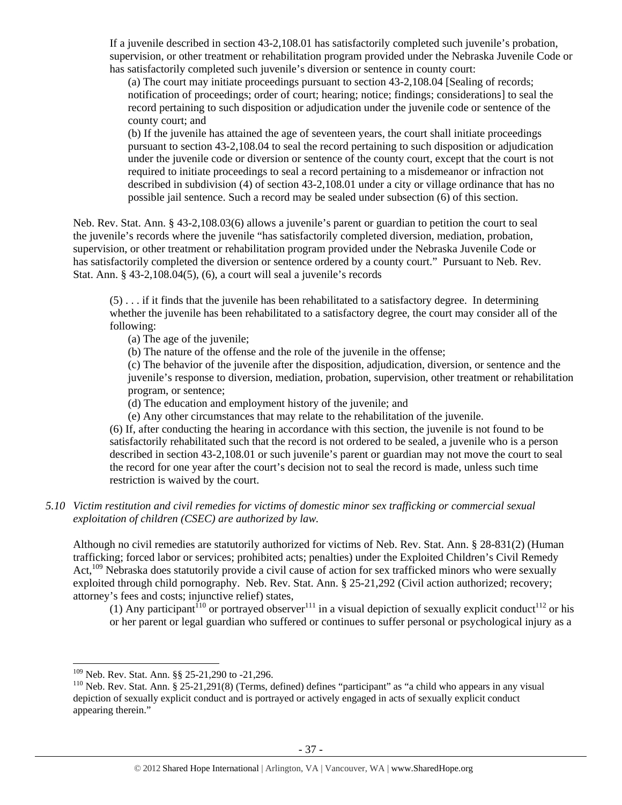If a juvenile described in section 43-2,108.01 has satisfactorily completed such juvenile's probation, supervision, or other treatment or rehabilitation program provided under the Nebraska Juvenile Code or has satisfactorily completed such juvenile's diversion or sentence in county court:

(a) The court may initiate proceedings pursuant to section 43-2,108.04 [Sealing of records; notification of proceedings; order of court; hearing; notice; findings; considerations] to seal the record pertaining to such disposition or adjudication under the juvenile code or sentence of the county court; and

(b) If the juvenile has attained the age of seventeen years, the court shall initiate proceedings pursuant to section 43-2,108.04 to seal the record pertaining to such disposition or adjudication under the juvenile code or diversion or sentence of the county court, except that the court is not required to initiate proceedings to seal a record pertaining to a misdemeanor or infraction not described in subdivision (4) of section 43-2,108.01 under a city or village ordinance that has no possible jail sentence. Such a record may be sealed under subsection (6) of this section.

Neb. Rev. Stat. Ann. § 43-2,108.03(6) allows a juvenile's parent or guardian to petition the court to seal the juvenile's records where the juvenile "has satisfactorily completed diversion, mediation, probation, supervision, or other treatment or rehabilitation program provided under the Nebraska Juvenile Code or has satisfactorily completed the diversion or sentence ordered by a county court." Pursuant to Neb. Rev. Stat. Ann. § 43-2,108.04(5), (6), a court will seal a juvenile's records

(5) . . . if it finds that the juvenile has been rehabilitated to a satisfactory degree. In determining whether the juvenile has been rehabilitated to a satisfactory degree, the court may consider all of the following:

(a) The age of the juvenile;

(b) The nature of the offense and the role of the juvenile in the offense;

(c) The behavior of the juvenile after the disposition, adjudication, diversion, or sentence and the juvenile's response to diversion, mediation, probation, supervision, other treatment or rehabilitation program, or sentence;

(d) The education and employment history of the juvenile; and

(e) Any other circumstances that may relate to the rehabilitation of the juvenile.

(6) If, after conducting the hearing in accordance with this section, the juvenile is not found to be satisfactorily rehabilitated such that the record is not ordered to be sealed, a juvenile who is a person described in section 43-2,108.01 or such juvenile's parent or guardian may not move the court to seal the record for one year after the court's decision not to seal the record is made, unless such time restriction is waived by the court.

## *5.10 Victim restitution and civil remedies for victims of domestic minor sex trafficking or commercial sexual exploitation of children (CSEC) are authorized by law.*

Although no civil remedies are statutorily authorized for victims of Neb. Rev. Stat. Ann. § 28-831(2) (Human trafficking; forced labor or services; prohibited acts; penalties) under the Exploited Children's Civil Remedy Act,<sup>109</sup> Nebraska does statutorily provide a civil cause of action for sex trafficked minors who were sexually exploited through child pornography. Neb. Rev. Stat. Ann. § 25-21,292 (Civil action authorized; recovery; attorney's fees and costs; injunctive relief) states,

(1) Any participant<sup>110</sup> or portrayed observer<sup>111</sup> in a visual depiction of sexually explicit conduct<sup>112</sup> or his or her parent or legal guardian who suffered or continues to suffer personal or psychological injury as a

<sup>&</sup>lt;sup>109</sup> Neb. Rev. Stat. Ann. §§ 25-21,290 to -21,296.<br><sup>110</sup> Neb. Rev. Stat. Ann. § 25-21,291(8) (Terms, defined) defines "participant" as "a child who appears in any visual depiction of sexually explicit conduct and is portrayed or actively engaged in acts of sexually explicit conduct appearing therein."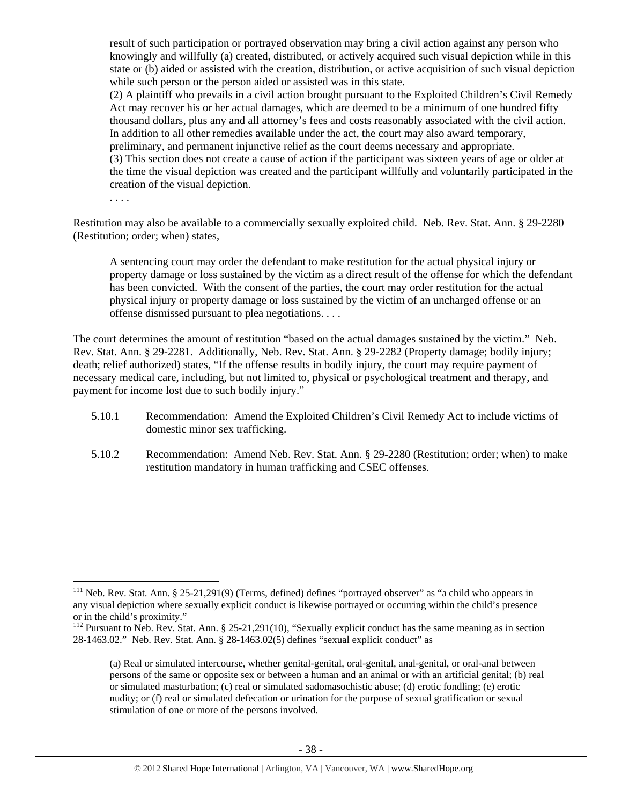result of such participation or portrayed observation may bring a civil action against any person who knowingly and willfully (a) created, distributed, or actively acquired such visual depiction while in this state or (b) aided or assisted with the creation, distribution, or active acquisition of such visual depiction while such person or the person aided or assisted was in this state.

(2) A plaintiff who prevails in a civil action brought pursuant to the Exploited Children's Civil Remedy Act may recover his or her actual damages, which are deemed to be a minimum of one hundred fifty thousand dollars, plus any and all attorney's fees and costs reasonably associated with the civil action. In addition to all other remedies available under the act, the court may also award temporary, preliminary, and permanent injunctive relief as the court deems necessary and appropriate. (3) This section does not create a cause of action if the participant was sixteen years of age or older at the time the visual depiction was created and the participant willfully and voluntarily participated in the creation of the visual depiction.

Restitution may also be available to a commercially sexually exploited child. Neb. Rev. Stat. Ann. § 29-2280 (Restitution; order; when) states,

. . . .

A sentencing court may order the defendant to make restitution for the actual physical injury or property damage or loss sustained by the victim as a direct result of the offense for which the defendant has been convicted. With the consent of the parties, the court may order restitution for the actual physical injury or property damage or loss sustained by the victim of an uncharged offense or an offense dismissed pursuant to plea negotiations. . . .

The court determines the amount of restitution "based on the actual damages sustained by the victim." Neb. Rev. Stat. Ann. § 29-2281. Additionally, Neb. Rev. Stat. Ann. § 29-2282 (Property damage; bodily injury; death; relief authorized) states, "If the offense results in bodily injury, the court may require payment of necessary medical care, including, but not limited to, physical or psychological treatment and therapy, and payment for income lost due to such bodily injury."

- 5.10.1 Recommendation: Amend the Exploited Children's Civil Remedy Act to include victims of domestic minor sex trafficking.
- 5.10.2 Recommendation: Amend Neb. Rev. Stat. Ann. § 29-2280 (Restitution; order; when) to make restitution mandatory in human trafficking and CSEC offenses.

 $111$  Neb. Rev. Stat. Ann. § 25-21,291(9) (Terms, defined) defines "portrayed observer" as "a child who appears in any visual depiction where sexually explicit conduct is likewise portrayed or occurring within the child's presence or in the child's proximity."

<sup>&</sup>lt;sup>112</sup> Pursuant to Neb. Rev. Stat. Ann. § 25-21,291(10), "Sexually explicit conduct has the same meaning as in section 28-1463.02." Neb. Rev. Stat. Ann. § 28-1463.02(5) defines "sexual explicit conduct" as

<sup>(</sup>a) Real or simulated intercourse, whether genital-genital, oral-genital, anal-genital, or oral-anal between persons of the same or opposite sex or between a human and an animal or with an artificial genital; (b) real or simulated masturbation; (c) real or simulated sadomasochistic abuse; (d) erotic fondling; (e) erotic nudity; or (f) real or simulated defecation or urination for the purpose of sexual gratification or sexual stimulation of one or more of the persons involved.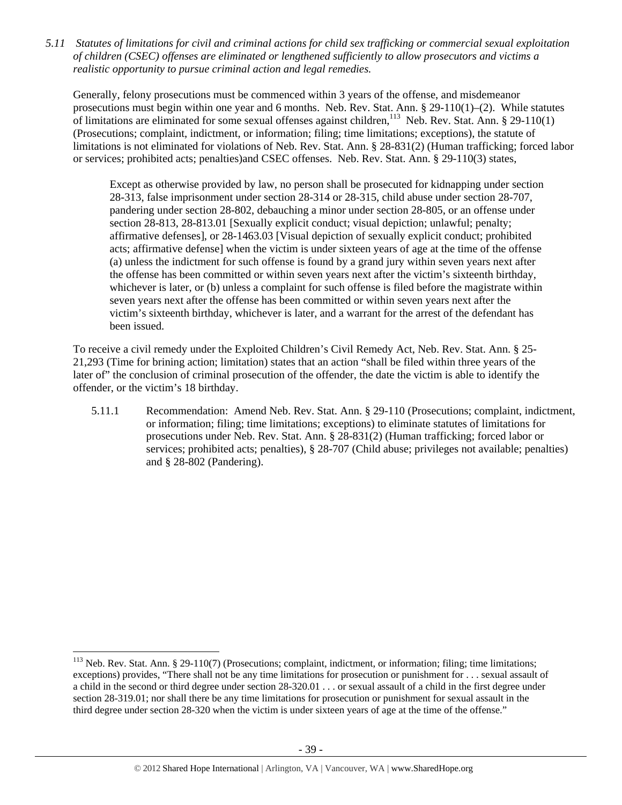*5.11 Statutes of limitations for civil and criminal actions for child sex trafficking or commercial sexual exploitation of children (CSEC) offenses are eliminated or lengthened sufficiently to allow prosecutors and victims a realistic opportunity to pursue criminal action and legal remedies.* 

Generally, felony prosecutions must be commenced within 3 years of the offense, and misdemeanor prosecutions must begin within one year and 6 months. Neb. Rev. Stat. Ann. § 29-110(1)–(2). While statutes of limitations are eliminated for some sexual offenses against children,<sup>113</sup> Neb. Rev. Stat. Ann. § 29-110(1) (Prosecutions; complaint, indictment, or information; filing; time limitations; exceptions), the statute of limitations is not eliminated for violations of Neb. Rev. Stat. Ann. § 28-831(2) (Human trafficking; forced labor or services; prohibited acts; penalties)and CSEC offenses. Neb. Rev. Stat. Ann. § 29-110(3) states,

Except as otherwise provided by law, no person shall be prosecuted for kidnapping under section 28-313, false imprisonment under section 28-314 or 28-315, child abuse under section 28-707, pandering under section 28-802, debauching a minor under section 28-805, or an offense under section 28-813, 28-813.01 [Sexually explicit conduct; visual depiction; unlawful; penalty; affirmative defenses], or 28-1463.03 [Visual depiction of sexually explicit conduct; prohibited acts; affirmative defense] when the victim is under sixteen years of age at the time of the offense (a) unless the indictment for such offense is found by a grand jury within seven years next after the offense has been committed or within seven years next after the victim's sixteenth birthday, whichever is later, or (b) unless a complaint for such offense is filed before the magistrate within seven years next after the offense has been committed or within seven years next after the victim's sixteenth birthday, whichever is later, and a warrant for the arrest of the defendant has been issued.

To receive a civil remedy under the Exploited Children's Civil Remedy Act, Neb. Rev. Stat. Ann. § 25- 21,293 (Time for brining action; limitation) states that an action "shall be filed within three years of the later of" the conclusion of criminal prosecution of the offender, the date the victim is able to identify the offender, or the victim's 18 birthday.

5.11.1 Recommendation: Amend Neb. Rev. Stat. Ann. § 29-110 (Prosecutions; complaint, indictment, or information; filing; time limitations; exceptions) to eliminate statutes of limitations for prosecutions under Neb. Rev. Stat. Ann. § 28-831(2) (Human trafficking; forced labor or services; prohibited acts; penalties), § 28-707 (Child abuse; privileges not available; penalties) and § 28-802 (Pandering).

 $113$  Neb. Rev. Stat. Ann. § 29-110(7) (Prosecutions; complaint, indictment, or information; filing; time limitations; exceptions) provides, "There shall not be any time limitations for prosecution or punishment for . . . sexual assault of a child in the second or third degree under section 28-320.01 . . . or sexual assault of a child in the first degree under section 28-319.01; nor shall there be any time limitations for prosecution or punishment for sexual assault in the third degree under section 28-320 when the victim is under sixteen years of age at the time of the offense."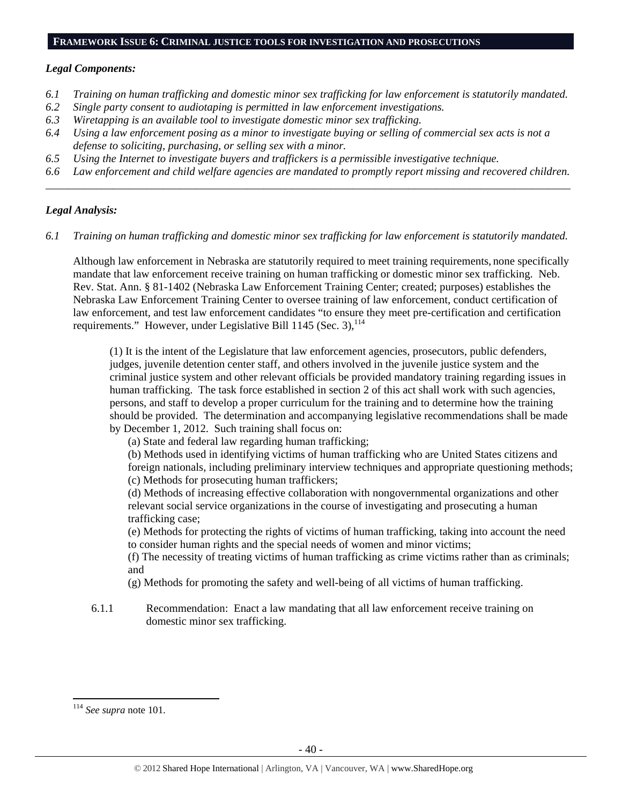#### **FRAMEWORK ISSUE 6: CRIMINAL JUSTICE TOOLS FOR INVESTIGATION AND PROSECUTIONS**

#### *Legal Components:*

- *6.1 Training on human trafficking and domestic minor sex trafficking for law enforcement is statutorily mandated.*
- *6.2 Single party consent to audiotaping is permitted in law enforcement investigations.*
- *6.3 Wiretapping is an available tool to investigate domestic minor sex trafficking.*
- *6.4 Using a law enforcement posing as a minor to investigate buying or selling of commercial sex acts is not a defense to soliciting, purchasing, or selling sex with a minor.*
- *6.5 Using the Internet to investigate buyers and traffickers is a permissible investigative technique.*
- *6.6 Law enforcement and child welfare agencies are mandated to promptly report missing and recovered children. \_\_\_\_\_\_\_\_\_\_\_\_\_\_\_\_\_\_\_\_\_\_\_\_\_\_\_\_\_\_\_\_\_\_\_\_\_\_\_\_\_\_\_\_\_\_\_\_\_\_\_\_\_\_\_\_\_\_\_\_\_\_\_\_\_\_\_\_\_\_\_\_\_\_\_\_\_\_\_\_\_\_\_\_\_\_\_\_\_\_\_\_\_\_*

## *Legal Analysis:*

*6.1 Training on human trafficking and domestic minor sex trafficking for law enforcement is statutorily mandated.* 

Although law enforcement in Nebraska are statutorily required to meet training requirements, none specifically mandate that law enforcement receive training on human trafficking or domestic minor sex trafficking. Neb. Rev. Stat. Ann. § 81-1402 (Nebraska Law Enforcement Training Center; created; purposes) establishes the Nebraska Law Enforcement Training Center to oversee training of law enforcement, conduct certification of law enforcement, and test law enforcement candidates "to ensure they meet pre-certification and certification requirements." However, under Legislative Bill 1145 (Sec. 3), <sup>114</sup>

(1) It is the intent of the Legislature that law enforcement agencies, prosecutors, public defenders, judges, juvenile detention center staff, and others involved in the juvenile justice system and the criminal justice system and other relevant officials be provided mandatory training regarding issues in human trafficking. The task force established in section 2 of this act shall work with such agencies, persons, and staff to develop a proper curriculum for the training and to determine how the training should be provided. The determination and accompanying legislative recommendations shall be made by December 1, 2012. Such training shall focus on:

(a) State and federal law regarding human trafficking;

(b) Methods used in identifying victims of human trafficking who are United States citizens and foreign nationals, including preliminary interview techniques and appropriate questioning methods; (c) Methods for prosecuting human traffickers;

(d) Methods of increasing effective collaboration with nongovernmental organizations and other relevant social service organizations in the course of investigating and prosecuting a human trafficking case;

(e) Methods for protecting the rights of victims of human trafficking, taking into account the need to consider human rights and the special needs of women and minor victims;

(f) The necessity of treating victims of human trafficking as crime victims rather than as criminals; and

- (g) Methods for promoting the safety and well-being of all victims of human trafficking.
- 6.1.1 Recommendation: Enact a law mandating that all law enforcement receive training on domestic minor sex trafficking.

<sup>114</sup> *See supra* note 101.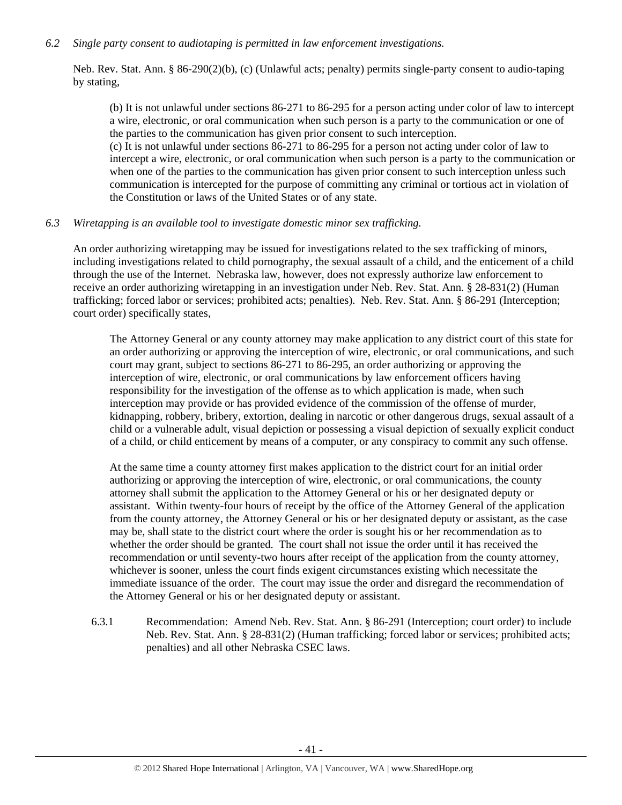## *6.2 Single party consent to audiotaping is permitted in law enforcement investigations.*

Neb. Rev. Stat. Ann. § 86-290(2)(b), (c) (Unlawful acts; penalty) permits single-party consent to audio-taping by stating,

(b) It is not unlawful under sections 86-271 to 86-295 for a person acting under color of law to intercept a wire, electronic, or oral communication when such person is a party to the communication or one of the parties to the communication has given prior consent to such interception. (c) It is not unlawful under sections 86-271 to 86-295 for a person not acting under color of law to intercept a wire, electronic, or oral communication when such person is a party to the communication or when one of the parties to the communication has given prior consent to such interception unless such communication is intercepted for the purpose of committing any criminal or tortious act in violation of the Constitution or laws of the United States or of any state.

## *6.3 Wiretapping is an available tool to investigate domestic minor sex trafficking.*

An order authorizing wiretapping may be issued for investigations related to the sex trafficking of minors, including investigations related to child pornography, the sexual assault of a child, and the enticement of a child through the use of the Internet. Nebraska law, however, does not expressly authorize law enforcement to receive an order authorizing wiretapping in an investigation under Neb. Rev. Stat. Ann. § 28-831(2) (Human trafficking; forced labor or services; prohibited acts; penalties). Neb. Rev. Stat. Ann. § 86-291 (Interception; court order) specifically states,

The Attorney General or any county attorney may make application to any district court of this state for an order authorizing or approving the interception of wire, electronic, or oral communications, and such court may grant, subject to sections 86-271 to 86-295, an order authorizing or approving the interception of wire, electronic, or oral communications by law enforcement officers having responsibility for the investigation of the offense as to which application is made, when such interception may provide or has provided evidence of the commission of the offense of murder, kidnapping, robbery, bribery, extortion, dealing in narcotic or other dangerous drugs, sexual assault of a child or a vulnerable adult, visual depiction or possessing a visual depiction of sexually explicit conduct of a child, or child enticement by means of a computer, or any conspiracy to commit any such offense.

At the same time a county attorney first makes application to the district court for an initial order authorizing or approving the interception of wire, electronic, or oral communications, the county attorney shall submit the application to the Attorney General or his or her designated deputy or assistant. Within twenty-four hours of receipt by the office of the Attorney General of the application from the county attorney, the Attorney General or his or her designated deputy or assistant, as the case may be, shall state to the district court where the order is sought his or her recommendation as to whether the order should be granted. The court shall not issue the order until it has received the recommendation or until seventy-two hours after receipt of the application from the county attorney, whichever is sooner, unless the court finds exigent circumstances existing which necessitate the immediate issuance of the order. The court may issue the order and disregard the recommendation of the Attorney General or his or her designated deputy or assistant.

6.3.1 Recommendation: Amend Neb. Rev. Stat. Ann. § 86-291 (Interception; court order) to include Neb. Rev. Stat. Ann. § 28-831(2) (Human trafficking; forced labor or services; prohibited acts; penalties) and all other Nebraska CSEC laws.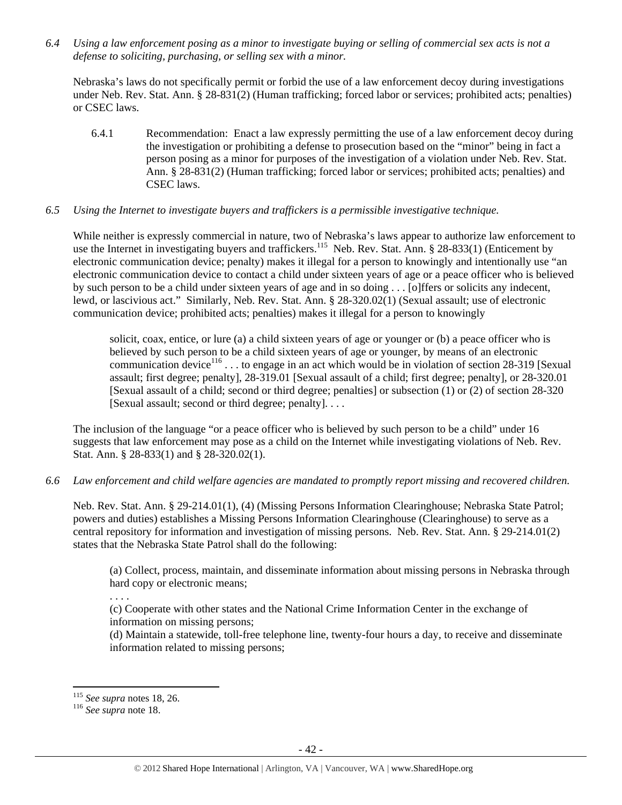*6.4 Using a law enforcement posing as a minor to investigate buying or selling of commercial sex acts is not a defense to soliciting, purchasing, or selling sex with a minor.* 

Nebraska's laws do not specifically permit or forbid the use of a law enforcement decoy during investigations under Neb. Rev. Stat. Ann. § 28-831(2) (Human trafficking; forced labor or services; prohibited acts; penalties) or CSEC laws.

6.4.1 Recommendation: Enact a law expressly permitting the use of a law enforcement decoy during the investigation or prohibiting a defense to prosecution based on the "minor" being in fact a person posing as a minor for purposes of the investigation of a violation under Neb. Rev. Stat. Ann. § 28-831(2) (Human trafficking; forced labor or services; prohibited acts; penalties) and CSEC laws.

## *6.5 Using the Internet to investigate buyers and traffickers is a permissible investigative technique.*

While neither is expressly commercial in nature, two of Nebraska's laws appear to authorize law enforcement to use the Internet in investigating buyers and traffickers.<sup>115</sup> Neb. Rev. Stat. Ann. § 28-833(1) (Enticement by electronic communication device; penalty) makes it illegal for a person to knowingly and intentionally use "an electronic communication device to contact a child under sixteen years of age or a peace officer who is believed by such person to be a child under sixteen years of age and in so doing . . . [o]ffers or solicits any indecent, lewd, or lascivious act." Similarly, Neb. Rev. Stat. Ann. § 28-320.02(1) (Sexual assault; use of electronic communication device; prohibited acts; penalties) makes it illegal for a person to knowingly

solicit, coax, entice, or lure (a) a child sixteen years of age or younger or (b) a peace officer who is believed by such person to be a child sixteen years of age or younger, by means of an electronic communication device $^{116}$ ... to engage in an act which would be in violation of section 28-319 [Sexual] assault; first degree; penalty], 28-319.01 [Sexual assault of a child; first degree; penalty], or 28-320.01 [Sexual assault of a child; second or third degree; penalties] or subsection (1) or (2) of section 28-320 [Sexual assault; second or third degree; penalty]. . . .

The inclusion of the language "or a peace officer who is believed by such person to be a child" under 16 suggests that law enforcement may pose as a child on the Internet while investigating violations of Neb. Rev. Stat. Ann. § 28-833(1) and § 28-320.02(1).

## *6.6 Law enforcement and child welfare agencies are mandated to promptly report missing and recovered children.*

Neb. Rev. Stat. Ann. § 29-214.01(1), (4) (Missing Persons Information Clearinghouse; Nebraska State Patrol; powers and duties) establishes a Missing Persons Information Clearinghouse (Clearinghouse) to serve as a central repository for information and investigation of missing persons. Neb. Rev. Stat. Ann. § 29-214.01(2) states that the Nebraska State Patrol shall do the following:

(a) Collect, process, maintain, and disseminate information about missing persons in Nebraska through hard copy or electronic means;

(c) Cooperate with other states and the National Crime Information Center in the exchange of information on missing persons;

(d) Maintain a statewide, toll-free telephone line, twenty-four hours a day, to receive and disseminate information related to missing persons;

. . . .

<sup>115</sup> *See supra* notes 18, 26. 116 *See supra* note 18.